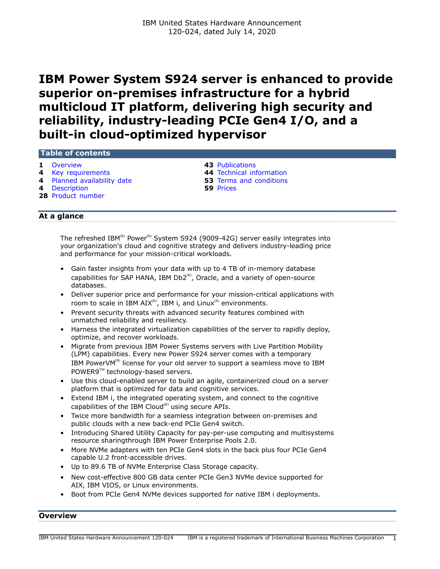# **IBM Power System S924 server is enhanced to provide superior on-premises infrastructure for a hybrid multicloud IT platform, delivering high security and reliability, industry-leading PCIe Gen4 I/O, and a built-in cloud-optimized hypervisor**

#### **Table of contents**

- **1** [Overview](#page-0-0) **43** [Publications](#page-42-0)
- **4** [Key requirements](#page-3-0) **44** [Technical information](#page-43-0)
- **4** [Planned availability date](#page-3-1) **53** [Terms and conditions](#page-52-0)
- **4** [Description](#page-3-2) **59** [Prices](#page-58-0)
- **28** [Product number](#page-27-0)

## **At a glance**

The refreshed IBM(R) Power<sup>(R)</sup> System S924 (9009-42G) server easily integrates into your organization's cloud and cognitive strategy and delivers industry-leading price and performance for your mission-critical workloads.

- Gain faster insights from your data with up to 4 TB of in-memory database capabilities for SAP HANA, IBM  $Db2^{(R)}$ , Oracle, and a variety of open-source databases.
- Deliver superior price and performance for your mission-critical applications with room to scale in IBM  $AIX^{(R)}$ , IBM i, and Linux<sup>(R)</sup> environments.
- Prevent security threats with advanced security features combined with unmatched reliability and resiliency.
- Harness the integrated virtualization capabilities of the server to rapidly deploy, optimize, and recover workloads.
- Migrate from previous IBM Power Systems servers with Live Partition Mobility (LPM) capabilities. Every new Power S924 server comes with a temporary IBM PowerV $M^{(R)}$  license for your old server to support a seamless move to IBM POWER9™ technology-based servers.
- Use this cloud-enabled server to build an agile, containerized cloud on a server platform that is optimized for data and cognitive services.
- Extend IBM i, the integrated operating system, and connect to the cognitive capabilities of the IBM Cloud $<sup>(R)</sup>$  using secure APIs.</sup>
- Twice more bandwidth for a seamless integration between on-premises and public clouds with a new back-end PCIe Gen4 switch.
- Introducing Shared Utility Capacity for pay-per-use computing and multisystems resource sharingthrough IBM Power Enterprise Pools 2.0.
- More NVMe adapters with ten PCIe Gen4 slots in the back plus four PCIe Gen4 capable U.2 front-accessible drives.
- Up to 89.6 TB of NVMe Enterprise Class Storage capacity.
- New cost-effective 800 GB data center PCIe Gen3 NVMe device supported for AIX, IBM VIOS, or Linux environments.
- Boot from PCIe Gen4 NVMe devices supported for native IBM i deployments.

#### <span id="page-0-0"></span>**Overview**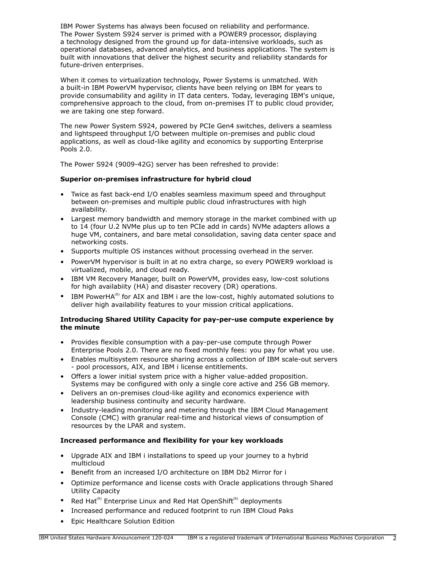IBM Power Systems has always been focused on reliability and performance. The Power System S924 server is primed with a POWER9 processor, displaying a technology designed from the ground up for data-intensive workloads, such as operational databases, advanced analytics, and business applications. The system is built with innovations that deliver the highest security and reliability standards for future-driven enterprises.

When it comes to virtualization technology, Power Systems is unmatched. With a built-in IBM PowerVM hypervisor, clients have been relying on IBM for years to provide consumability and agility in IT data centers. Today, leveraging IBM's unique, comprehensive approach to the cloud, from on-premises IT to public cloud provider, we are taking one step forward.

The new Power System S924, powered by PCIe Gen4 switches, delivers a seamless and lightspeed throughput I/O between multiple on-premises and public cloud applications, as well as cloud-like agility and economics by supporting Enterprise Pools 2.0.

The Power S924 (9009-42G) server has been refreshed to provide:

## **Superior on-premises infrastructure for hybrid cloud**

- Twice as fast back-end I/O enables seamless maximum speed and throughput between on-premises and multiple public cloud infrastructures with high availability.
- Largest memory bandwidth and memory storage in the market combined with up to 14 (four U.2 NVMe plus up to ten PCIe add in cards) NVMe adapters allows a huge VM, containers, and bare metal consolidation, saving data center space and networking costs.
- Supports multiple OS instances without processing overhead in the server.
- PowerVM hypervisor is built in at no extra charge, so every POWER9 workload is virtualized, mobile, and cloud ready.
- IBM VM Recovery Manager, built on PowerVM, provides easy, low-cost solutions for high availabiity (HA) and disaster recovery (DR) operations.
- IBM PowerHA $^{(R)}$  for AIX and IBM i are the low-cost, highly automated solutions to deliver high availability features to your mission critical applications.

## **Introducing Shared Utility Capacity for pay-per-use compute experience by the minute**

- Provides flexible consumption with a pay-per-use compute through Power Enterprise Pools 2.0. There are no fixed monthly fees: you pay for what you use.
- Enables multisystem resource sharing across a collection of IBM scale-out servers - pool processors, AIX, and IBM i license entitlements.
- Offers a lower initial system price with a higher value-added proposition. Systems may be configured with only a single core active and 256 GB memory.
- Delivers an on-premises cloud-like agility and economics experience with leadership business continuity and security hardware.
- Industry-leading monitoring and metering through the IBM Cloud Management Console (CMC) with granular real-time and historical views of consumption of resources by the LPAR and system.

# **Increased performance and flexibility for your key workloads**

- Upgrade AIX and IBM i installations to speed up your journey to a hybrid multicloud
- Benefit from an increased I/O architecture on IBM Db2 Mirror for i
- Optimize performance and license costs with Oracle applications through Shared Utility Capacity
- Red Hat<sup>(R)</sup> Enterprise Linux and Red Hat OpenShift<sup>(R)</sup> deployments
- Increased performance and reduced footprint to run IBM Cloud Paks
- Epic Healthcare Solution Edition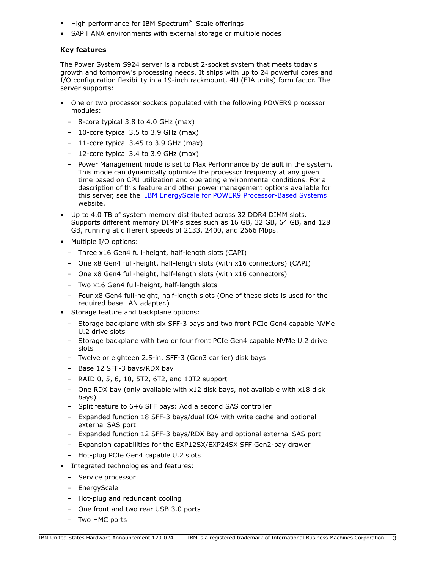- High performance for IBM Spectrum $(P)$  Scale offerings
- SAP HANA environments with external storage or multiple nodes

## **Key features**

The Power System S924 server is a robust 2-socket system that meets today's growth and tomorrow's processing needs. It ships with up to 24 powerful cores and I/O configuration flexibility in a 19-inch rackmount, 4U (EIA units) form factor. The server supports:

- One or two processor sockets populated with the following POWER9 processor modules:
	- 8-core typical 3.8 to 4.0 GHz (max)
	- 10-core typical 3.5 to 3.9 GHz (max)
	- 11-core typical 3.45 to 3.9 GHz (max)
	- 12-core typical 3.4 to 3.9 GHz (max)
	- Power Management mode is set to Max Performance by default in the system. This mode can dynamically optimize the processor frequency at any given time based on CPU utilization and operating environmental conditions. For a description of this feature and other power management options available for this server, see the [IBM EnergyScale for POWER9 Processor-Based Systems](https://www.ibm.com/downloads/cas/6GZMODN3) website.
- Up to 4.0 TB of system memory distributed across 32 DDR4 DIMM slots. Supports different memory DIMMs sizes such as 16 GB, 32 GB, 64 GB, and 128 GB, running at different speeds of 2133, 2400, and 2666 Mbps.
- Multiple I/O options:
	- Three x16 Gen4 full-height, half-length slots (CAPI)
	- One x8 Gen4 full-height, half-length slots (with x16 connectors) (CAPI)
	- One x8 Gen4 full-height, half-length slots (with x16 connectors)
	- Two x16 Gen4 full-height, half-length slots
	- Four x8 Gen4 full-height, half-length slots (One of these slots is used for the required base LAN adapter.)
- Storage feature and backplane options:
	- Storage backplane with six SFF-3 bays and two front PCIe Gen4 capable NVMe U.2 drive slots
	- Storage backplane with two or four front PCIe Gen4 capable NVMe U.2 drive slots
	- Twelve or eighteen 2.5-in. SFF-3 (Gen3 carrier) disk bays
	- Base 12 SFF-3 bays/RDX bay
	- RAID 0, 5, 6, 10, 5T2, 6T2, and 10T2 support
	- One RDX bay (only available with x12 disk bays, not available with x18 disk bays)
	- Split feature to 6+6 SFF bays: Add a second SAS controller
	- Expanded function 18 SFF-3 bays/dual IOA with write cache and optional external SAS port
	- Expanded function 12 SFF-3 bays/RDX Bay and optional external SAS port
	- Expansion capabilities for the EXP12SX/EXP24SX SFF Gen2-bay drawer
	- Hot-plug PCIe Gen4 capable U.2 slots
- Integrated technologies and features:
	- Service processor
	- EnergyScale
	- Hot-plug and redundant cooling
	- One front and two rear USB 3.0 ports
	- Two HMC ports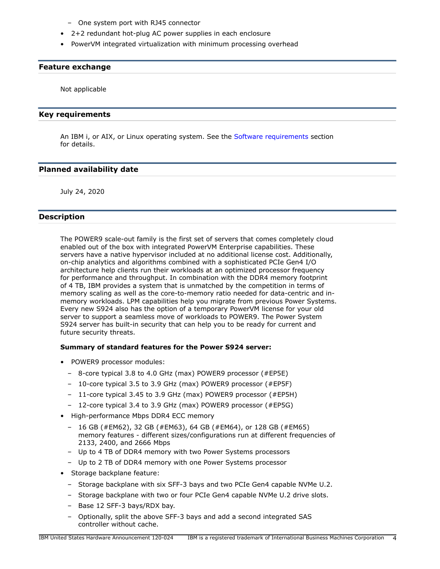- One system port with RJ45 connector
- 2+2 redundant hot-plug AC power supplies in each enclosure
- PowerVM integrated virtualization with minimum processing overhead

#### **Feature exchange**

Not applicable

#### <span id="page-3-0"></span>**Key requirements**

An IBM i, or AIX, or Linux operating system. See the [Software requirements](#page-50-0) section for details.

## <span id="page-3-1"></span>**Planned availability date**

July 24, 2020

## <span id="page-3-2"></span>**Description**

The POWER9 scale-out family is the first set of servers that comes completely cloud enabled out of the box with integrated PowerVM Enterprise capabilities. These servers have a native hypervisor included at no additional license cost. Additionally, on-chip analytics and algorithms combined with a sophisticated PCIe Gen4 I/O architecture help clients run their workloads at an optimized processor frequency for performance and throughput. In combination with the DDR4 memory footprint of 4 TB, IBM provides a system that is unmatched by the competition in terms of memory scaling as well as the core-to-memory ratio needed for data-centric and inmemory workloads. LPM capabilities help you migrate from previous Power Systems. Every new S924 also has the option of a temporary PowerVM license for your old server to support a seamless move of workloads to POWER9. The Power System S924 server has built-in security that can help you to be ready for current and future security threats.

#### **Summary of standard features for the Power S924 server:**

- POWER9 processor modules:
	- 8-core typical 3.8 to 4.0 GHz (max) POWER9 processor (#EP5E)
	- 10-core typical 3.5 to 3.9 GHz (max) POWER9 processor (#EP5F)
	- 11-core typical 3.45 to 3.9 GHz (max) POWER9 processor (#EP5H)
	- 12-core typical 3.4 to 3.9 GHz (max) POWER9 processor (#EP5G)
- High-performance Mbps DDR4 ECC memory
	- 16 GB (#EM62), 32 GB (#EM63), 64 GB (#EM64), or 128 GB (#EM65) memory features - different sizes/configurations run at different frequencies of 2133, 2400, and 2666 Mbps
	- Up to 4 TB of DDR4 memory with two Power Systems processors
	- Up to 2 TB of DDR4 memory with one Power Systems processor
- Storage backplane feature:
	- Storage backplane with six SFF-3 bays and two PCIe Gen4 capable NVMe U.2.
	- Storage backplane with two or four PCIe Gen4 capable NVMe U.2 drive slots.
	- Base 12 SFF-3 bays/RDX bay.
	- Optionally, split the above SFF-3 bays and add a second integrated SAS controller without cache.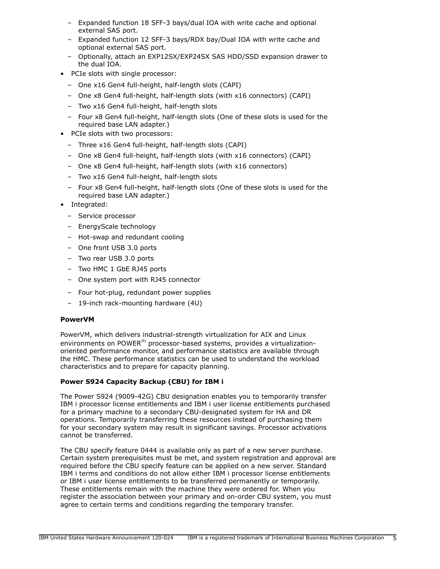- Expanded function 18 SFF-3 bays/dual IOA with write cache and optional external SAS port.
- Expanded function 12 SFF-3 bays/RDX bay/Dual IOA with write cache and optional external SAS port.
- Optionally, attach an EXP12SX/EXP24SX SAS HDD/SSD expansion drawer to the dual IOA.
- PCIe slots with single processor:
	- One x16 Gen4 full-height, half-length slots (CAPI)
	- One x8 Gen4 full-height, half-length slots (with x16 connectors) (CAPI)
	- Two x16 Gen4 full-height, half-length slots
	- Four x8 Gen4 full-height, half-length slots (One of these slots is used for the required base LAN adapter.)
- PCIe slots with two processors:
	- Three x16 Gen4 full-height, half-length slots (CAPI)
	- One x8 Gen4 full-height, half-length slots (with x16 connectors) (CAPI)
	- One x8 Gen4 full-height, half-length slots (with x16 connectors)
	- Two x16 Gen4 full-height, half-length slots
	- Four x8 Gen4 full-height, half-length slots (One of these slots is used for the required base LAN adapter.)
- Integrated:
	- Service processor
	- EnergyScale technology
	- Hot-swap and redundant cooling
	- One front USB 3.0 ports
	- Two rear USB 3.0 ports
	- Two HMC 1 GbE RJ45 ports
	- One system port with RJ45 connector
	- Four hot-plug, redundant power supplies
	- 19-inch rack-mounting hardware (4U)

# **PowerVM**

PowerVM, which delivers industrial-strength virtualization for AIX and Linux environments on POWER<sup>(R)</sup> processor-based systems, provides a virtualizationoriented performance monitor, and performance statistics are available through the HMC. These performance statistics can be used to understand the workload characteristics and to prepare for capacity planning.

# **Power S924 Capacity Backup (CBU) for IBM i**

The Power S924 (9009-42G) CBU designation enables you to temporarily transfer IBM i processor license entitlements and IBM i user license entitlements purchased for a primary machine to a secondary CBU-designated system for HA and DR operations. Temporarily transferring these resources instead of purchasing them for your secondary system may result in significant savings. Processor activations cannot be transferred.

The CBU specify feature 0444 is available only as part of a new server purchase. Certain system prerequisites must be met, and system registration and approval are required before the CBU specify feature can be applied on a new server. Standard IBM i terms and conditions do not allow either IBM i processor license entitlements or IBM i user license entitlements to be transferred permanently or temporarily. These entitlements remain with the machine they were ordered for. When you register the association between your primary and on-order CBU system, you must agree to certain terms and conditions regarding the temporary transfer.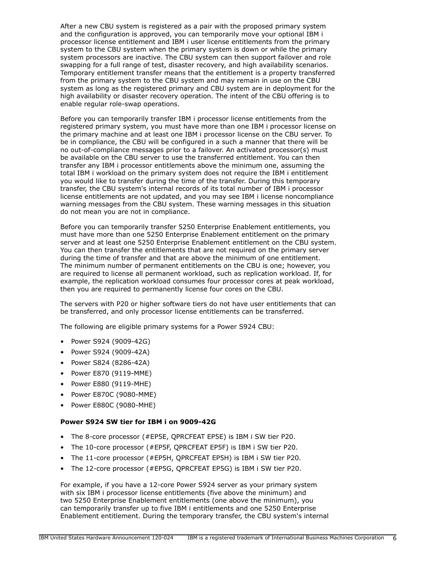After a new CBU system is registered as a pair with the proposed primary system and the configuration is approved, you can temporarily move your optional IBM i processor license entitlement and IBM i user license entitlements from the primary system to the CBU system when the primary system is down or while the primary system processors are inactive. The CBU system can then support failover and role swapping for a full range of test, disaster recovery, and high availability scenarios. Temporary entitlement transfer means that the entitlement is a property transferred from the primary system to the CBU system and may remain in use on the CBU system as long as the registered primary and CBU system are in deployment for the high availability or disaster recovery operation. The intent of the CBU offering is to enable regular role-swap operations.

Before you can temporarily transfer IBM i processor license entitlements from the registered primary system, you must have more than one IBM i processor license on the primary machine and at least one IBM i processor license on the CBU server. To be in compliance, the CBU will be configured in a such a manner that there will be no out-of-compliance messages prior to a failover. An activated processor(s) must be available on the CBU server to use the transferred entitlement. You can then transfer any IBM i processor entitlements above the minimum one, assuming the total IBM i workload on the primary system does not require the IBM i entitlement you would like to transfer during the time of the transfer. During this temporary transfer, the CBU system's internal records of its total number of IBM i processor license entitlements are not updated, and you may see IBM i license noncompliance warning messages from the CBU system. These warning messages in this situation do not mean you are not in compliance.

Before you can temporarily transfer 5250 Enterprise Enablement entitlements, you must have more than one 5250 Enterprise Enablement entitlement on the primary server and at least one 5250 Enterprise Enablement entitlement on the CBU system. You can then transfer the entitlements that are not required on the primary server during the time of transfer and that are above the minimum of one entitlement. The minimum number of permanent entitlements on the CBU is one; however, you are required to license all permanent workload, such as replication workload. If, for example, the replication workload consumes four processor cores at peak workload, then you are required to permanently license four cores on the CBU.

The servers with P20 or higher software tiers do not have user entitlements that can be transferred, and only processor license entitlements can be transferred.

The following are eligible primary systems for a Power S924 CBU:

- Power S924 (9009-42G)
- Power S924 (9009-42A)
- Power S824 (8286-42A)
- Power E870 (9119-MME)
- Power E880 (9119-MHE)
- Power E870C (9080-MME)
- Power E880C (9080-MHE)

#### **Power S924 SW tier for IBM i on 9009-42G**

- The 8-core processor (#EP5E, QPRCFEAT EP5E) is IBM i SW tier P20.
- The 10-core processor (#EP5F, QPRCFEAT EP5F) is IBM i SW tier P20.
- The 11-core processor (#EP5H, QPRCFEAT EP5H) is IBM i SW tier P20.
- The 12-core processor (#EP5G, QPRCFEAT EP5G) is IBM i SW tier P20.

For example, if you have a 12-core Power S924 server as your primary system with six IBM i processor license entitlements (five above the minimum) and two 5250 Enterprise Enablement entitlements (one above the minimum), you can temporarily transfer up to five IBM i entitlements and one 5250 Enterprise Enablement entitlement. During the temporary transfer, the CBU system's internal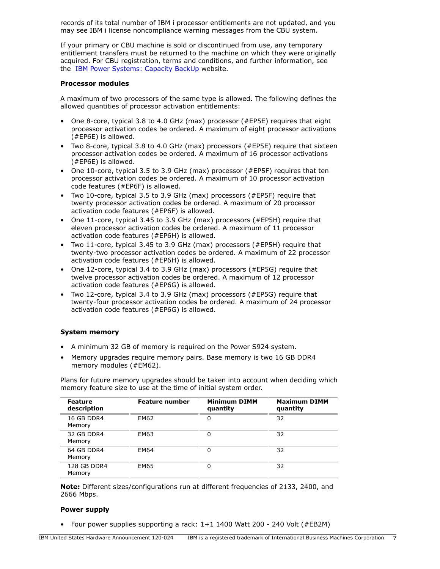records of its total number of IBM i processor entitlements are not updated, and you may see IBM i license noncompliance warning messages from the CBU system.

If your primary or CBU machine is sold or discontinued from use, any temporary entitlement transfers must be returned to the machine on which they were originally acquired. For CBU registration, terms and conditions, and further information, see the [IBM Power Systems: Capacity BackUp](https://www.ibm.com/support/pages/ibm-power-systems-capacity-backup) website.

#### **Processor modules**

A maximum of two processors of the same type is allowed. The following defines the allowed quantities of processor activation entitlements:

- One 8-core, typical 3.8 to 4.0 GHz (max) processor (#EP5E) requires that eight processor activation codes be ordered. A maximum of eight processor activations (#EP6E) is allowed.
- Two 8-core, typical 3.8 to 4.0 GHz (max) processors (#EP5E) require that sixteen processor activation codes be ordered. A maximum of 16 processor activations (#EP6E) is allowed.
- One 10-core, typical 3.5 to 3.9 GHz (max) processor (#EP5F) requires that ten processor activation codes be ordered. A maximum of 10 processor activation code features (#EP6F) is allowed.
- Two 10-core, typical 3.5 to 3.9 GHz (max) processors (#EP5F) require that twenty processor activation codes be ordered. A maximum of 20 processor activation code features (#EP6F) is allowed.
- One 11-core, typical 3.45 to 3.9 GHz (max) processors (#EP5H) require that eleven processor activation codes be ordered. A maximum of 11 processor activation code features (#EP6H) is allowed.
- Two 11-core, typical 3.45 to 3.9 GHz (max) processors (#EP5H) require that twenty-two processor activation codes be ordered. A maximum of 22 processor activation code features (#EP6H) is allowed.
- One 12-core, typical 3.4 to 3.9 GHz (max) processors (#EP5G) require that twelve processor activation codes be ordered. A maximum of 12 processor activation code features (#EP6G) is allowed.
- Two 12-core, typical 3.4 to 3.9 GHz (max) processors (#EP5G) require that twenty-four processor activation codes be ordered. A maximum of 24 processor activation code features (#EP6G) is allowed.

#### **System memory**

- A minimum 32 GB of memory is required on the Power S924 system.
- Memory upgrades require memory pairs. Base memory is two 16 GB DDR4 memory modules (#EM62).

Plans for future memory upgrades should be taken into account when deciding which memory feature size to use at the time of initial system order.

| <b>Feature</b><br>description | Feature number | <b>Minimum DIMM</b><br>quantity | <b>Maximum DIMM</b><br>quantity |
|-------------------------------|----------------|---------------------------------|---------------------------------|
| 16 GB DDR4<br>Memory          | EM62           | 0                               | 32                              |
| 32 GB DDR4<br>Memory          | EM63           | 0                               | 32                              |
| 64 GB DDR4<br>Memory          | EM64           | 0                               | 32                              |
| 128 GB DDR4<br>Memory         | EM65           | 0                               | 32                              |

**Note:** Different sizes/configurations run at different frequencies of 2133, 2400, and 2666 Mbps.

#### **Power supply**

• Four power supplies supporting a rack: 1+1 1400 Watt 200 - 240 Volt (#EB2M)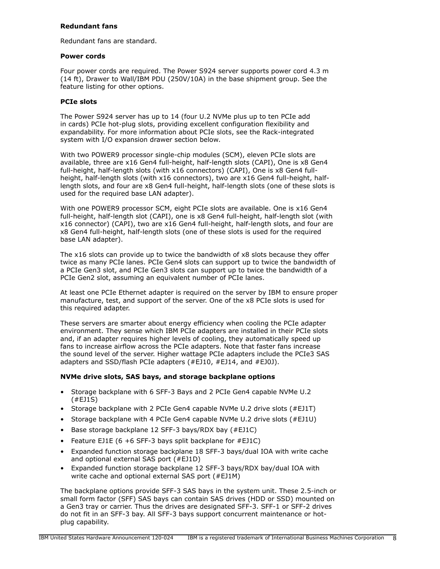#### **Redundant fans**

Redundant fans are standard.

#### **Power cords**

Four power cords are required. The Power S924 server supports power cord 4.3 m (14 ft), Drawer to Wall/IBM PDU (250V/10A) in the base shipment group. See the feature listing for other options.

#### **PCIe slots**

The Power S924 server has up to 14 (four U.2 NVMe plus up to ten PCIe add in cards) PCIe hot-plug slots, providing excellent configuration flexibility and expandability. For more information about PCIe slots, see the Rack-integrated system with I/O expansion drawer section below.

With two POWER9 processor single-chip modules (SCM), eleven PCIe slots are available, three are x16 Gen4 full-height, half-length slots (CAPI), One is x8 Gen4 full-height, half-length slots (with x16 connectors) (CAPI), One is x8 Gen4 fullheight, half-length slots (with x16 connectors), two are x16 Gen4 full-height, halflength slots, and four are x8 Gen4 full-height, half-length slots (one of these slots is used for the required base LAN adapter).

With one POWER9 processor SCM, eight PCIe slots are available. One is x16 Gen4 full-height, half-length slot (CAPI), one is x8 Gen4 full-height, half-length slot (with x16 connector) (CAPI), two are x16 Gen4 full-height, half-length slots, and four are x8 Gen4 full-height, half-length slots (one of these slots is used for the required base LAN adapter).

The x16 slots can provide up to twice the bandwidth of x8 slots because they offer twice as many PCIe lanes. PCIe Gen4 slots can support up to twice the bandwidth of a PCIe Gen3 slot, and PCIe Gen3 slots can support up to twice the bandwidth of a PCIe Gen2 slot, assuming an equivalent number of PCIe lanes.

At least one PCIe Ethernet adapter is required on the server by IBM to ensure proper manufacture, test, and support of the server. One of the x8 PCIe slots is used for this required adapter.

These servers are smarter about energy efficiency when cooling the PCIe adapter environment. They sense which IBM PCIe adapters are installed in their PCIe slots and, if an adapter requires higher levels of cooling, they automatically speed up fans to increase airflow across the PCIe adapters. Note that faster fans increase the sound level of the server. Higher wattage PCIe adapters include the PCIe3 SAS adapters and SSD/flash PCIe adapters (#EJ10, #EJ14, and #EJ0J).

## **NVMe drive slots, SAS bays, and storage backplane options**

- Storage backplane with 6 SFF-3 Bays and 2 PCIe Gen4 capable NVMe U.2 (#EJ1S)
- Storage backplane with 2 PCIe Gen4 capable NVMe U.2 drive slots (#EJ1T)
- Storage backplane with 4 PCIe Gen4 capable NVMe U.2 drive slots (#EJ1U)
- Base storage backplane 12 SFF-3 bays/RDX bay (#EJ1C)
- Feature EJ1E (6 +6 SFF-3 bays split backplane for  $#EJIC$ )
- Expanded function storage backplane 18 SFF-3 bays/dual IOA with write cache and optional external SAS port (#EJ1D)
- Expanded function storage backplane 12 SFF-3 bays/RDX bay/dual IOA with write cache and optional external SAS port (#EJ1M)

The backplane options provide SFF-3 SAS bays in the system unit. These 2.5-inch or small form factor (SFF) SAS bays can contain SAS drives (HDD or SSD) mounted on a Gen3 tray or carrier. Thus the drives are designated SFF-3. SFF-1 or SFF-2 drives do not fit in an SFF-3 bay. All SFF-3 bays support concurrent maintenance or hotplug capability.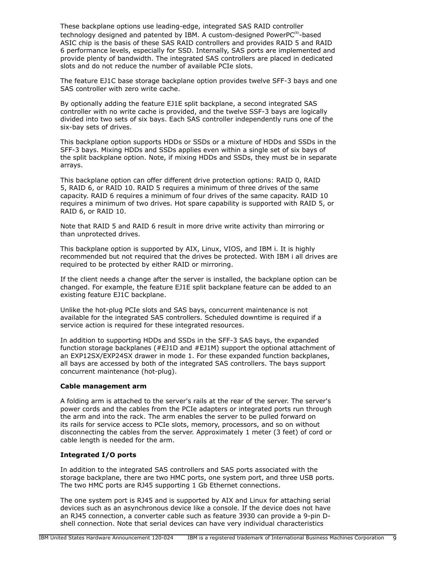These backplane options use leading-edge, integrated SAS RAID controller technology designed and patented by IBM. A custom-designed PowerP $C^{(R)}$ -based ASIC chip is the basis of these SAS RAID controllers and provides RAID 5 and RAID 6 performance levels, especially for SSD. Internally, SAS ports are implemented and provide plenty of bandwidth. The integrated SAS controllers are placed in dedicated slots and do not reduce the number of available PCIe slots.

The feature EJ1C base storage backplane option provides twelve SFF-3 bays and one SAS controller with zero write cache.

By optionally adding the feature EJ1E split backplane, a second integrated SAS controller with no write cache is provided, and the twelve SSF-3 bays are logically divided into two sets of six bays. Each SAS controller independently runs one of the six-bay sets of drives.

This backplane option supports HDDs or SSDs or a mixture of HDDs and SSDs in the SFF-3 bays. Mixing HDDs and SSDs applies even within a single set of six bays of the split backplane option. Note, if mixing HDDs and SSDs, they must be in separate arrays.

This backplane option can offer different drive protection options: RAID 0, RAID 5, RAID 6, or RAID 10. RAID 5 requires a minimum of three drives of the same capacity. RAID 6 requires a minimum of four drives of the same capacity. RAID 10 requires a minimum of two drives. Hot spare capability is supported with RAID 5, or RAID 6, or RAID 10.

Note that RAID 5 and RAID 6 result in more drive write activity than mirroring or than unprotected drives.

This backplane option is supported by AIX, Linux, VIOS, and IBM i. It is highly recommended but not required that the drives be protected. With IBM i all drives are required to be protected by either RAID or mirroring.

If the client needs a change after the server is installed, the backplane option can be changed. For example, the feature EJ1E split backplane feature can be added to an existing feature EJ1C backplane.

Unlike the hot-plug PCIe slots and SAS bays, concurrent maintenance is not available for the integrated SAS controllers. Scheduled downtime is required if a service action is required for these integrated resources.

In addition to supporting HDDs and SSDs in the SFF-3 SAS bays, the expanded function storage backplanes (#EJ1D and #EJ1M) support the optional attachment of an EXP12SX/EXP24SX drawer in mode 1. For these expanded function backplanes, all bays are accessed by both of the integrated SAS controllers. The bays support concurrent maintenance (hot-plug).

#### **Cable management arm**

A folding arm is attached to the server's rails at the rear of the server. The server's power cords and the cables from the PCIe adapters or integrated ports run through the arm and into the rack. The arm enables the server to be pulled forward on its rails for service access to PCIe slots, memory, processors, and so on without disconnecting the cables from the server. Approximately 1 meter (3 feet) of cord or cable length is needed for the arm.

## **Integrated I/O ports**

In addition to the integrated SAS controllers and SAS ports associated with the storage backplane, there are two HMC ports, one system port, and three USB ports. The two HMC ports are RJ45 supporting 1 Gb Ethernet connections.

The one system port is RJ45 and is supported by AIX and Linux for attaching serial devices such as an asynchronous device like a console. If the device does not have an RJ45 connection, a converter cable such as feature 3930 can provide a 9-pin Dshell connection. Note that serial devices can have very individual characteristics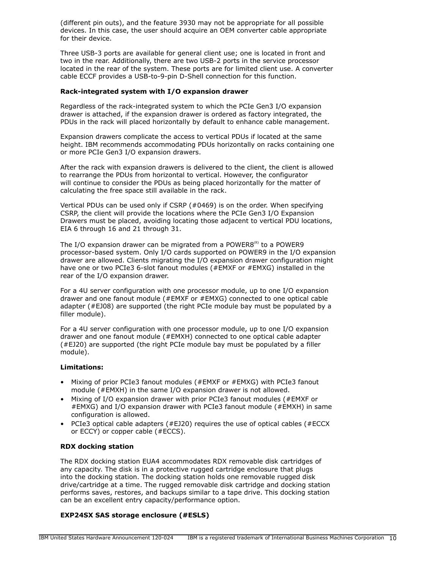(different pin outs), and the feature 3930 may not be appropriate for all possible devices. In this case, the user should acquire an OEM converter cable appropriate for their device.

Three USB-3 ports are available for general client use; one is located in front and two in the rear. Additionally, there are two USB-2 ports in the service processor located in the rear of the system. These ports are for limited client use. A converter cable ECCF provides a USB-to-9-pin D-Shell connection for this function.

#### **Rack-integrated system with I/O expansion drawer**

Regardless of the rack-integrated system to which the PCIe Gen3 I/O expansion drawer is attached, if the expansion drawer is ordered as factory integrated, the PDUs in the rack will placed horizontally by default to enhance cable management.

Expansion drawers complicate the access to vertical PDUs if located at the same height. IBM recommends accommodating PDUs horizontally on racks containing one or more PCIe Gen3 I/O expansion drawers.

After the rack with expansion drawers is delivered to the client, the client is allowed to rearrange the PDUs from horizontal to vertical. However, the configurator will continue to consider the PDUs as being placed horizontally for the matter of calculating the free space still available in the rack.

Vertical PDUs can be used only if CSRP (#0469) is on the order. When specifying CSRP, the client will provide the locations where the PCIe Gen3 I/O Expansion Drawers must be placed, avoiding locating those adjacent to vertical PDU locations, EIA 6 through 16 and 21 through 31.

The I/O expansion drawer can be migrated from a POWER8 $^{(R)}$  to a POWER9 processor-based system. Only I/O cards supported on POWER9 in the I/O expansion drawer are allowed. Clients migrating the I/O expansion drawer configuration might have one or two PCIe3 6-slot fanout modules (#EMXF or #EMXG) installed in the rear of the I/O expansion drawer.

For a 4U server configuration with one processor module, up to one I/O expansion drawer and one fanout module (#EMXF or #EMXG) connected to one optical cable adapter (#EJ08) are supported (the right PCIe module bay must be populated by a filler module).

For a 4U server configuration with one processor module, up to one I/O expansion drawer and one fanout module (#EMXH) connected to one optical cable adapter (#EJ20) are supported (the right PCIe module bay must be populated by a filler module).

## **Limitations:**

- Mixing of prior PCIe3 fanout modules (#EMXF or #EMXG) with PCIe3 fanout module (#EMXH) in the same I/O expansion drawer is not allowed.
- Mixing of I/O expansion drawer with prior PCIe3 fanout modules (#EMXF or #EMXG) and I/O expansion drawer with PCIe3 fanout module (#EMXH) in same configuration is allowed.
- PCIe3 optical cable adapters (#EJ20) requires the use of optical cables (#ECCX or ECCY) or copper cable (#ECCS).

## **RDX docking station**

The RDX docking station EUA4 accommodates RDX removable disk cartridges of any capacity. The disk is in a protective rugged cartridge enclosure that plugs into the docking station. The docking station holds one removable rugged disk drive/cartridge at a time. The rugged removable disk cartridge and docking station performs saves, restores, and backups similar to a tape drive. This docking station can be an excellent entry capacity/performance option.

## **EXP24SX SAS storage enclosure (#ESLS)**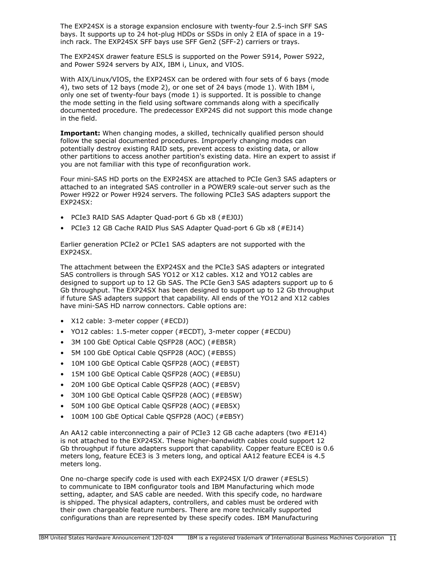The EXP24SX is a storage expansion enclosure with twenty-four 2.5-inch SFF SAS bays. It supports up to 24 hot-plug HDDs or SSDs in only 2 EIA of space in a 19 inch rack. The EXP24SX SFF bays use SFF Gen2 (SFF-2) carriers or trays.

The EXP24SX drawer feature ESLS is supported on the Power S914, Power S922, and Power S924 servers by AIX, IBM i, Linux, and VIOS.

With AIX/Linux/VIOS, the EXP24SX can be ordered with four sets of 6 bays (mode 4), two sets of 12 bays (mode 2), or one set of 24 bays (mode 1). With IBM i, only one set of twenty-four bays (mode 1) is supported. It is possible to change the mode setting in the field using software commands along with a specifically documented procedure. The predecessor EXP24S did not support this mode change in the field.

**Important:** When changing modes, a skilled, technically qualified person should follow the special documented procedures. Improperly changing modes can potentially destroy existing RAID sets, prevent access to existing data, or allow other partitions to access another partition's existing data. Hire an expert to assist if you are not familiar with this type of reconfiguration work.

Four mini-SAS HD ports on the EXP24SX are attached to PCIe Gen3 SAS adapters or attached to an integrated SAS controller in a POWER9 scale-out server such as the Power H922 or Power H924 servers. The following PCIe3 SAS adapters support the EXP24SX:

- PCIe3 RAID SAS Adapter Quad-port 6 Gb x8 (#EJ0J)
- PCIe3 12 GB Cache RAID Plus SAS Adapter Quad-port 6 Gb x8 (#EJ14)

Earlier generation PCIe2 or PCIe1 SAS adapters are not supported with the EXP24SX.

The attachment between the EXP24SX and the PCIe3 SAS adapters or integrated SAS controllers is through SAS YO12 or X12 cables. X12 and YO12 cables are designed to support up to 12 Gb SAS. The PCIe Gen3 SAS adapters support up to 6 Gb throughput. The EXP24SX has been designed to support up to 12 Gb throughput if future SAS adapters support that capability. All ends of the YO12 and X12 cables have mini-SAS HD narrow connectors. Cable options are:

- X12 cable: 3-meter copper (#ECDJ)
- YO12 cables: 1.5-meter copper (#ECDT), 3-meter copper (#ECDU)
- 3M 100 GbE Optical Cable QSFP28 (AOC) (#EB5R)
- 5M 100 GbE Optical Cable QSFP28 (AOC) (#EB5S)
- 10M 100 GbE Optical Cable QSFP28 (AOC) (#EB5T)
- 15M 100 GbE Optical Cable QSFP28 (AOC) (#EB5U)
- 20M 100 GbE Optical Cable QSFP28 (AOC) (#EB5V)
- 30M 100 GbE Optical Cable QSFP28 (AOC) (#EB5W)
- 50M 100 GbE Optical Cable QSFP28 (AOC) (#EB5X)
- 100M 100 GbE Optical Cable QSFP28 (AOC) (#EB5Y)

An AA12 cable interconnecting a pair of PCIe3 12 GB cache adapters (two #EJ14) is not attached to the EXP24SX. These higher-bandwidth cables could support 12 Gb throughput if future adapters support that capability. Copper feature ECE0 is 0.6 meters long, feature ECE3 is 3 meters long, and optical AA12 feature ECE4 is 4.5 meters long.

One no-charge specify code is used with each EXP24SX I/O drawer (#ESLS) to communicate to IBM configurator tools and IBM Manufacturing which mode setting, adapter, and SAS cable are needed. With this specify code, no hardware is shipped. The physical adapters, controllers, and cables must be ordered with their own chargeable feature numbers. There are more technically supported configurations than are represented by these specify codes. IBM Manufacturing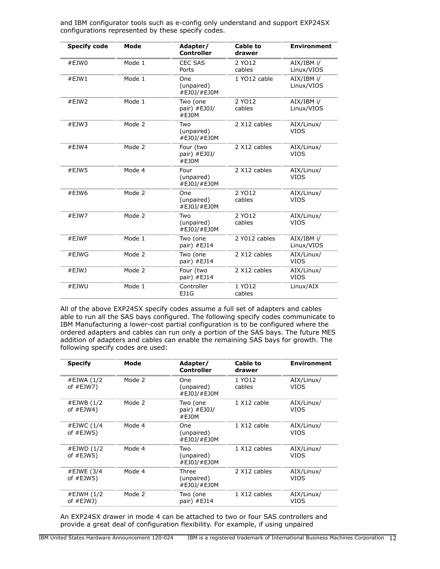| and IBM configurator tools such as e-config only understand and support EXP24SX |  |
|---------------------------------------------------------------------------------|--|
| configurations represented by these specify codes.                              |  |

| <b>Specify code</b> | Mode   | Adapter/<br><b>Controller</b>              | <b>Cable to</b><br>drawer | <b>Environment</b>        |
|---------------------|--------|--------------------------------------------|---------------------------|---------------------------|
| #EJWO               | Mode 1 | <b>CEC SAS</b><br>Ports                    | 2 YO12<br>cables          | AIX/IBM i/<br>Linux/VIOS  |
| #EJW1               | Mode 1 | One<br>(unpaired)<br>#EJ0J/#EJ0M           | 1 YO12 cable              | AIX/IBM i/<br>Linux/VIOS  |
| #EJW2               | Mode 1 | Two (one<br>pair) #EJ0J/<br>#EJ0M          | 2 YO12<br>cables          | AIX/IBM i/<br>Linux/VIOS  |
| #EJW3               | Mode 2 | Two<br>(unpaired)<br>#EJ0J/#EJ0M           | 2 X12 cables              |                           |
| #EJW4               | Mode 2 | Four (two<br>pair) #EJ0J/<br>#EJ0M         | 2 X12 cables              |                           |
| #EJW5               | Mode 4 | Four<br>(unpaired)<br>#EJ0J/#EJ0M          | 2 X12 cables              | AIX/Linux/<br><b>VIOS</b> |
| #EJW6               | Mode 2 | One<br>(unpaired)<br>#EJ0J/#EJ0M           | 2 YO12<br>cables          |                           |
| #EJW7               | Mode 2 | Two<br>(unpaired)<br>#EJ0J/#EJ0M           | 2 YO12<br>cables          |                           |
| #EJWF               | Mode 1 | Two (one<br>pair) $#EJ14$                  | 2 Y012 cables             |                           |
| #EJWG               | Mode 2 | Two (one<br>pair) #EJ14                    | 2 X12 cables              | AIX/Linux/<br><b>VIOS</b> |
| #EJWJ               | Mode 2 | Four (two<br>2 X12 cables<br>pair) $#EJ14$ |                           | AIX/Linux/<br><b>VIOS</b> |
| #EJWU               | Mode 1 | Controller<br>EJ1G                         | 1 YO12<br>cables          | Linux/AIX                 |

All of the above EXP24SX specify codes assume a full set of adapters and cables able to run all the SAS bays configured. The following specify codes communicate to IBM Manufacturing a lower-cost partial configuration is to be configured where the ordered adapters and cables can run only a portion of the SAS bays. The future MES addition of adapters and cables can enable the remaining SAS bays for growth. The following specify codes are used:

| <b>Specify</b>               | Mode   | Adapter/<br>Controller                  | Cable to<br>drawer | <b>Environment</b> |
|------------------------------|--------|-----------------------------------------|--------------------|--------------------|
| #EJWA (1/2<br>of $#EJW7$ )   | Mode 2 | One<br>(unpaired)<br>#EJ0J/#EJ0M        | 1 YO12<br>cables   | AIX/Linux/<br>VIOS |
| #EJWB (1/2<br>of $#EJW4)$    | Mode 2 | Two (one<br>pair) #EJ0J/<br>#EJ0M       | 1 X12 cable        | AIX/Linux/<br>VIOS |
| #EJWC (1/4<br>of $#EJW5)$    | Mode 4 | <b>One</b><br>(unpaired)<br>#EJ0J/#EJ0M | 1 X12 cable        | AIX/Linux/<br>VIOS |
| #EJWD $(1/2)$<br>of $#EJW5)$ | Mode 4 | Two<br>(unpaired)<br>#EJ0J/#EJ0M        | 1 X12 cables       | AIX/Linux/<br>VIOS |
| #EJWE (3/4<br>of $#EJW5$ )   | Mode 4 | Three<br>(unpaired)<br>#EJ0J/#EJ0M      | 2 X12 cables       | AIX/Linux/<br>VIOS |
| #EJWH (1/2<br>of #EJWJ)      | Mode 2 | Two (one<br>pair) #EJ14                 | 1 X12 cables       | AIX/Linux/<br>VIOS |

An EXP24SX drawer in mode 4 can be attached to two or four SAS controllers and provide a great deal of configuration flexibility. For example, if using unpaired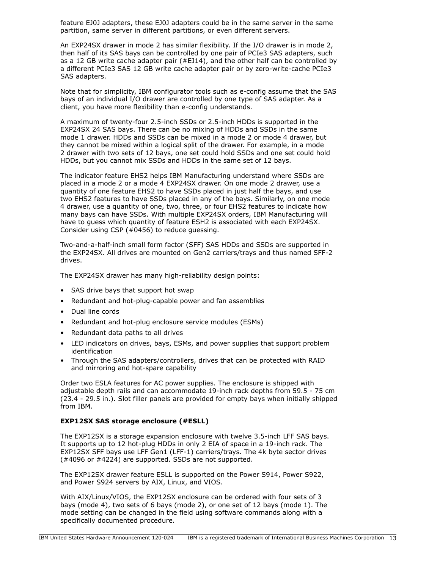feature EJ0J adapters, these EJ0J adapters could be in the same server in the same partition, same server in different partitions, or even different servers.

An EXP24SX drawer in mode 2 has similar flexibility. If the I/O drawer is in mode 2, then half of its SAS bays can be controlled by one pair of PCIe3 SAS adapters, such as a 12 GB write cache adapter pair  $(#EJ14)$ , and the other half can be controlled by a different PCIe3 SAS 12 GB write cache adapter pair or by zero-write-cache PCIe3 SAS adapters.

Note that for simplicity, IBM configurator tools such as e-config assume that the SAS bays of an individual I/O drawer are controlled by one type of SAS adapter. As a client, you have more flexibility than e-config understands.

A maximum of twenty-four 2.5-inch SSDs or 2.5-inch HDDs is supported in the EXP24SX 24 SAS bays. There can be no mixing of HDDs and SSDs in the same mode 1 drawer. HDDs and SSDs can be mixed in a mode 2 or mode 4 drawer, but they cannot be mixed within a logical split of the drawer. For example, in a mode 2 drawer with two sets of 12 bays, one set could hold SSDs and one set could hold HDDs, but you cannot mix SSDs and HDDs in the same set of 12 bays.

The indicator feature EHS2 helps IBM Manufacturing understand where SSDs are placed in a mode 2 or a mode 4 EXP24SX drawer. On one mode 2 drawer, use a quantity of one feature EHS2 to have SSDs placed in just half the bays, and use two EHS2 features to have SSDs placed in any of the bays. Similarly, on one mode 4 drawer, use a quantity of one, two, three, or four EHS2 features to indicate how many bays can have SSDs. With multiple EXP24SX orders, IBM Manufacturing will have to guess which quantity of feature ESH2 is associated with each EXP24SX. Consider using CSP (#0456) to reduce guessing.

Two-and-a-half-inch small form factor (SFF) SAS HDDs and SSDs are supported in the EXP24SX. All drives are mounted on Gen2 carriers/trays and thus named SFF-2 drives.

The EXP24SX drawer has many high-reliability design points:

- SAS drive bays that support hot swap
- Redundant and hot-plug-capable power and fan assemblies
- Dual line cords
- Redundant and hot-plug enclosure service modules (ESMs)
- Redundant data paths to all drives
- LED indicators on drives, bays, ESMs, and power supplies that support problem identification
- Through the SAS adapters/controllers, drives that can be protected with RAID and mirroring and hot-spare capability

Order two ESLA features for AC power supplies. The enclosure is shipped with adjustable depth rails and can accommodate 19-inch rack depths from 59.5 - 75 cm (23.4 - 29.5 in.). Slot filler panels are provided for empty bays when initially shipped from IBM.

#### **EXP12SX SAS storage enclosure (#ESLL)**

The EXP12SX is a storage expansion enclosure with twelve 3.5-inch LFF SAS bays. It supports up to 12 hot-plug HDDs in only 2 EIA of space in a 19-inch rack. The EXP12SX SFF bays use LFF Gen1 (LFF-1) carriers/trays. The 4k byte sector drives (#4096 or #4224) are supported. SSDs are not supported.

The EXP12SX drawer feature ESLL is supported on the Power S914, Power S922, and Power S924 servers by AIX, Linux, and VIOS.

With AIX/Linux/VIOS, the EXP12SX enclosure can be ordered with four sets of 3 bays (mode 4), two sets of 6 bays (mode 2), or one set of 12 bays (mode 1). The mode setting can be changed in the field using software commands along with a specifically documented procedure.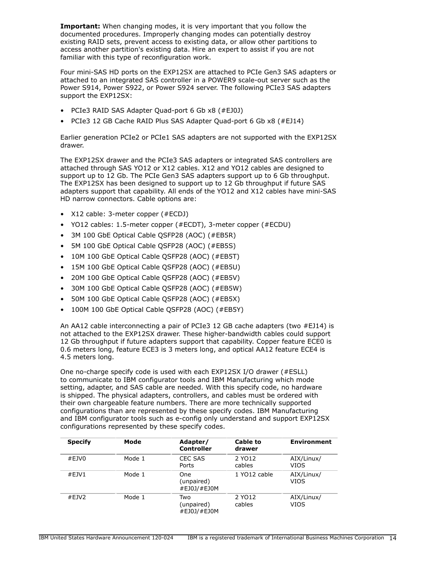**Important:** When changing modes, it is very important that you follow the documented procedures. Improperly changing modes can potentially destroy existing RAID sets, prevent access to existing data, or allow other partitions to access another partition's existing data. Hire an expert to assist if you are not familiar with this type of reconfiguration work.

Four mini-SAS HD ports on the EXP12SX are attached to PCIe Gen3 SAS adapters or attached to an integrated SAS controller in a POWER9 scale-out server such as the Power S914, Power S922, or Power S924 server. The following PCIe3 SAS adapters support the EXP12SX:

- PCIe3 RAID SAS Adapter Quad-port 6 Gb x8 (#EJ0J)
- PCIe3 12 GB Cache RAID Plus SAS Adapter Quad-port 6 Gb x8 (#EJ14)

Earlier generation PCIe2 or PCIe1 SAS adapters are not supported with the EXP12SX drawer.

The EXP12SX drawer and the PCIe3 SAS adapters or integrated SAS controllers are attached through SAS YO12 or X12 cables. X12 and YO12 cables are designed to support up to 12 Gb. The PCIe Gen3 SAS adapters support up to 6 Gb throughput. The EXP12SX has been designed to support up to 12 Gb throughput if future SAS adapters support that capability. All ends of the YO12 and X12 cables have mini-SAS HD narrow connectors. Cable options are:

- X12 cable: 3-meter copper (#ECDJ)
- YO12 cables: 1.5-meter copper (#ECDT), 3-meter copper (#ECDU)
- 3M 100 GbE Optical Cable QSFP28 (AOC) (#EB5R)
- 5M 100 GbE Optical Cable QSFP28 (AOC) (#EB5S)
- 10M 100 GbE Optical Cable QSFP28 (AOC) (#EB5T)
- 15M 100 GbE Optical Cable QSFP28 (AOC) (#EB5U)
- 20M 100 GbE Optical Cable QSFP28 (AOC) (#EB5V)
- 30M 100 GbE Optical Cable QSFP28 (AOC) (#EB5W)
- 50M 100 GbE Optical Cable QSFP28 (AOC) (#EB5X)
- 100M 100 GbE Optical Cable QSFP28 (AOC) (#EB5Y)

An AA12 cable interconnecting a pair of PCIe3 12 GB cache adapters (two #EJ14) is not attached to the EXP12SX drawer. These higher-bandwidth cables could support 12 Gb throughput if future adapters support that capability. Copper feature ECE0 is 0.6 meters long, feature ECE3 is 3 meters long, and optical AA12 feature ECE4 is 4.5 meters long.

One no-charge specify code is used with each EXP12SX I/O drawer (#ESLL) to communicate to IBM configurator tools and IBM Manufacturing which mode setting, adapter, and SAS cable are needed. With this specify code, no hardware is shipped. The physical adapters, controllers, and cables must be ordered with their own chargeable feature numbers. There are more technically supported configurations than are represented by these specify codes. IBM Manufacturing and IBM configurator tools such as e-config only understand and support EXP12SX configurations represented by these specify codes.

| <b>Specify</b> | Mode   | Adapter/<br><b>Controller</b>    | Cable to<br>drawer | <b>Environment</b> |
|----------------|--------|----------------------------------|--------------------|--------------------|
| #EJV $0$       | Mode 1 | CEC SAS<br>Ports                 | 2 YO12<br>cables   | AIX/Linux/<br>VIOS |
| #EJV1          | Mode 1 | One<br>(unpaired)<br>#EJ0J/#EJ0M | 1 YO12 cable       | AIX/Linux/<br>VIOS |
| #EJV2          | Mode 1 | Two<br>(unpaired)<br>#EJ0J/#EJ0M | 2 YO12<br>cables   | AIX/Linux/<br>VIOS |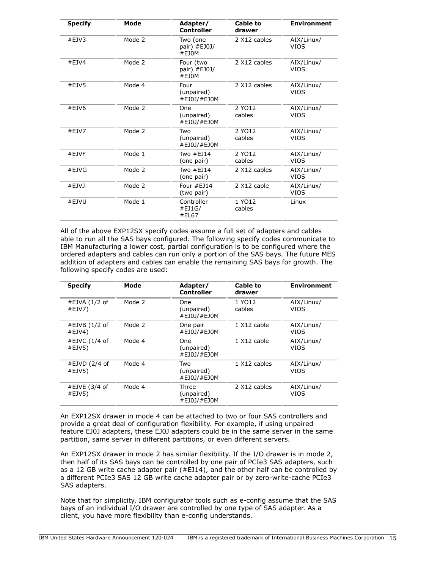| <b>Specify</b> | Mode   | Adapter/<br>Controller             | Cable to<br>drawer | <b>Environment</b>        |
|----------------|--------|------------------------------------|--------------------|---------------------------|
| #EJV3          | Mode 2 | Two (one<br>pair) #EJ0J/<br>#F10M  | 2 X12 cables       | AIX/Linux/<br><b>VIOS</b> |
| $#E$ JV4       | Mode 2 | Four (two<br>pair) #EJ0J/<br>#EJ0M | 2 X12 cables       | AIX/Linux/<br><b>VIOS</b> |
| #EJV5          | Mode 4 | Four<br>(unpaired)<br>#EJ0J/#EJ0M  | 2 X12 cables       | AIX/Linux/<br><b>VIOS</b> |
| #EJV6          | Mode 2 | One<br>(unpaired)<br>#EJ0J/#EJ0M   | 2 YO12<br>cables   | AIX/Linux/<br><b>VIOS</b> |
| #EJV7          | Mode 2 | Two<br>(unpaired)<br>#EJ0J/#EJ0M   | 2 YO12<br>cables   | AIX/Linux/<br><b>VIOS</b> |
| #EJVF          | Mode 1 | Two #EJ14<br>(one pair)            | 2 YO12<br>cables   | AIX/Linux/<br><b>VIOS</b> |
| #EJVG          | Mode 2 | Two $#EJ14$<br>(one pair)          | 2 X12 cables       | AIX/Linux/<br><b>VIOS</b> |
| #EJVI          | Mode 2 | Four #EJ14<br>(two pair)           | 2 X12 cable        | AIX/Linux/<br><b>VIOS</b> |
| #EJVU          | Mode 1 | Controller<br>#EJ1G/<br>#EL67      | 1 YO12<br>cables   | Linux                     |
|                |        |                                    |                    |                           |

All of the above EXP12SX specify codes assume a full set of adapters and cables able to run all the SAS bays configured. The following specify codes communicate to IBM Manufacturing a lower cost, partial configuration is to be configured where the ordered adapters and cables can run only a portion of the SAS bays. The future MES addition of adapters and cables can enable the remaining SAS bays for growth. The following specify codes are used:

| <b>Specify</b>          | Mode   | Adapter/<br>Controller                  | <b>Cable to</b><br>drawer | <b>Environment</b>        |
|-------------------------|--------|-----------------------------------------|---------------------------|---------------------------|
| #EJVA (1/2 of<br>#EJV7) | Mode 2 | One<br>(unpaired)<br>#EJ0J/#EJ0M        | 1 YO12<br>cables          | AIX/Linux/<br>VIOS        |
| #EJVB (1/2 of<br>#EJV4) | Mode 2 | One pair<br>#EJ0J/#EJ0M                 | 1 X12 cable               | AIX/Linux/<br>VIOS        |
| #EJVC (1/4 of<br>#EJV5) | Mode 4 | <b>One</b><br>(unpaired)<br>#EJ0J/#EJ0M | 1 X12 cable               | AIX/Linux/<br><b>VIOS</b> |
| #EJVD (2/4 of<br>#EJV5) | Mode 4 | Two<br>(unpaired)<br>#EJ0J/#EJ0M        | 1 X12 cables              | AIX/Linux/<br>VIOS        |
| #EJVE (3/4 of<br>#EJV5) | Mode 4 | Three<br>(unpaired)<br>#EJ0J/#EJ0M      | 2 X12 cables              | AIX/Linux/<br>VIOS        |

An EXP12SX drawer in mode 4 can be attached to two or four SAS controllers and provide a great deal of configuration flexibility. For example, if using unpaired feature EJ0J adapters, these EJ0J adapters could be in the same server in the same partition, same server in different partitions, or even different servers.

An EXP12SX drawer in mode 2 has similar flexibility. If the I/O drawer is in mode 2, then half of its SAS bays can be controlled by one pair of PCIe3 SAS adapters, such as a 12 GB write cache adapter pair (#EJ14), and the other half can be controlled by a different PCIe3 SAS 12 GB write cache adapter pair or by zero-write-cache PCIe3 SAS adapters.

Note that for simplicity, IBM configurator tools such as e-config assume that the SAS bays of an individual I/O drawer are controlled by one type of SAS adapter. As a client, you have more flexibility than e-config understands.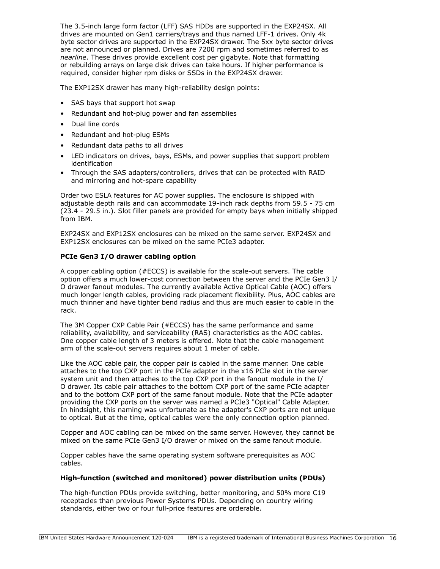The 3.5-inch large form factor (LFF) SAS HDDs are supported in the EXP24SX. All drives are mounted on Gen1 carriers/trays and thus named LFF-1 drives. Only 4k byte sector drives are supported in the EXP24SX drawer. The 5xx byte sector drives are not announced or planned. Drives are 7200 rpm and sometimes referred to as *nearline*. These drives provide excellent cost per gigabyte. Note that formatting or rebuilding arrays on large disk drives can take hours. If higher performance is required, consider higher rpm disks or SSDs in the EXP24SX drawer.

The EXP12SX drawer has many high-reliability design points:

- SAS bays that support hot swap
- Redundant and hot-plug power and fan assemblies
- Dual line cords
- Redundant and hot-plug ESMs
- Redundant data paths to all drives
- LED indicators on drives, bays, ESMs, and power supplies that support problem identification
- Through the SAS adapters/controllers, drives that can be protected with RAID and mirroring and hot-spare capability

Order two ESLA features for AC power supplies. The enclosure is shipped with adjustable depth rails and can accommodate 19-inch rack depths from 59.5 - 75 cm (23.4 - 29.5 in.). Slot filler panels are provided for empty bays when initially shipped from IBM.

EXP24SX and EXP12SX enclosures can be mixed on the same server. EXP24SX and EXP12SX enclosures can be mixed on the same PCIe3 adapter.

### **PCIe Gen3 I/O drawer cabling option**

A copper cabling option (#ECCS) is available for the scale-out servers. The cable option offers a much lower-cost connection between the server and the PCIe Gen3 I/ O drawer fanout modules. The currently available Active Optical Cable (AOC) offers much longer length cables, providing rack placement flexibility. Plus, AOC cables are much thinner and have tighter bend radius and thus are much easier to cable in the rack.

The 3M Copper CXP Cable Pair (#ECCS) has the same performance and same reliability, availability, and serviceability (RAS) characteristics as the AOC cables. One copper cable length of 3 meters is offered. Note that the cable management arm of the scale-out servers requires about 1 meter of cable.

Like the AOC cable pair, the copper pair is cabled in the same manner. One cable attaches to the top CXP port in the PCIe adapter in the x16 PCIe slot in the server system unit and then attaches to the top CXP port in the fanout module in the I/ O drawer. Its cable pair attaches to the bottom CXP port of the same PCIe adapter and to the bottom CXP port of the same fanout module. Note that the PCIe adapter providing the CXP ports on the server was named a PCIe3 "Optical" Cable Adapter. In hindsight, this naming was unfortunate as the adapter's CXP ports are not unique to optical. But at the time, optical cables were the only connection option planned.

Copper and AOC cabling can be mixed on the same server. However, they cannot be mixed on the same PCIe Gen3 I/O drawer or mixed on the same fanout module.

Copper cables have the same operating system software prerequisites as AOC cables.

#### **High-function (switched and monitored) power distribution units (PDUs)**

The high-function PDUs provide switching, better monitoring, and 50% more C19 receptacles than previous Power Systems PDUs. Depending on country wiring standards, either two or four full-price features are orderable.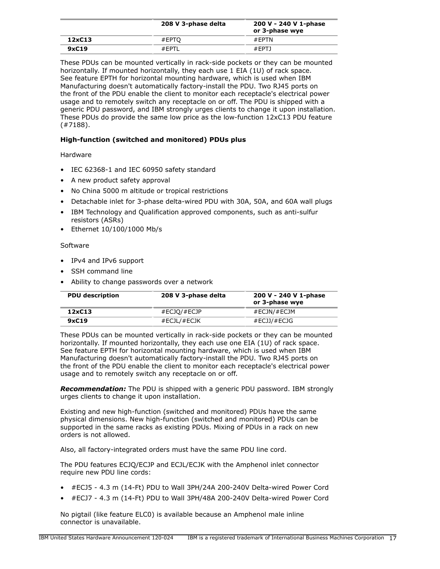|        | 208 V 3-phase delta | 200 V - 240 V 1-phase<br>or 3-phase wye |  |  |
|--------|---------------------|-----------------------------------------|--|--|
| 12xC13 | #EPTO               | $#$ FPTN                                |  |  |
| 9xC19  | #FPTI               | #EPTJ                                   |  |  |

These PDUs can be mounted vertically in rack-side pockets or they can be mounted horizontally. If mounted horizontally, they each use 1 EIA (1U) of rack space. See feature EPTH for horizontal mounting hardware, which is used when IBM Manufacturing doesn't automatically factory-install the PDU. Two RJ45 ports on the front of the PDU enable the client to monitor each receptacle's electrical power usage and to remotely switch any receptacle on or off. The PDU is shipped with a generic PDU password, and IBM strongly urges clients to change it upon installation. These PDUs do provide the same low price as the low-function 12xC13 PDU feature (#7188).

## **High-function (switched and monitored) PDUs plus**

## Hardware

- IEC 62368-1 and IEC 60950 safety standard
- A new product safety approval
- No China 5000 m altitude or tropical restrictions
- Detachable inlet for 3-phase delta-wired PDU with 30A, 50A, and 60A wall plugs
- IBM Technology and Qualification approved components, such as anti-sulfur resistors (ASRs)
- Ethernet 10/100/1000 Mb/s

## Software

- IPv4 and IPv6 support
- SSH command line
- Ability to change passwords over a network

| <b>PDU</b> description | 208 V 3-phase delta  | 200 V - 240 V 1-phase<br>or 3-phase wye |
|------------------------|----------------------|-----------------------------------------|
| 12xC13                 | #ECJO/#ECJP          | #ECJN/#ECJM                             |
| 9xC19                  | $\#$ ECJL/ $\#$ ECJK | #ECJJ/#ECJG                             |

These PDUs can be mounted vertically in rack-side pockets or they can be mounted horizontally. If mounted horizontally, they each use one EIA (1U) of rack space. See feature EPTH for horizontal mounting hardware, which is used when IBM Manufacturing doesn't automatically factory-install the PDU. Two RJ45 ports on the front of the PDU enable the client to monitor each receptacle's electrical power usage and to remotely switch any receptacle on or off.

*Recommendation:* The PDU is shipped with a generic PDU password. IBM strongly urges clients to change it upon installation.

Existing and new high-function (switched and monitored) PDUs have the same physical dimensions. New high-function (switched and monitored) PDUs can be supported in the same racks as existing PDUs. Mixing of PDUs in a rack on new orders is not allowed.

Also, all factory-integrated orders must have the same PDU line cord.

The PDU features ECJQ/ECJP and ECJL/ECJK with the Amphenol inlet connector require new PDU line cords:

- #ECJ5 4.3 m (14-Ft) PDU to Wall 3PH/24A 200-240V Delta-wired Power Cord
- #ECJ7 4.3 m (14-Ft) PDU to Wall 3PH/48A 200-240V Delta-wired Power Cord

No pigtail (like feature ELC0) is available because an Amphenol male inline connector is unavailable.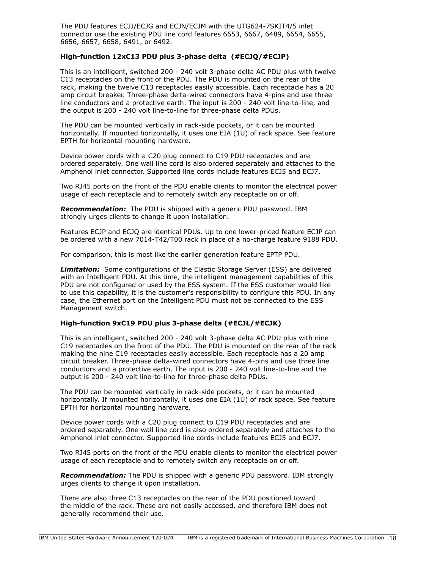The PDU features ECJJ/ECJG and ECJN/ECJM with the UTG624-7SKIT4/5 inlet connector use the existing PDU line cord features 6653, 6667, 6489, 6654, 6655, 6656, 6657, 6658, 6491, or 6492.

## **High-function 12xC13 PDU plus 3-phase delta (#ECJQ/#ECJP)**

This is an intelligent, switched 200 - 240 volt 3-phase delta AC PDU plus with twelve C13 receptacles on the front of the PDU. The PDU is mounted on the rear of the rack, making the twelve C13 receptacles easily accessible. Each receptacle has a 20 amp circuit breaker. Three-phase delta-wired connectors have 4-pins and use three line conductors and a protective earth. The input is 200 - 240 volt line-to-line, and the output is 200 - 240 volt line-to-line for three-phase delta PDUs.

The PDU can be mounted vertically in rack-side pockets, or it can be mounted horizontally. If mounted horizontally, it uses one EIA (1U) of rack space. See feature EPTH for horizontal mounting hardware.

Device power cords with a C20 plug connect to C19 PDU receptacles and are ordered separately. One wall line cord is also ordered separately and attaches to the Amphenol inlet connector. Supported line cords include features ECJ5 and ECJ7.

Two RJ45 ports on the front of the PDU enable clients to monitor the electrical power usage of each receptacle and to remotely switch any receptacle on or off.

*Recommendation:* The PDU is shipped with a generic PDU password. IBM strongly urges clients to change it upon installation.

Features ECJP and ECJQ are identical PDUs. Up to one lower-priced feature ECJP can be ordered with a new 7014-T42/T00 rack in place of a no-charge feature 9188 PDU.

For comparison, this is most like the earlier generation feature EPTP PDU.

*Limitation:* Some configurations of the Elastic Storage Server (ESS) are delivered with an Intelligent PDU. At this time, the intelligent management capabilities of this PDU are not configured or used by the ESS system. If the ESS customer would like to use this capability, it is the customer's responsibility to configure this PDU. In any case, the Ethernet port on the Intelligent PDU must not be connected to the ESS Management switch.

#### **High-function 9xC19 PDU plus 3-phase delta (#ECJL/#ECJK)**

This is an intelligent, switched 200 - 240 volt 3-phase delta AC PDU plus with nine C19 receptacles on the front of the PDU. The PDU is mounted on the rear of the rack making the nine C19 receptacles easily accessible. Each receptacle has a 20 amp circuit breaker. Three-phase delta-wired connectors have 4-pins and use three line conductors and a protective earth. The input is 200 - 240 volt line-to-line and the output is 200 - 240 volt line-to-line for three-phase delta PDUs.

The PDU can be mounted vertically in rack-side pockets, or it can be mounted horizontally. If mounted horizontally, it uses one EIA (1U) of rack space. See feature EPTH for horizontal mounting hardware.

Device power cords with a C20 plug connect to C19 PDU receptacles and are ordered separately. One wall line cord is also ordered separately and attaches to the Amphenol inlet connector. Supported line cords include features ECJ5 and ECJ7.

Two RJ45 ports on the front of the PDU enable clients to monitor the electrical power usage of each receptacle and to remotely switch any receptacle on or off.

*Recommendation:* The PDU is shipped with a generic PDU password. IBM strongly urges clients to change it upon installation.

There are also three C13 receptacles on the rear of the PDU positioned toward the middle of the rack. These are not easily accessed, and therefore IBM does not generally recommend their use.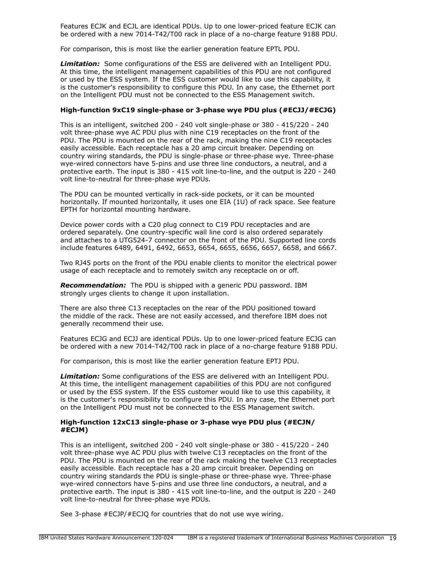Features ECJK and ECJL are identical PDUs. Up to one lower-priced feature ECJK can be ordered with a new 7014-T42/T00 rack in place of a no-charge feature 9188 PDU.

For comparison, this is most like the earlier generation feature EPTL PDU.

*Limitation:* Some configurations of the ESS are delivered with an Intelligent PDU. At this time, the intelligent management capabilities of this PDU are not configured or used by the ESS system. If the ESS customer would like to use this capability, it is the customer's responsibility to configure this PDU. In any case, the Ethernet port on the Intelligent PDU must not be connected to the ESS Management switch.

#### **High-function 9xC19 single-phase or 3-phase wye PDU plus (#ECJJ/#ECJG)**

This is an intelligent, switched 200 - 240 volt single-phase or 380 - 415/220 - 240 volt three-phase wye AC PDU plus with nine C19 receptacles on the front of the PDU. The PDU is mounted on the rear of the rack, making the nine C19 receptacles easily accessible. Each receptacle has a 20 amp circuit breaker. Depending on country wiring standards, the PDU is single-phase or three-phase wye. Three-phase wye-wired connectors have 5-pins and use three line conductors, a neutral, and a protective earth. The input is 380 - 415 volt line-to-line, and the output is 220 - 240 volt line-to-neutral for three-phase wye PDUs.

The PDU can be mounted vertically in rack-side pockets, or it can be mounted horizontally. If mounted horizontally, it uses one EIA (1U) of rack space. See feature EPTH for horizontal mounting hardware.

Device power cords with a C20 plug connect to C19 PDU receptacles and are ordered separately. One country-specific wall line cord is also ordered separately and attaches to a UTG524-7 connector on the front of the PDU. Supported line cords include features 6489, 6491, 6492, 6653, 6654, 6655, 6656, 6657, 6658, and 6667.

Two RJ45 ports on the front of the PDU enable clients to monitor the electrical power usage of each receptacle and to remotely switch any receptacle on or off.

*Recommendation:* The PDU is shipped with a generic PDU password. IBM strongly urges clients to change it upon installation.

There are also three C13 receptacles on the rear of the PDU positioned toward the middle of the rack. These are not easily accessed, and therefore IBM does not generally recommend their use.

Features ECJG and ECJJ are identical PDUs. Up to one lower-priced feature ECJG can be ordered with a new 7014-T42/T00 rack in place of a no-charge feature 9188 PDU.

For comparison, this is most like the earlier generation feature EPTJ PDU.

*Limitation:* Some configurations of the ESS are delivered with an Intelligent PDU. At this time, the intelligent management capabilities of this PDU are not configured or used by the ESS system. If the ESS customer would like to use this capability, it is the customer's responsibility to configure this PDU. In any case, the Ethernet port on the Intelligent PDU must not be connected to the ESS Management switch.

### **High-function 12xC13 single-phase or 3-phase wye PDU plus (#ECJN/ #ECJM)**

This is an intelligent, switched 200 - 240 volt single-phase or 380 - 415/220 - 240 volt three-phase wye AC PDU plus with twelve C13 receptacles on the front of the PDU. The PDU is mounted on the rear of the rack making the twelve C13 receptacles easily accessible. Each receptacle has a 20 amp circuit breaker. Depending on country wiring standards the PDU is single-phase or three-phase wye. Three-phase wye-wired connectors have 5-pins and use three line conductors, a neutral, and a protective earth. The input is 380 - 415 volt line-to-line, and the output is 220 - 240 volt line-to-neutral for three-phase wye PDUs.

See 3-phase #ECJP/#ECJQ for countries that do not use wye wiring.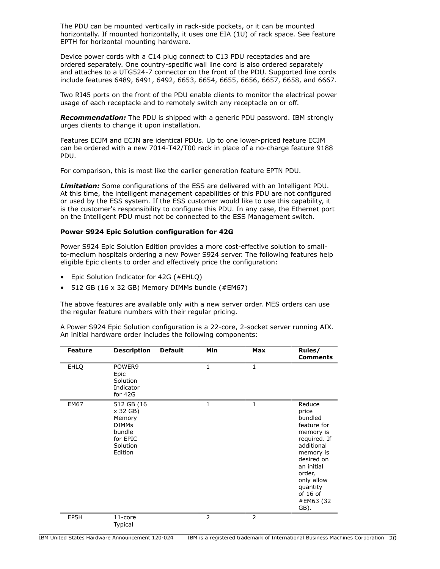The PDU can be mounted vertically in rack-side pockets, or it can be mounted horizontally. If mounted horizontally, it uses one EIA (1U) of rack space. See feature EPTH for horizontal mounting hardware.

Device power cords with a C14 plug connect to C13 PDU receptacles and are ordered separately. One country-specific wall line cord is also ordered separately and attaches to a UTG524-7 connector on the front of the PDU. Supported line cords include features 6489, 6491, 6492, 6653, 6654, 6655, 6656, 6657, 6658, and 6667.

Two RJ45 ports on the front of the PDU enable clients to monitor the electrical power usage of each receptacle and to remotely switch any receptacle on or off.

*Recommendation:* The PDU is shipped with a generic PDU password. IBM strongly urges clients to change it upon installation.

Features ECJM and ECJN are identical PDUs. Up to one lower-priced feature ECJM can be ordered with a new 7014-T42/T00 rack in place of a no-charge feature 9188 PDU.

For comparison, this is most like the earlier generation feature EPTN PDU.

*Limitation:* Some configurations of the ESS are delivered with an Intelligent PDU. At this time, the intelligent management capabilities of this PDU are not configured or used by the ESS system. If the ESS customer would like to use this capability, it is the customer's responsibility to configure this PDU. In any case, the Ethernet port on the Intelligent PDU must not be connected to the ESS Management switch.

#### **Power S924 Epic Solution configuration for 42G**

Power S924 Epic Solution Edition provides a more cost-effective solution to smallto-medium hospitals ordering a new Power S924 server. The following features help eligible Epic clients to order and effectively price the configuration:

- Epic Solution Indicator for 42G (#EHLQ)
- 512 GB (16 x 32 GB) Memory DIMMs bundle (#EM67)

The above features are available only with a new server order. MES orders can use the regular feature numbers with their regular pricing.

A Power S924 Epic Solution configuration is a 22-core, 2-socket server running AIX. An initial hardware order includes the following components:

| <b>Feature</b> | <b>Description</b>                                                                            | <b>Default</b> | Min | <b>Max</b> | Rules/<br><b>Comments</b>                                                                                                                                                                            |
|----------------|-----------------------------------------------------------------------------------------------|----------------|-----|------------|------------------------------------------------------------------------------------------------------------------------------------------------------------------------------------------------------|
| <b>EHLQ</b>    | POWER9<br>Epic<br>Solution<br>Indicator<br>for 42G                                            |                | 1   | 1          |                                                                                                                                                                                                      |
| <b>EM67</b>    | 512 GB (16<br>x 32 GB)<br>Memory<br><b>DIMMs</b><br>bundle<br>for EPIC<br>Solution<br>Edition |                | 1   | 1          | Reduce<br>price<br>bundled<br>feature for<br>memory is<br>required. If<br>additional<br>memory is<br>desired on<br>an initial<br>order,<br>only allow<br>quantity<br>of $16$ of<br>#EM63 (32<br>GB). |
| EP5H           | $11$ -core<br><b>Typical</b>                                                                  |                | 2   | 2          |                                                                                                                                                                                                      |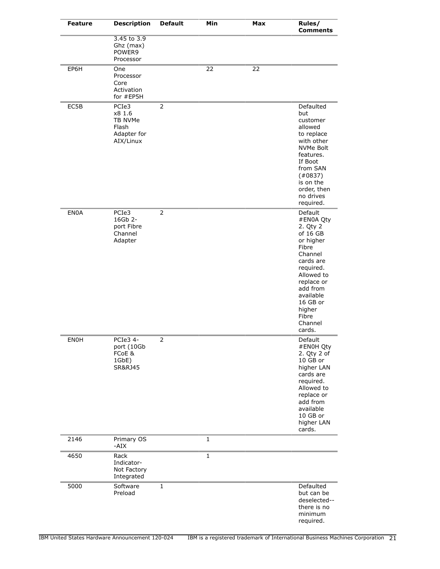| <b>Feature</b> | <b>Description</b>                                              | <b>Default</b> | Min         | Max | Rules/<br><b>Comments</b>                                                                                                                                                                                        |
|----------------|-----------------------------------------------------------------|----------------|-------------|-----|------------------------------------------------------------------------------------------------------------------------------------------------------------------------------------------------------------------|
|                | 3.45 to 3.9<br>Ghz (max)<br>POWER9<br>Processor                 |                |             |     |                                                                                                                                                                                                                  |
| EP6H           | One<br>Processor<br>Core<br>Activation<br>for #EP5H             |                | 22          | 22  |                                                                                                                                                                                                                  |
| EC5B           | PCIe3<br>x8 1.6<br>TB NVMe<br>Flash<br>Adapter for<br>AIX/Linux | $\overline{2}$ |             |     | Defaulted<br>but<br>customer<br>allowed<br>to replace<br>with other<br><b>NVMe Bolt</b><br>features.<br>If Boot<br>from SAN<br>(40837)<br>is on the<br>order, then<br>no drives<br>required.                     |
| <b>EN0A</b>    | PCIe3<br>16Gb 2-<br>port Fibre<br>Channel<br>Adapter            | $\overline{2}$ |             |     | Default<br>#EN0A Qty<br>2. Qty 2<br>of 16 GB<br>or higher<br>Fibre<br>Channel<br>cards are<br>required.<br>Allowed to<br>replace or<br>add from<br>available<br>16 GB or<br>higher<br>Fibre<br>Channel<br>cards. |
| ENOH           | PCIe3 4-<br>port (10Gb<br>FCoE &<br>1GbE)<br><b>SR&amp;RJ45</b> | 2              |             |     | Default<br>#EN0H Qty<br>2. Qty 2 of<br>10 GB or<br>higher LAN<br>cards are<br>required.<br>Allowed to<br>replace or<br>add from<br>available<br>10 GB or<br>higher LAN<br>cards.                                 |
| 2146           | Primary OS<br>-AIX                                              |                | $\mathbf 1$ |     |                                                                                                                                                                                                                  |
| 4650           | Rack<br>Indicator-<br>Not Factory<br>Integrated                 |                | $\mathbf 1$ |     |                                                                                                                                                                                                                  |
| 5000           | Software<br>Preload                                             | 1              |             |     | Defaulted<br>but can be<br>deselected--<br>there is no<br>minimum<br>required.                                                                                                                                   |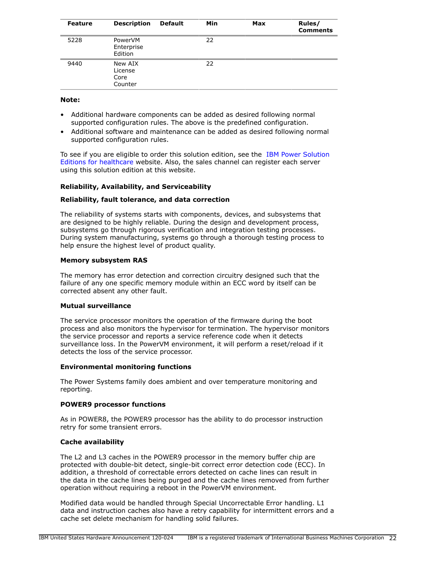| <b>Feature</b> | <b>Description</b>                    | <b>Default</b> | Min | Max | Rules/<br><b>Comments</b> |
|----------------|---------------------------------------|----------------|-----|-----|---------------------------|
| 5228           | PowerVM<br>Enterprise<br>Edition      |                | 22  |     |                           |
| 9440           | New AIX<br>License<br>Core<br>Counter |                | 22  |     |                           |

#### **Note:**

- Additional hardware components can be added as desired following normal supported configuration rules. The above is the predefined configuration.
- Additional software and maintenance can be added as desired following normal supported configuration rules.

To see if you are eligible to order this solution edition, see the [IBM Power Solution](https://www.ibm.com/us-en/marketplace/power-solution-editions-for-healthcare) [Editions for healthcare](https://www.ibm.com/us-en/marketplace/power-solution-editions-for-healthcare) website. Also, the sales channel can register each server using this solution edition at this website.

## **Reliability, Availability, and Serviceability**

### **Reliability, fault tolerance, and data correction**

The reliability of systems starts with components, devices, and subsystems that are designed to be highly reliable. During the design and development process, subsystems go through rigorous verification and integration testing processes. During system manufacturing, systems go through a thorough testing process to help ensure the highest level of product quality.

### **Memory subsystem RAS**

The memory has error detection and correction circuitry designed such that the failure of any one specific memory module within an ECC word by itself can be corrected absent any other fault.

#### **Mutual surveillance**

The service processor monitors the operation of the firmware during the boot process and also monitors the hypervisor for termination. The hypervisor monitors the service processor and reports a service reference code when it detects surveillance loss. In the PowerVM environment, it will perform a reset/reload if it detects the loss of the service processor.

#### **Environmental monitoring functions**

The Power Systems family does ambient and over temperature monitoring and reporting.

## **POWER9 processor functions**

As in POWER8, the POWER9 processor has the ability to do processor instruction retry for some transient errors.

## **Cache availability**

The L2 and L3 caches in the POWER9 processor in the memory buffer chip are protected with double-bit detect, single-bit correct error detection code (ECC). In addition, a threshold of correctable errors detected on cache lines can result in the data in the cache lines being purged and the cache lines removed from further operation without requiring a reboot in the PowerVM environment.

Modified data would be handled through Special Uncorrectable Error handling. L1 data and instruction caches also have a retry capability for intermittent errors and a cache set delete mechanism for handling solid failures.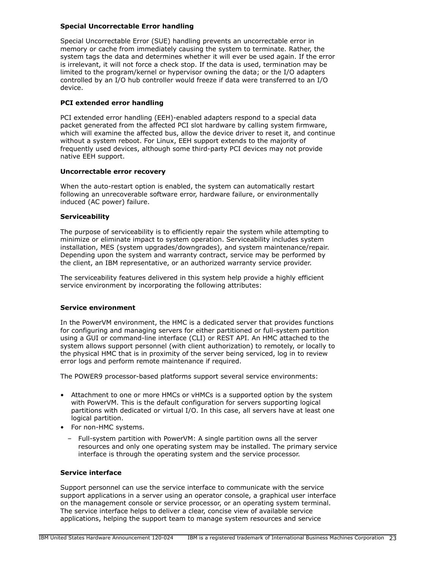## **Special Uncorrectable Error handling**

Special Uncorrectable Error (SUE) handling prevents an uncorrectable error in memory or cache from immediately causing the system to terminate. Rather, the system tags the data and determines whether it will ever be used again. If the error is irrelevant, it will not force a check stop. If the data is used, termination may be limited to the program/kernel or hypervisor owning the data; or the I/O adapters controlled by an I/O hub controller would freeze if data were transferred to an I/O device.

### **PCI extended error handling**

PCI extended error handling (EEH)-enabled adapters respond to a special data packet generated from the affected PCI slot hardware by calling system firmware, which will examine the affected bus, allow the device driver to reset it, and continue without a system reboot. For Linux, EEH support extends to the majority of frequently used devices, although some third-party PCI devices may not provide native EEH support.

#### **Uncorrectable error recovery**

When the auto-restart option is enabled, the system can automatically restart following an unrecoverable software error, hardware failure, or environmentally induced (AC power) failure.

### **Serviceability**

The purpose of serviceability is to efficiently repair the system while attempting to minimize or eliminate impact to system operation. Serviceability includes system installation, MES (system upgrades/downgrades), and system maintenance/repair. Depending upon the system and warranty contract, service may be performed by the client, an IBM representative, or an authorized warranty service provider.

The serviceability features delivered in this system help provide a highly efficient service environment by incorporating the following attributes:

#### **Service environment**

In the PowerVM environment, the HMC is a dedicated server that provides functions for configuring and managing servers for either partitioned or full-system partition using a GUI or command-line interface (CLI) or REST API. An HMC attached to the system allows support personnel (with client authorization) to remotely, or locally to the physical HMC that is in proximity of the server being serviced, log in to review error logs and perform remote maintenance if required.

The POWER9 processor-based platforms support several service environments:

- Attachment to one or more HMCs or vHMCs is a supported option by the system with PowerVM. This is the default configuration for servers supporting logical partitions with dedicated or virtual I/O. In this case, all servers have at least one logical partition.
- For non-HMC systems.
	- Full-system partition with PowerVM: A single partition owns all the server resources and only one operating system may be installed. The primary service interface is through the operating system and the service processor.

#### **Service interface**

Support personnel can use the service interface to communicate with the service support applications in a server using an operator console, a graphical user interface on the management console or service processor, or an operating system terminal. The service interface helps to deliver a clear, concise view of available service applications, helping the support team to manage system resources and service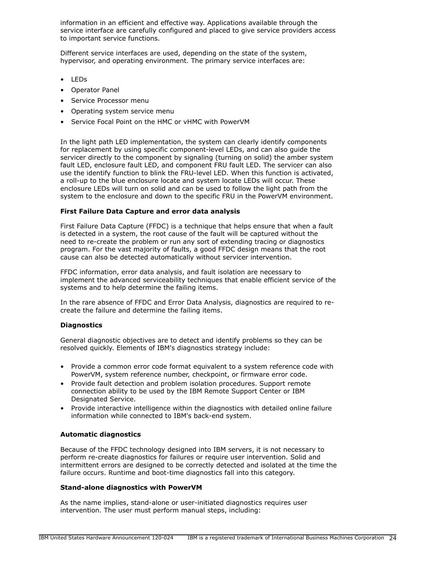information in an efficient and effective way. Applications available through the service interface are carefully configured and placed to give service providers access to important service functions.

Different service interfaces are used, depending on the state of the system, hypervisor, and operating environment. The primary service interfaces are:

- LEDs
- Operator Panel
- Service Processor menu
- Operating system service menu
- Service Focal Point on the HMC or vHMC with PowerVM

In the light path LED implementation, the system can clearly identify components for replacement by using specific component-level LEDs, and can also guide the servicer directly to the component by signaling (turning on solid) the amber system fault LED, enclosure fault LED, and component FRU fault LED. The servicer can also use the identify function to blink the FRU-level LED. When this function is activated, a roll-up to the blue enclosure locate and system locate LEDs will occur. These enclosure LEDs will turn on solid and can be used to follow the light path from the system to the enclosure and down to the specific FRU in the PowerVM environment.

## **First Failure Data Capture and error data analysis**

First Failure Data Capture (FFDC) is a technique that helps ensure that when a fault is detected in a system, the root cause of the fault will be captured without the need to re-create the problem or run any sort of extending tracing or diagnostics program. For the vast majority of faults, a good FFDC design means that the root cause can also be detected automatically without servicer intervention.

FFDC information, error data analysis, and fault isolation are necessary to implement the advanced serviceability techniques that enable efficient service of the systems and to help determine the failing items.

In the rare absence of FFDC and Error Data Analysis, diagnostics are required to recreate the failure and determine the failing items.

## **Diagnostics**

General diagnostic objectives are to detect and identify problems so they can be resolved quickly. Elements of IBM's diagnostics strategy include:

- Provide a common error code format equivalent to a system reference code with PowerVM, system reference number, checkpoint, or firmware error code.
- Provide fault detection and problem isolation procedures. Support remote connection ability to be used by the IBM Remote Support Center or IBM Designated Service.
- Provide interactive intelligence within the diagnostics with detailed online failure information while connected to IBM's back-end system.

## **Automatic diagnostics**

Because of the FFDC technology designed into IBM servers, it is not necessary to perform re-create diagnostics for failures or require user intervention. Solid and intermittent errors are designed to be correctly detected and isolated at the time the failure occurs. Runtime and boot-time diagnostics fall into this category.

## **Stand-alone diagnostics with PowerVM**

As the name implies, stand-alone or user-initiated diagnostics requires user intervention. The user must perform manual steps, including: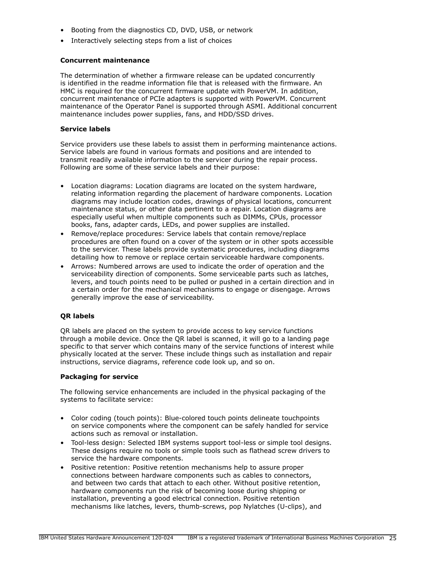- Booting from the diagnostics CD, DVD, USB, or network
- Interactively selecting steps from a list of choices

#### **Concurrent maintenance**

The determination of whether a firmware release can be updated concurrently is identified in the readme information file that is released with the firmware. An HMC is required for the concurrent firmware update with PowerVM. In addition, concurrent maintenance of PCIe adapters is supported with PowerVM. Concurrent maintenance of the Operator Panel is supported through ASMI. Additional concurrent maintenance includes power supplies, fans, and HDD/SSD drives.

#### **Service labels**

Service providers use these labels to assist them in performing maintenance actions. Service labels are found in various formats and positions and are intended to transmit readily available information to the servicer during the repair process. Following are some of these service labels and their purpose:

- Location diagrams: Location diagrams are located on the system hardware, relating information regarding the placement of hardware components. Location diagrams may include location codes, drawings of physical locations, concurrent maintenance status, or other data pertinent to a repair. Location diagrams are especially useful when multiple components such as DIMMs, CPUs, processor books, fans, adapter cards, LEDs, and power supplies are installed.
- Remove/replace procedures: Service labels that contain remove/replace procedures are often found on a cover of the system or in other spots accessible to the servicer. These labels provide systematic procedures, including diagrams detailing how to remove or replace certain serviceable hardware components.
- Arrows: Numbered arrows are used to indicate the order of operation and the serviceability direction of components. Some serviceable parts such as latches, levers, and touch points need to be pulled or pushed in a certain direction and in a certain order for the mechanical mechanisms to engage or disengage. Arrows generally improve the ease of serviceability.

## **QR labels**

QR labels are placed on the system to provide access to key service functions through a mobile device. Once the QR label is scanned, it will go to a landing page specific to that server which contains many of the service functions of interest while physically located at the server. These include things such as installation and repair instructions, service diagrams, reference code look up, and so on.

#### **Packaging for service**

The following service enhancements are included in the physical packaging of the systems to facilitate service:

- Color coding (touch points): Blue-colored touch points delineate touchpoints on service components where the component can be safely handled for service actions such as removal or installation.
- Tool-less design: Selected IBM systems support tool-less or simple tool designs. These designs require no tools or simple tools such as flathead screw drivers to service the hardware components.
- Positive retention: Positive retention mechanisms help to assure proper connections between hardware components such as cables to connectors, and between two cards that attach to each other. Without positive retention, hardware components run the risk of becoming loose during shipping or installation, preventing a good electrical connection. Positive retention mechanisms like latches, levers, thumb-screws, pop Nylatches (U-clips), and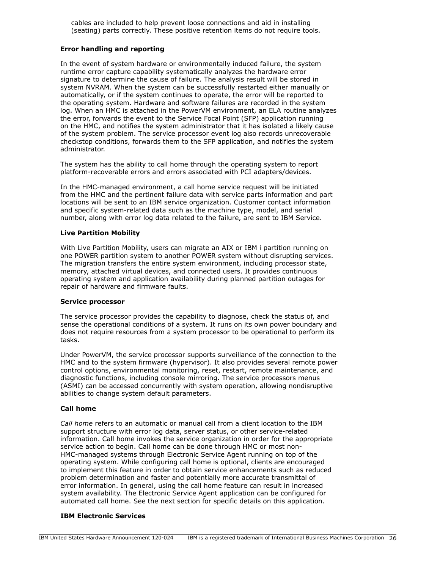cables are included to help prevent loose connections and aid in installing (seating) parts correctly. These positive retention items do not require tools.

### **Error handling and reporting**

In the event of system hardware or environmentally induced failure, the system runtime error capture capability systematically analyzes the hardware error signature to determine the cause of failure. The analysis result will be stored in system NVRAM. When the system can be successfully restarted either manually or automatically, or if the system continues to operate, the error will be reported to the operating system. Hardware and software failures are recorded in the system log. When an HMC is attached in the PowerVM environment, an ELA routine analyzes the error, forwards the event to the Service Focal Point (SFP) application running on the HMC, and notifies the system administrator that it has isolated a likely cause of the system problem. The service processor event log also records unrecoverable checkstop conditions, forwards them to the SFP application, and notifies the system administrator.

The system has the ability to call home through the operating system to report platform-recoverable errors and errors associated with PCI adapters/devices.

In the HMC-managed environment, a call home service request will be initiated from the HMC and the pertinent failure data with service parts information and part locations will be sent to an IBM service organization. Customer contact information and specific system-related data such as the machine type, model, and serial number, along with error log data related to the failure, are sent to IBM Service.

### **Live Partition Mobility**

With Live Partition Mobility, users can migrate an AIX or IBM i partition running on one POWER partition system to another POWER system without disrupting services. The migration transfers the entire system environment, including processor state, memory, attached virtual devices, and connected users. It provides continuous operating system and application availability during planned partition outages for repair of hardware and firmware faults.

#### **Service processor**

The service processor provides the capability to diagnose, check the status of, and sense the operational conditions of a system. It runs on its own power boundary and does not require resources from a system processor to be operational to perform its tasks.

Under PowerVM, the service processor supports surveillance of the connection to the HMC and to the system firmware (hypervisor). It also provides several remote power control options, environmental monitoring, reset, restart, remote maintenance, and diagnostic functions, including console mirroring. The service processors menus (ASMI) can be accessed concurrently with system operation, allowing nondisruptive abilities to change system default parameters.

#### **Call home**

*Call home* refers to an automatic or manual call from a client location to the IBM support structure with error log data, server status, or other service-related information. Call home invokes the service organization in order for the appropriate service action to begin. Call home can be done through HMC or most non-HMC-managed systems through Electronic Service Agent running on top of the operating system. While configuring call home is optional, clients are encouraged to implement this feature in order to obtain service enhancements such as reduced problem determination and faster and potentially more accurate transmittal of error information. In general, using the call home feature can result in increased system availability. The Electronic Service Agent application can be configured for automated call home. See the next section for specific details on this application.

#### **IBM Electronic Services**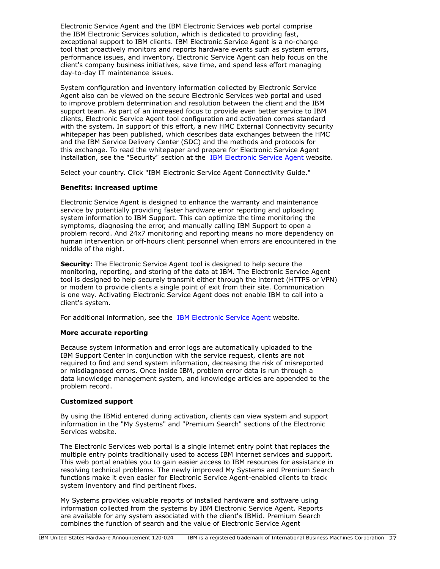Electronic Service Agent and the IBM Electronic Services web portal comprise the IBM Electronic Services solution, which is dedicated to providing fast, exceptional support to IBM clients. IBM Electronic Service Agent is a no-charge tool that proactively monitors and reports hardware events such as system errors, performance issues, and inventory. Electronic Service Agent can help focus on the client's company business initiatives, save time, and spend less effort managing day-to-day IT maintenance issues.

System configuration and inventory information collected by Electronic Service Agent also can be viewed on the secure Electronic Services web portal and used to improve problem determination and resolution between the client and the IBM support team. As part of an increased focus to provide even better service to IBM clients, Electronic Service Agent tool configuration and activation comes standard with the system. In support of this effort, a new HMC External Connectivity security whitepaper has been published, which describes data exchanges between the HMC and the IBM Service Delivery Center (SDC) and the methods and protocols for this exchange. To read the whitepaper and prepare for Electronic Service Agent installation, see the "Security" section at the [IBM Electronic Service Agent](https://www.ibm.com/support/knowledgecenter/ssw_ibm_i_71/rzaji/service_agent.htm) website.

Select your country. Click "IBM Electronic Service Agent Connectivity Guide."

## **Benefits: increased uptime**

Electronic Service Agent is designed to enhance the warranty and maintenance service by potentially providing faster hardware error reporting and uploading system information to IBM Support. This can optimize the time monitoring the symptoms, diagnosing the error, and manually calling IBM Support to open a problem record. And 24x7 monitoring and reporting means no more dependency on human intervention or off-hours client personnel when errors are encountered in the middle of the night.

**Security:** The Electronic Service Agent tool is designed to help secure the monitoring, reporting, and storing of the data at IBM. The Electronic Service Agent tool is designed to help securely transmit either through the internet (HTTPS or VPN) or modem to provide clients a single point of exit from their site. Communication is one way. Activating Electronic Service Agent does not enable IBM to call into a client's system.

For additional information, see the [IBM Electronic Service Agent](https://www.ibm.com/support/knowledgecenter/ssw_ibm_i_71/rzaji/service_agent.htm) website.

## **More accurate reporting**

Because system information and error logs are automatically uploaded to the IBM Support Center in conjunction with the service request, clients are not required to find and send system information, decreasing the risk of misreported or misdiagnosed errors. Once inside IBM, problem error data is run through a data knowledge management system, and knowledge articles are appended to the problem record.

## **Customized support**

By using the IBMid entered during activation, clients can view system and support information in the "My Systems" and "Premium Search" sections of the Electronic Services website.

The Electronic Services web portal is a single internet entry point that replaces the multiple entry points traditionally used to access IBM internet services and support. This web portal enables you to gain easier access to IBM resources for assistance in resolving technical problems. The newly improved My Systems and Premium Search functions make it even easier for Electronic Service Agent-enabled clients to track system inventory and find pertinent fixes.

My Systems provides valuable reports of installed hardware and software using information collected from the systems by IBM Electronic Service Agent. Reports are available for any system associated with the client's IBMid. Premium Search combines the function of search and the value of Electronic Service Agent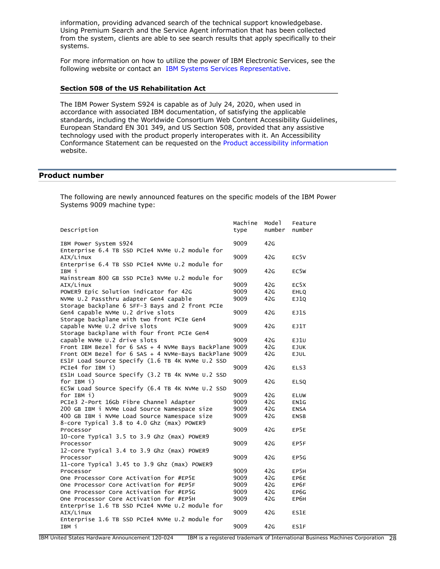information, providing advanced search of the technical support knowledgebase. Using Premium Search and the Service Agent information that has been collected from the system, clients are able to see search results that apply specifically to their systems.

For more information on how to utilize the power of IBM Electronic Services, see the following website or contact an [IBM Systems Services Representative](http://www.ibm.com/support/electronic).

#### **Section 508 of the US Rehabilitation Act**

The IBM Power System S924 is capable as of July 24, 2020, when used in accordance with associated IBM documentation, of satisfying the applicable standards, including the Worldwide Consortium Web Content Accessibility Guidelines, European Standard EN 301 349, and US Section 508, provided that any assistive technology used with the product properly interoperates with it. An Accessibility Conformance Statement can be requested on the [Product accessibility information](http://www.ibm.com/able/product_accessibility/index.html) website.

## <span id="page-27-0"></span>**Product number**

The following are newly announced features on the specific models of the IBM Power Systems 9009 machine type:

|                                                                                    | Machine      | Mode 1     | Feature           |
|------------------------------------------------------------------------------------|--------------|------------|-------------------|
| Description                                                                        | type         | number     | number            |
| IBM Power System S924                                                              | 9009         | 42G        |                   |
| Enterprise 6.4 TB SSD PCIe4 NVMe U.2 module for                                    |              |            |                   |
| AIX/Linux                                                                          | 9009         | 42G        | EC <sub>5V</sub>  |
| Enterprise 6.4 TB SSD PCIe4 NVMe U.2 module for                                    |              |            |                   |
| твм і                                                                              | 9009         | 42G        | EC <sub>5</sub> w |
| Mainstream 800 GB SSD PCIe3 NVMe U.2 module for                                    |              |            |                   |
| AIX/Linux                                                                          | 9009         | 42G        | EC <sub>5</sub> X |
| POWER9 Epic Solution indicator for 42G                                             | 9009         | 42G        | <b>EHLQ</b>       |
| NVMe U.2 Passthru adapter Gen4 capable                                             | 9009         | 42G        | EJ1Q              |
| Storage backplane 6 SFF-3 Bays and 2 front PCIe                                    |              |            |                   |
| Gen4 capable NVMe U.2 drive slots                                                  | 9009         | 42G        | EJ1S              |
| Storage backplane with two front PCIe Gen4                                         |              |            |                   |
| capable NVMe U.2 drive slots                                                       | 9009         | 42G        | EJ1T              |
| Storage backplane with four front PCIe Gen4                                        |              |            |                   |
| capable NVMe U.2 drive slots                                                       | 9009         | 42G        | EJ1U              |
| Front IBM Bezel for 6 SAS + 4 NVMe Bays BackPlane 9009                             |              | 42G        | <b>EJUK</b>       |
| Front OEM Bezel for 6 SAS + 4 NVMe-Bays BackPlane 9009                             |              | 42G        | <b>EJUL</b>       |
| ES1F Load Source Specify (1.6 TB 4K NVMe U.2 SSD                                   |              |            |                   |
| PCIe4 for IBM i)                                                                   | 9009         | 42G        | ELS3              |
| ES1H Load Source Specify (3.2 TB 4K NVMe U.2 SSD                                   |              |            |                   |
| for IBM i)                                                                         | 9009         | 42G        | <b>ELSQ</b>       |
| EC5W Load Source Specify (6.4 TB 4K NVMe U.2 SSD                                   |              |            |                   |
| for IBM i)                                                                         | 9009         | 42G        | <b>ELUW</b>       |
| PCIe3 2-Port 16Gb Fibre Channel Adapter                                            | 9009         | 42G        | EN1G              |
| 200 GB IBM i NVMe Load Source Namespace size                                       | 9009         | 42G        | <b>ENSA</b>       |
| 400 GB IBM i NVMe Load Source Namespace size                                       | 9009         | 42G        | <b>ENSB</b>       |
| 8-core Typical 3.8 to 4.0 Ghz (max) POWER9                                         |              |            |                   |
| Processor                                                                          | 9009         | 42G        | EP5E              |
| 10-core Typical 3.5 to 3.9 Ghz (max) POWER9                                        |              |            |                   |
| Processor                                                                          | 9009         | 42G        | EP5F              |
| 12-core Typical 3.4 to 3.9 Ghz (max) POWER9                                        |              |            |                   |
| Processor                                                                          | 9009         | 42G        | EP5G              |
| 11-core Typical 3.45 to 3.9 Ghz (max) POWER9                                       |              |            |                   |
| Processor                                                                          | 9009         | 42G        | EP5H              |
| One Processor Core Activation for #EP5E                                            | 9009         | 42G        | EP6E              |
| One Processor Core Activation for #EP5F<br>One Processor Core Activation for #EP5G | 9009<br>9009 | 42G<br>42G | EP6F              |
| One Processor Core Activation for #EP5H                                            | 9009         | 42G        | EP6G<br>EP6H      |
|                                                                                    |              |            |                   |
| Enterprise 1.6 TB SSD PCIe4 NVMe U.2 module for<br>AIX/Linux                       | 9009         | 42G        | ES1E              |
| Enterprise 1.6 TB SSD PCIe4 NVMe U.2 module for                                    |              |            |                   |
| IBM i                                                                              | 9009         | 42G        | ES1F              |
|                                                                                    |              |            |                   |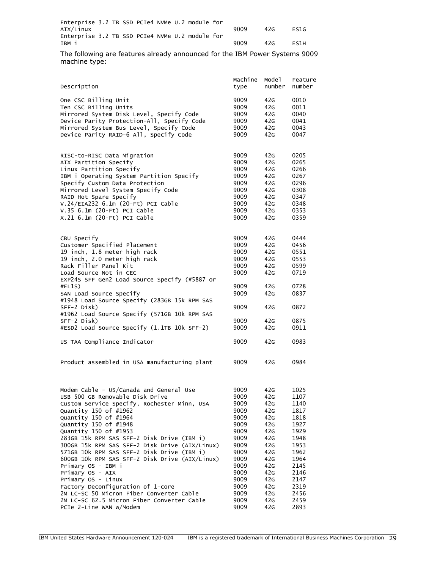| Enterprise 3.2 TB SSD PCIe4 NVMe U.2 module for |  |  |  |  |      |     |                   |
|-------------------------------------------------|--|--|--|--|------|-----|-------------------|
| AIX/Linux                                       |  |  |  |  | 9009 | 42G | <b>FS1G</b>       |
| Enterprise 3.2 TB SSD PCIe4 NVMe U.2 module for |  |  |  |  |      |     |                   |
| IBM i                                           |  |  |  |  | 9009 | 42G | FS <sub>1</sub> H |

The following are features already announced for the IBM Power Systems 9009 machine type:

|                                                             | Machine      | Mode 1     | Feature      |
|-------------------------------------------------------------|--------------|------------|--------------|
| Description                                                 | type         | number     | number       |
| One CSC Billing Unit                                        | 9009         | 42G        | 0010         |
| Ten CSC Billing Units                                       | 9009         | 42G        | 0011         |
| Mirrored System Disk Level, Specify Code                    | 9009         | 42G        | 0040         |
| Device Parity Protection-All, Specify Code                  | 9009         | 42G        | 0041         |
| Mirrored System Bus Level, Specify Code                     | 9009         | 42G        | 0043         |
| Device Parity RAID-6 All, Specify Code                      | 9009         | 42G        | 0047         |
|                                                             |              |            |              |
| RISC-to-RISC Data Migration                                 | 9009         | 42G        | 0205<br>0265 |
| AIX Partition Specify<br>Linux Partition Specify            | 9009<br>9009 | 42G<br>42G | 0266         |
| IBM i Operating System Partition Specify                    | 9009         | 42G        | 0267         |
| Specify Custom Data Protection                              | 9009         | 42G        | 0296         |
| Mirrored Level System Specify Code                          | 9009         | 42G        | 0308         |
| RAID Hot Spare Specify                                      | 9009         | 42G        | 0347         |
| V.24/EIA232 6.1m (20-Ft) PCI Cable                          | 9009         | 42G        | 0348         |
| $V.35$ 6.1m (20-Ft) PCI Cable                               | 9009         | 42G        | 0353         |
| X.21 6.1m (20-Ft) PCI Cable                                 | 9009         | 42G        | 0359         |
|                                                             |              |            |              |
| CBU Specify                                                 | 9009         | 42G        | 0444         |
| Customer Specified Placement                                | 9009         | 42G        | 0456         |
| 19 inch, 1.8 meter high rack                                | 9009         | 42G        | 0551         |
| 19 inch, 2.0 meter high rack                                | 9009         | 42G        | 0553         |
| Rack Filler Panel Kit                                       | 9009         | 42G        | 0599         |
| Load Source Not in CEC                                      | 9009         | 42G        | 0719         |
| EXP24S SFF Gen2 Load Source Specify (#5887 or               |              |            |              |
| #ELIS)                                                      | 9009         | 42G        | 0728         |
| SAN Load Source Specify                                     | 9009         | 42G        | 0837         |
| #1948 Load Source Specify (283GB 15k RPM SAS                |              |            |              |
| SFF-2 Disk)<br>#1962 Load Source Specify (571GB 10k RPM SAS | 9009         | 42G        | 0872         |
| SFF-2 Disk)                                                 | 9009         | 42G        | 0875         |
| #ESD2 Load Source Specify (1.1TB 10k SFF-2)                 | 9009         | 42G        | 0911         |
|                                                             |              |            |              |
| US TAA Compliance Indicator                                 | 9009         | 42G        | 0983         |
| Product assembled in USA manufacturing plant                | 9009         | 42G        | 0984         |
|                                                             |              |            |              |
|                                                             |              |            |              |
| Modem Cable - US/Canada and General Use                     | 9009         | 42G        | 1025         |
| USB 500 GB Removable Disk Drive                             | 9009         | 42G        | 1107         |
| Custom Service Specify, Rochester Minn, USA                 | 9009         | 42G        | 1140         |
| Quantity 150 of #1962                                       | 9009         | 42G        | 1817         |
| Quantity 150 of #1964                                       | 9009         | 42G        | 1818         |
| Quantity 150 of #1948                                       | 9009         | 42G        | 1927         |
| Quantity 150 of #1953                                       | 9009         | 42G        | 1929         |
| 283GB 15k RPM SAS SFF-2 Disk Drive (IBM i)                  | 9009         | 42G        | 1948         |
| 300GB 15k RPM SAS SFF-2 Disk Drive (AIX/Linux)              | 9009         | 42G        | 1953         |
| 571GB 10k RPM SAS SFF-2 Disk Drive (IBM i)                  | 9009         | 42G        | 1962         |
| 600GB 10k RPM SAS SFF-2 Disk Drive (AIX/Linux)              | 9009         | 42G        | 1964         |
| Primary OS - IBM i                                          | 9009         | 42G        | 2145         |
| Primary OS - AIX                                            | 9009         | 42G        | 2146         |
| Primary OS - Linux<br>Factory Deconfiguration of 1-core     | 9009<br>9009 | 42G<br>42G | 2147<br>2319 |
| 2M LC-SC 50 Micron Fiber Converter Cable                    | 9009         | 42G        | 2456         |
| 2M LC-SC 62.5 Micron Fiber Converter Cable                  | 9009         | 42G        | 2459         |
| PCIe 2-Line WAN w/Modem                                     | 9009         | 42G        | 2893         |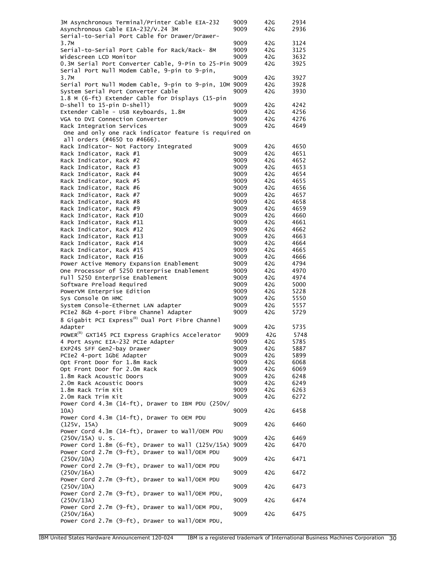| 3M Asynchronous Terminal/Printer Cable EIA-232                                               | 9009         | 42G        | 2934         |
|----------------------------------------------------------------------------------------------|--------------|------------|--------------|
| Asynchronous Cable EIA-232/V.24 3M                                                           | 9009         | 42G        | 2936         |
| Serial-to-Serial Port Cable for Drawer/Drawer-<br>3.7M                                       | 9009         | 42G        | 3124         |
| Serial-to-Serial Port Cable for Rack/Rack- 8M                                                | 9009         | 42G        | 3125         |
| Widescreen LCD Monitor                                                                       | 9009         | 42G        | 3632         |
| 0.3M Serial Port Converter Cable, 9-Pin to 25-Pin 9009                                       |              | 42G        | 3925         |
| Serial Port Null Modem Cable, 9-pin to 9-pin,                                                |              |            |              |
| 3.7M                                                                                         | 9009         | 42G        | 3927         |
| Serial Port Null Modem Cable, 9-pin to 9-pin, 10M 9009<br>System Serial Port Converter Cable | 9009         | 42G<br>42G | 3928<br>3930 |
| 1.8 M (6-ft) Extender Cable for Displays (15-pin                                             |              |            |              |
| D-shell to 15-pin D-shell)                                                                   | 9009         | 42G        | 4242         |
| Extender Cable - USB Keyboards, 1.8M                                                         | 9009         | 42G        | 4256         |
| VGA to DVI Connection Converter                                                              | 9009         | 42G        | 4276         |
| Rack Integration Services                                                                    | 9009         | 42G        | 4649         |
| One and only one rack indicator feature is required on                                       |              |            |              |
| all orders (#4650 to #4666).                                                                 |              |            |              |
| Rack Indicator- Not Factory Integrated<br>Rack Indicator, Rack #1                            | 9009<br>9009 | 42G<br>42G | 4650<br>4651 |
| Rack Indicator, Rack #2                                                                      | 9009         | 42G        | 4652         |
| Rack Indicator, Rack #3                                                                      | 9009         | 42G        | 4653         |
| Rack Indicator, Rack #4                                                                      | 9009         | 42G        | 4654         |
| Rack Indicator, Rack #5                                                                      | 9009         | 42G        | 4655         |
| Rack Indicator, Rack #6                                                                      | 9009         | 42G        | 4656         |
| Rack Indicator, Rack #7                                                                      | 9009         | 42G        | 4657         |
| Rack Indicator, Rack #8                                                                      | 9009         | 42G        | 4658         |
| Rack Indicator, Rack #9                                                                      | 9009         | 42G        | 4659         |
| Rack Indicator, Rack #10<br>Rack Indicator, Rack #11                                         | 9009<br>9009 | 42G<br>42G | 4660<br>4661 |
| Rack Indicator, Rack #12                                                                     | 9009         | 42G        | 4662         |
| Rack Indicator, Rack #13                                                                     | 9009         | 42G        | 4663         |
| Rack Indicator, Rack #14                                                                     | 9009         | 42G        | 4664         |
| Rack Indicator, Rack #15                                                                     | 9009         | 42G        | 4665         |
| Rack Indicator, Rack #16                                                                     | 9009         | 42G        | 4666         |
| Power Active Memory Expansion Enablement                                                     | 9009         | 42G        | 4794         |
| One Processor of 5250 Enterprise Enablement                                                  | 9009         | 42G        | 4970         |
| Full 5250 Enterprise Enablement<br>Software Preload Required                                 | 9009<br>9009 | 42G<br>42G | 4974<br>5000 |
| PowerVM Enterprise Edition                                                                   | 9009         | 42G        | 5228         |
| Sys Console On HMC                                                                           | 9009         | 42G        | 5550         |
| System Console-Ethernet LAN adapter                                                          | 9009         | 42G        | 5557         |
| PCIe2 8Gb 4-port Fibre Channel Adapter                                                       | 9009         | 42G        | 5729         |
| 8 Gigabit PCI Express <sup>(R)</sup> Dual Port Fibre Channel                                 |              |            |              |
| Adapter                                                                                      | 9009         | 42G        | 5735         |
| POWER <sup>(R)</sup> GXT145 PCI Express Graphics Accelerator                                 | 9009         | 42G        | 5748         |
| 4 Port Async EIA-232 PCIe Adapter                                                            | 9009         | 42G        | 5785         |
| EXP24S SFF Gen2-bay Drawer<br>PCIe2 4-port 1GbE Adapter                                      | 9009<br>9009 | 42G<br>42G | 5887<br>5899 |
| Opt Front Door for 1.8m Rack                                                                 | 9009         | 42G        | 6068         |
| Opt Front Door for 2.0m Rack                                                                 | 9009         | 42G        | 6069         |
| 1.8m Rack Acoustic Doors                                                                     | 9009         | 42G        | 6248         |
| 2.0m Rack Acoustic Doors                                                                     | 9009         | 42G        | 6249         |
| 1.8m Rack Trim Kit                                                                           | 9009         | 42G        | 6263         |
| 2.0m Rack Trim Kit                                                                           | 9009         | 42G        | 6272         |
| Power Cord 4.3m (14-ft), Drawer to IBM PDU (250V/                                            |              |            |              |
| 10A)<br>Power Cord 4.3m (14-ft), Drawer To OEM PDU                                           | 9009         | 42G        | 6458         |
| (125V, 15A)                                                                                  | 9009         | 42G        | 6460         |
| Power Cord 4.3m (14-ft), Drawer to Wall/OEM PDU                                              |              |            |              |
| $(250V/15A)$ U.S.                                                                            | 9009         | 42G        | 6469         |
| Power Cord 1.8m (6-ft), Drawer to Wall (125V/15A)                                            | 9009         | 42G        | 6470         |
| Power Cord 2.7m (9-ft), Drawer to Wall/OEM PDU                                               |              |            |              |
| (250V/10A)                                                                                   | 9009         | 42G        | 6471         |
| Power Cord 2.7m (9-ft), Drawer to Wall/OEM PDU                                               |              |            |              |
| (250V/16A)<br>Power Cord 2.7m (9-ft), Drawer to Wall/OEM PDU                                 | 9009         | 42G        | 6472         |
| (250V/10A)                                                                                   | 9009         | 42G        | 6473         |
| Power Cord 2.7m (9-ft), Drawer to Wall/OEM PDU,                                              |              |            |              |
| (250V/13A)                                                                                   | 9009         | 42G        | 6474         |
| Power Cord 2.7m (9-ft), Drawer to Wall/OEM PDU,                                              |              |            |              |
| (250V/16A)                                                                                   | 9009         | 42G        | 6475         |
| Power Cord 2.7m (9-ft), Drawer to Wall/OEM PDU,                                              |              |            |              |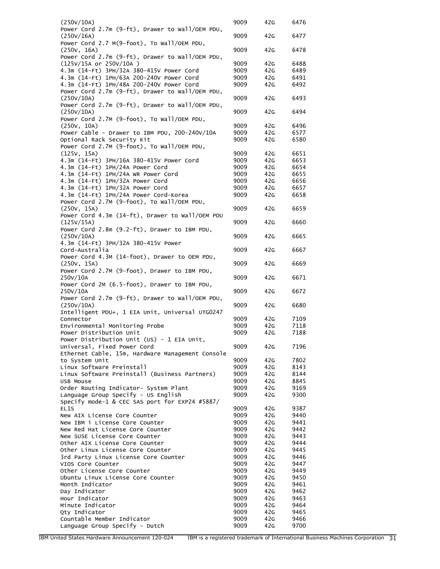| (250V/10A)                                                                      | 9009         | 42G        | 6476         |
|---------------------------------------------------------------------------------|--------------|------------|--------------|
| Power Cord 2.7m (9-ft), Drawer to Wall/OEM PDU,                                 |              |            |              |
| (250V/16A)                                                                      | 9009         | 42G        | 6477         |
| Power Cord 2.7 M(9-foot), To Wall/OEM PDU,<br>(250V, 16A)                       | 9009         | 42G        | 6478         |
| Power Cord 2.7m (9-ft), Drawer to Wall/OEM PDU,                                 |              |            |              |
| (125V/15A or 250V/10A)                                                          | 9009         | 42G        | 6488         |
| 4.3m (14-Ft) 3PH/32A 380-415V Power Cord                                        | 9009         | 42G        | 6489         |
| 4.3m (14-Ft) 1PH/63A 200-240V Power Cord                                        | 9009         | 42G        | 6491         |
| 4.3m (14-Ft) 1PH/48A 200-240V Power Cord                                        | 9009         | 42G        | 6492         |
| Power Cord 2.7m (9-ft), Drawer to Wall/OEM PDU,<br>(250V/10A)                   | 9009         | 42G        | 6493         |
| Power Cord 2.7m (9-ft), Drawer to Wall/OEM PDU,                                 |              |            |              |
| (250V/10A)                                                                      | 9009         | 42G        | 6494         |
| Power Cord 2.7M (9-foot), To Wall/OEM PDU,                                      |              |            |              |
| (250V, 10A)                                                                     | 9009         | 42G        | 6496         |
| Power Cable - Drawer to IBM PDU, 200-240V/10A                                   | 9009         | 42G        | 6577         |
| Optional Rack Security Kit<br>Power Cord 2.7M (9-foot), To Wall/OEM PDU,        | 9009         | 42G        | 6580         |
| (125V, 15A)                                                                     | 9009         | 42G        | 6651         |
| 4.3m (14-Ft) 3PH/16A 380-415V Power Cord                                        | 9009         | 42G        | 6653         |
| 4.3m (14-Ft) 1PH/24A Power Cord                                                 | 9009         | 42G        | 6654         |
| 4.3m (14-Ft) 1PH/24A WR Power Cord                                              | 9009         | 42G        | 6655         |
| 4.3m (14-Ft) 1PH/32A Power Cord                                                 | 9009         | 42G        | 6656         |
| 4.3m (14-Ft) 1PH/32A Power Cord                                                 | 9009         | 42G        | 6657         |
| 4.3m (14-Ft) 1PH/24A Power Cord-Korea                                           | 9009         | 42G        | 6658         |
| Power Cord 2.7M (9-foot), To Wall/OEM PDU,<br>(250v, 15A)                       | 9009         | 42G        | 6659         |
| Power Cord 4.3m (14-ft), Drawer to Wall/OEM PDU                                 |              |            |              |
| (125V/15A)                                                                      | 9009         | 42G        | 6660         |
| Power Cord 2.8m (9.2-ft), Drawer to IBM PDU,                                    |              |            |              |
| (250V/10A)                                                                      | 9009         | 42G        | 6665         |
| 4.3m (14-Ft) 3PH/32A 380-415V Power                                             |              |            |              |
| Cord-Australia<br>Power Cord 4.3M (14-foot), Drawer to OEM PDU,                 | 9009         | 42G        | 6667         |
| (250V, 15A)                                                                     | 9009         | 42G        | 6669         |
| Power Cord 2.7M (9-foot), Drawer to IBM PDU,                                    |              |            |              |
| 250V/10A                                                                        | 9009         | 42G        | 6671         |
| Power Cord 2M (6.5-foot), Drawer to IBM PDU,                                    |              |            |              |
| 250V/10A                                                                        | 9009         | 42G        | 6672         |
| Power Cord 2.7m (9-ft), Drawer to Wall/OEM PDU,<br>(250V/10A)                   | 9009         | 42G        | 6680         |
| Intelligent PDU+, 1 EIA Unit, Universal UTG0247                                 |              |            |              |
| Connector                                                                       | 9009         | 42G        | 7109         |
| Environmental Monitoring Probe                                                  | 9009         | 42G        | 7118         |
| Power Distribution Unit                                                         | 9009         | 42G        | 7188         |
| Power Distribution Unit (US) - 1 EIA Unit,                                      |              |            |              |
| Universal, Fixed Power Cord<br>Ethernet Cable, 15m, Hardware Management Console | 9009         | 42G        | 7196         |
| to System Unit                                                                  | 9009         | 42G        | 7802         |
| Linux Software Preinstall                                                       | 9009         | 42G        | 8143         |
| Linux Software Preinstall (Business Partners)                                   | 9009         | 42G        | 8144         |
| USB Mouse                                                                       | 9009         | 42G        | 8845         |
| Order Routing Indicator- System Plant                                           | 9009         | 42G        | 9169         |
| Language Group Specify - US English                                             | 9009         | 42G        | 9300         |
| Specify mode-1 & CEC SAS port for EXP24 #5887/<br>EL <sub>1</sub> S             | 9009         | 42G        | 9387         |
| New AIX License Core Counter                                                    | 9009         | 42G        | 9440         |
| New IBM i License Core Counter                                                  | 9009         | 42G        | 9441         |
| New Red Hat License Core Counter                                                | 9009         | 42G        | 9442         |
| New SUSE License Core Counter                                                   | 9009         | 42G        | 9443         |
| Other AIX License Core Counter                                                  | 9009         | 42G        | 9444         |
| Other Linux License Core Counter                                                | 9009         | 42G        | 9445         |
| 3rd Party Linux License Core Counter<br>VIOS Core Counter                       | 9009<br>9009 | 42G<br>42G | 9446<br>9447 |
| Other License Core Counter                                                      | 9009         | 42G        | 9449         |
| Ubuntu Linux License Core Counter                                               | 9009         | 42G        | 9450         |
| Month Indicator                                                                 | 9009         | 42G        | 9461         |
| Day Indicator                                                                   | 9009         | 42G        | 9462         |
| Hour Indicator                                                                  | 9009         | 42G        | 9463         |
| Minute Indicator                                                                | 9009         | 42G        | 9464         |
| Qty Indicator<br>Countable Member Indicator                                     | 9009<br>9009 | 42G<br>42G | 9465<br>9466 |
| Language Group Specify - Dutch                                                  | 9009         | 42G        | 9700         |
|                                                                                 |              |            |              |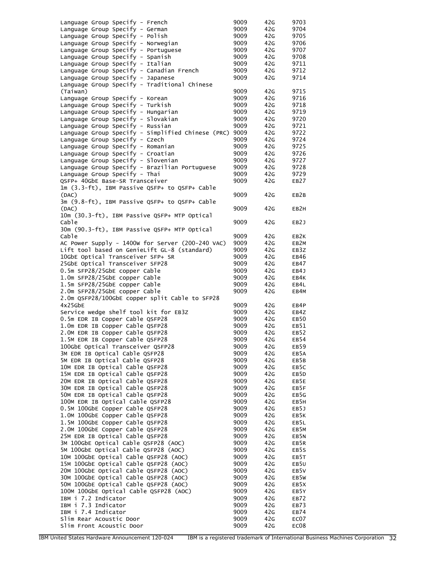| Language Group Specify - French                                                | 9009         | 42G        | 9703              |
|--------------------------------------------------------------------------------|--------------|------------|-------------------|
| Language Group Specify - German                                                | 9009         | 42G        | 9704              |
| Language Group Specify - Polish                                                | 9009         | 42G        | 9705              |
| Language Group Specify - Norwegian                                             | 9009         | 42G        | 9706              |
| Language Group Specify - Portuguese                                            | 9009         | 42G        | 9707              |
| Language Group Specify - Spanish                                               | 9009         | 42G        | 9708              |
| Language Group Specify - Italian                                               | 9009         | 42G        | 9711              |
| Language Group Specify - Canadian French                                       | 9009         | 42G        | 9712              |
| Language Group Specify - Japanese                                              | 9009         | 42G        | 9714              |
| Language Group Specify - Traditional Chinese                                   |              |            |                   |
| (Taiwan)                                                                       | 9009         | 42G        | 9715              |
| Language Group Specify - Korean                                                | 9009         | 42G        | 9716              |
| Language Group Specify - Turkish                                               | 9009         | 42G        | 9718              |
| Language Group Specify - Hungarian                                             | 9009         | 42G        | 9719              |
| Language Group Specify - Slovakian                                             | 9009         | 42G        | 9720              |
| Language Group Specify - Russian                                               | 9009         | 42G        | 9721              |
| Language Group Specify - Simplified Chinese (PRC)                              | 9009         | 42G        | 9722              |
| Language Group Specify - Czech                                                 | 9009         | 42G        | 9724              |
| Language Group Specify - Romanian                                              | 9009         | 42G        | 9725              |
| Language Group Specify - Croatian                                              | 9009         | 42G        | 9726              |
| Language Group Specify - Slovenian                                             | 9009         | 42G        | 9727              |
| Language Group Specify - Brazilian Portuguese                                  | 9009         | 42G        | 9728              |
| Language Group Specify - Thai                                                  | 9009         | 42G        | 9729              |
| QSFP+ 40GbE Base-SR Transceiver                                                | 9009         | 42G        | <b>EB27</b>       |
| 1m (3.3-ft), IBM Passive QSFP+ to QSFP+ Cable                                  |              |            |                   |
| (DAC)                                                                          | 9009         | 42G        | EB2B              |
| 3m (9.8-ft), IBM Passive QSFP+ to QSFP+ Cable                                  |              |            |                   |
| (DAC)                                                                          | 9009         | 42G        | EB <sub>2</sub> H |
| 10m (30.3-ft), IBM Passive QSFP+ MTP Optical<br>Cable                          |              |            |                   |
|                                                                                | 9009         | 42G        | EB2J              |
| 30m (90.3-ft), IBM Passive QSFP+ MTP Optical<br>Cable                          | 9009         | 42G        | EB2K              |
| AC Power Supply - 1400w for Server (200-240 VAC)                               | 9009         | 42G        | EB2M              |
| Lift tool based on GenieLift GL-8 (standard)                                   | 9009         | 42G        | EB3Z              |
| 10GbE Optical Transceiver SFP+ SR                                              | 9009         | 42G        | EB46              |
| 25GbE Optical Transceiver SFP28                                                | 9009         | 42G        | EB47              |
| 0.5m SFP28/25GbE copper Cable                                                  | 9009         | 42G        | EB4J              |
| 1.0m SFP28/25GbE copper Cable                                                  | 9009         | 42G        | EB4K              |
| 1.5m SFP28/25GbE copper Cable                                                  | 9009         | 42G        | EB4L              |
| 2.0m SFP28/25GbE copper Cable                                                  | 9009         | 42G        | EB4M              |
| 2.0m QSFP28/100GbE copper split Cable to SFP28                                 |              |            |                   |
| 4x25GbE                                                                        | 9009         | 42G        | EB4P              |
| Service wedge shelf tool kit for EB3Z                                          | 9009         | 42G        | EB4Z              |
| 0.5m EDR IB Copper Cable QSFP28                                                | 9009         | 42G        | EB <sub>50</sub>  |
| 1.0m EDR IB Copper Cable QSFP28                                                | 9009         | 42G        | EB51              |
| 2.0M EDR IB Copper Cable QSFP28                                                | 9009         | 42G        | EB52              |
| 1.5M EDR IB Copper Cable QSFP28                                                | 9009         | 42G        | EB54              |
| 100GbE Optical Transceiver QSFP28                                              | 9009         | 42G        | EB59              |
| 3M EDR IB Optical Cable QSFP28                                                 | 9009         | 42G        | EB5A              |
| 5M EDR IB Optical Cable QSFP28                                                 | 9009         | 42G        | EB5B              |
| 10M EDR IB Optical Cable QSFP28                                                | 9009         | 42G        | EB5C              |
| 15M EDR IB Optical Cable QSFP28                                                | 9009         | 42G        | EB <sub>5</sub> D |
| 20M EDR IB Optical Cable QSFP28                                                | 9009         | 42G        | EB5E              |
| 30M EDR IB Optical Cable QSFP28                                                | 9009         | 42G        | EB5F              |
| 50M EDR IB Optical Cable QSFP28                                                | 9009         | 42G        | EB5G              |
| 100M EDR IB Optical Cable QSFP28                                               | 9009         | 42G        | EB5H              |
| 0.5M 100GbE Copper Cable QSFP28                                                | 9009         | 42G        | EB5J              |
| 1.0M 100GbE Copper Cable QSFP28                                                | 9009         | 42G        | EB5K              |
| 1.5M 100GbE Copper Cable QSFP28                                                | 9009         | 42G        | EB5L              |
| 2.0M 100GbE Copper Cable QSFP28                                                | 9009         | 42G        | EB5M              |
| 25M EDR IB Optical Cable QSFP28                                                | 9009         | 42G        | EB5N              |
| 3M 100GbE Optical Cable QSFP28 (AOC)                                           | 9009         | 42G        | EB5R              |
| 5M 100GbE Optical Cable QSFP28 (AOC)                                           | 9009         | 42G        | EB5S              |
| 10M 100GbE Optical Cable QSFP28 (AOC)<br>15M 100GbE Optical Cable QSFP28 (AOC) | 9009<br>9009 | 42G<br>42G | EB5T<br>EB5U      |
| 20M 100GbE Optical Cable QSFP28 (AOC)                                          | 9009         | 42G        | EB5V              |
| 30M 100GbE Optical Cable QSFP28 (AOC)                                          | 9009         | 42G        | EB5W              |
| 50M 100GbE Optical Cable QSFP28 (AOC)                                          | 9009         | 42G        | EB <sub>5</sub> x |
| 100M 100GbE Optical Cable QSFP28 (AOC)                                         | 9009         | 42G        | EB5Y              |
| IBM i 7.2 Indicator                                                            | 9009         | 42G        | EB72              |
| IBM i 7.3 Indicator                                                            | 9009         | 42G        | EB73              |
| IBM i 7.4 Indicator                                                            | 9009         | 42G        | EB74              |
| Slim Rear Acoustic Door                                                        | 9009         | 42G        | EC07              |
| Slim Front Acoustic Door                                                       | 9009         | 42G        | EC08              |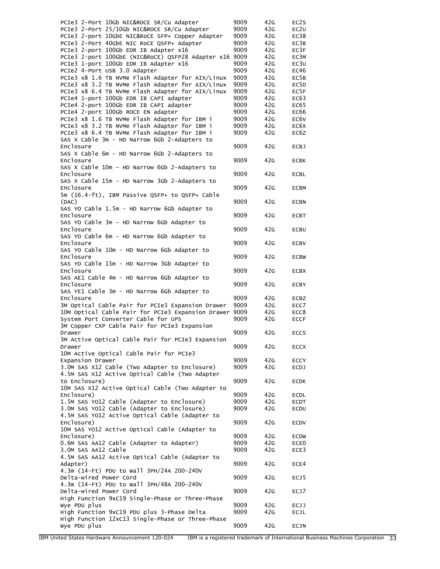| PCIe3 2-Port 10Gb NIC&ROCE SR/Cu Adapter                         | 9009 | 42G | EC2S              |
|------------------------------------------------------------------|------|-----|-------------------|
| PCIe3 2-Port 25/10Gb NIC&ROCE SR/Cu Adapter                      | 9009 | 42G | EC2U              |
| PCIe3 2-port 10GbE NIC&RoCE SFP+ Copper Adapter                  | 9009 | 42G | EC38              |
| PCIe3 2-Port 40GbE NIC RoCE QSFP+ Adapter                        | 9009 | 42G | EC3B              |
| PCIe3 2-port 100Gb EDR IB Adapter x16                            | 9009 | 42G | EC3F              |
| PCIe3 2-port 100GbE (NIC&RoCE) QSFP28 Adapter x16 9009           |      | 42G | EC3M              |
| PCIe3 1-port 100Gb EDR IB Adapter x16                            | 9009 | 42G | EC <sub>3</sub> U |
| PCIe2 4-Port USB 3.0 Adapter                                     | 9009 | 42G | EC46              |
| PCIe3 x8 1.6 TB NVMe Flash Adapter for AIX/Linux                 | 9009 | 42G | EC <sub>5</sub> B |
| PCIe3 x8 3.2 TB NVMe Flash Adapter for AIX/Linux                 | 9009 | 42G | EC5D              |
| PCIe3 x8 6.4 TB NVMe Flash Adapter for AIX/Linux                 | 9009 | 42G | EC5F              |
| PCIe4 1-port 100Gb EDR IB CAPI adapter                           | 9009 | 42G | EC63              |
| PCIe4 2-port 100Gb EDR IB CAPI adapter                           | 9009 | 42G | EC65              |
| PCIe4 2-port 100Gb ROCE EN adapter                               | 9009 | 42G | EC66              |
| PCIe3 x8 1.6 TB NVMe Flash Adapter for IBM i                     | 9009 | 42G | EC6V              |
| PCIe3 x8 3.2 TB NVMe Flash Adapter for IBM i                     | 9009 | 42G | EC6X              |
| PCIe3 x8 6.4 TB NVMe Flash Adapter for IBM i                     | 9009 | 42G | EC6Z              |
| SAS X Cable 3m - HD Narrow 6Gb 2-Adapters to                     |      |     |                   |
| Enclosure                                                        | 9009 | 42G | <b>ECBJ</b>       |
| SAS X Cable 6m - HD Narrow 6Gb 2-Adapters to                     |      |     |                   |
| Enclosure                                                        | 9009 | 42G | <b>ECBK</b>       |
| SAS X Cable 10m - HD Narrow 6Gb 2-Adapters to                    |      |     |                   |
| Enclosure                                                        | 9009 | 42G | <b>ECBL</b>       |
| SAS X Cable 15m - HD Narrow 3Gb 2-Adapters to                    |      |     |                   |
| Enclosure                                                        | 9009 | 42G | <b>ECBM</b>       |
| 5m (16.4-ft), IBM Passive QSFP+ to QSFP+ Cable                   |      |     |                   |
| (DAC)                                                            | 9009 | 42G | <b>ECBN</b>       |
| SAS YO Cable 1.5m - HD Narrow 6Gb Adapter to                     |      |     |                   |
| Enclosure                                                        | 9009 | 42G | <b>ECBT</b>       |
| SAS YO Cable 3m - HD Narrow 6Gb Adapter to                       |      |     |                   |
| Enclosure                                                        | 9009 | 42G | <b>ECBU</b>       |
| SAS YO Cable 6m - HD Narrow 6Gb Adapter to                       |      |     |                   |
| Enclosure                                                        | 9009 | 42G | <b>ECBV</b>       |
| SAS YO Cable 10m - HD Narrow 6Gb Adapter to                      |      |     |                   |
| Enclosure                                                        | 9009 | 42G | <b>ECBW</b>       |
| SAS YO Cable 15m - HD Narrow 3Gb Adapter to                      |      |     |                   |
| Enclosure                                                        | 9009 | 42G | <b>ECBX</b>       |
| SAS AE1 Cable 4m - HD Narrow 6Gb Adapter to                      |      |     |                   |
| Enclosure                                                        | 9009 | 42G | <b>ECBY</b>       |
| SAS YE1 Cable 3m - HD Narrow 6Gb Adapter to                      |      |     |                   |
| Enclosure                                                        | 9009 | 42G | <b>ECBZ</b>       |
| 3M Optical Cable Pair for PCIe3 Expansion Drawer                 | 9009 | 42G | ECC7              |
| 10M Optical Cable Pair for PCIe3 Expansion Drawer                | 9009 | 42G | ECC8              |
| System Port Converter Cable for UPS                              | 9009 | 42G | <b>ECCF</b>       |
| 3M Copper CXP Cable Pair for PCIe3 Expansion                     |      |     |                   |
| Drawer                                                           | 9009 | 42G | <b>ECCS</b>       |
| 3M Active Optical Cable Pair for PCIe3 Expansion                 |      |     |                   |
| Drawer                                                           | 9009 | 42G | ECCX              |
| 10M Active Optical Cable Pair for PCIe3                          |      |     |                   |
| Expansion Drawer                                                 | 9009 | 42G | <b>ECCY</b>       |
| 3.0M SAS X12 Cable (Two Adapter to Enclosure)                    | 9009 | 42G | <b>ECDJ</b>       |
| 4.5M SAS X12 Active Optical Cable (Two Adapter                   |      |     |                   |
| to Enclosure)                                                    | 9009 | 42G | ECDK              |
| 10M SAS X12 Active Optical Cable (Two Adapter to                 |      |     |                   |
| Enclosure)                                                       | 9009 | 42G | ECDL              |
| 1.5M SAS YO12 Cable (Adapter to Enclosure)                       | 9009 | 42G | ECDT              |
| 3.0M SAS YO12 Cable (Adapter to Enclosure)                       | 9009 | 42G | ECDU              |
| 4.5M SAS YO12 Active Optical Cable (Adapter to                   |      |     |                   |
| Enclosure)                                                       |      |     |                   |
|                                                                  |      |     |                   |
|                                                                  | 9009 | 42G | ECDV              |
| 10M SAS YO12 Active Optical Cable (Adapter to                    |      |     |                   |
| Enclosure)                                                       | 9009 | 42G | <b>ECDW</b>       |
| 0.6M SAS AA12 Cable (Adapter to Adapter)                         | 9009 | 42G | ECE0              |
| 3.0M SAS AA12 Cable                                              | 9009 | 42G | ECE3              |
| 4.5M SAS AA12 Active Optical Cable (Adapter to                   |      |     |                   |
| Adapter)                                                         | 9009 | 42G | ECE4              |
| 4.3m (14-Ft) PDU to Wall 3PH/24A 200-240V                        |      |     |                   |
| Delta-wired Power Cord                                           | 9009 | 42G | ECJ5              |
| 4.3m (14-Ft) PDU to Wall 3PH/48A 200-240V                        |      |     |                   |
| Delta-wired Power Cord                                           | 9009 | 42G | ECJ7              |
| High Function 9xC19 Single-Phase or Three-Phase                  |      |     |                   |
| Wye PDU plus                                                     | 9009 | 42G | ECJJ              |
| High Function 9xC19 PDU plus 3-Phase Delta                       | 9009 | 42G | <b>ECJL</b>       |
| High Function 12xC13 Single-Phase or Three-Phase<br>Wye PDU plus | 9009 | 42G | ECJN              |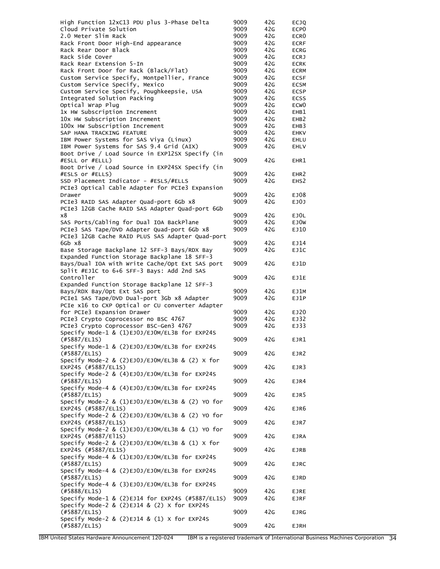| High Function 12xC13 PDU plus 3-Phase Delta                                                    | 9009         | 42G        | <b>ECJQ</b>                |
|------------------------------------------------------------------------------------------------|--------------|------------|----------------------------|
| Cloud Private Solution                                                                         | 9009         | 42G        | ECP <sub>0</sub>           |
| 2.0 Meter Slim Rack                                                                            | 9009         | 42G        | ECR <sub>0</sub>           |
| Rack Front Door High-End appearance                                                            | 9009         | 42G        | <b>ECRF</b>                |
| Rack Rear Door Black<br>Rack Side Cover                                                        | 9009<br>9009 | 42G<br>42G | <b>ECRG</b><br><b>ECRJ</b> |
| Rack Rear Extension 5-In                                                                       | 9009         | 42G        | <b>ECRK</b>                |
| Rack Front Door for Rack (Black/Flat)                                                          | 9009         | 42G        | <b>ECRM</b>                |
| Custom Service Specify, Montpellier, France                                                    | 9009         | 42G        | <b>ECSF</b>                |
| Custom Service Specify, Mexico                                                                 | 9009         | 42G        | <b>ECSM</b>                |
| Custom Service Specify, Poughkeepsie, USA                                                      | 9009         | 42G        | <b>ECSP</b>                |
| Integrated Solution Packing                                                                    | 9009         | 42G        | <b>ECSS</b>                |
| Optical Wrap Plug                                                                              | 9009         | 42G        | ECW <sub>0</sub>           |
| 1x HW Subscription Increment                                                                   | 9009         | 42G        | EHB1                       |
| 10x HW Subscription Increment                                                                  | 9009         | 42G        | EHB <sub>2</sub>           |
| 100x HW Subscription Increment                                                                 | 9009<br>9009 | 42G<br>42G | EHB3                       |
| SAP HANA TRACKING FEATURE<br>IBM Power Systems for SAS Viya (Linux)                            | 9009         | 42G        | <b>EHKV</b><br>EHLU        |
| IBM Power Systems for SAS 9.4 Grid (AIX)                                                       | 9009         | 42G        | EHLV                       |
| Boot Drive / Load Source in EXP12SX Specify (in                                                |              |            |                            |
| #ESLL or #ELLL)                                                                                | 9009         | 42G        | EHR1                       |
| Boot Drive / Load Source in EXP24SX Specify (in                                                |              |            |                            |
| #ESLS or #ELLS)                                                                                | 9009         | 42G        | EHR <sub>2</sub>           |
| SSD Placement Indicator - #ESLS/#ELLS                                                          | 9009         | 42G        | EHS2                       |
| PCIe3 Optical Cable Adapter for PCIe3 Expansion                                                |              |            |                            |
| Drawer                                                                                         | 9009         | 42G        | EJ08                       |
| PCIe3 RAID SAS Adapter Quad-port 6Gb x8                                                        | 9009         | 42G        | EJ0J                       |
| PCIe3 12GB Cache RAID SAS Adapter Quad-port 6Gb                                                |              |            |                            |
| х8<br>SAS Ports/Cabling for Dual IOA BackPlane                                                 | 9009<br>9009 | 42G<br>42G | EJOL<br>EJ0W               |
| PCIe3 SAS Tape/DVD Adapter Quad-port 6Gb x8                                                    | 9009         | 42G        | EJ10                       |
| PCIe3 12GB Cache RAID PLUS SAS Adapter Quad-port                                               |              |            |                            |
| 6Gb x8                                                                                         | 9009         | 42G        | EJ14                       |
| Base Storage Backplane 12 SFF-3 Bays/RDX Bay                                                   | 9009         | 42G        | EJ1C                       |
| Expanded Function Storage Backplane 18 SFF-3                                                   |              |            |                            |
| Bays/Dual IOA with Write Cache/Opt Ext SAS port                                                | 9009         | 42G        | EJ1D                       |
| Split #EJ1C to 6+6 SFF-3 Bays: Add 2nd SAS                                                     |              |            |                            |
| Controller                                                                                     | 9009         | 42G        | EJ1E                       |
| Expanded Function Storage Backplane 12 SFF-3                                                   |              |            |                            |
| Bays/RDX Bay/Opt Ext SAS port                                                                  | 9009         | 42G        | EJ1M                       |
| PCIel SAS Tape/DVD Dual-port 3Gb x8 Adapter<br>PCIe x16 to CXP Optical or CU converter Adapter | 9009         | 42G        | EJ1P                       |
| for PCIe3 Expansion Drawer                                                                     | 9009         | 42G        | EJ20                       |
| PCIe3 Crypto Coprocessor no BSC 4767                                                           | 9009         | 42G        | EJ32                       |
| PCIe3 Crypto Coprocessor BSC-Gen3 4767                                                         | 9009         | 42G        | EJ33                       |
| Specify Mode-1 & (1)EJ0J/EJOM/EL3B for EXP24S                                                  |              |            |                            |
| $(\#5887/EL1S)$                                                                                | 9009         | 42G        | EJR1                       |
| Specify Mode-1 & (2)EJ0J/EJOM/EL3B for EXP24S                                                  |              |            |                            |
| $(\#5887/EL1S)$                                                                                | 9009         | 42G        | EJR2                       |
| Specify Mode-2 & (2)EJ0J/EJ0M/EL3B & (2) X for                                                 |              |            |                            |
| EXP24S (#5887/EL1S)                                                                            | 9009         | 42G        | EJR3                       |
| Specify Mode-2 & (4)EJ0J/EJOM/EL3B for EXP24S                                                  |              |            |                            |
| (#5887/EL1S)<br>Specify Mode-4 & (4)EJ0J/EJOM/EL3B for EXP24S                                  | 9009         | 42G        | EJR4                       |
| (#5887/EL1S)                                                                                   | 9009         | 42G        | EJR5                       |
| Specify Mode-2 & (1)EJ0J/EJOM/EL3B & (2) YO for                                                |              |            |                            |
| EXP24S (#5887/EL1S)                                                                            | 9009         | 42G        | EJR6                       |
| Specify Mode-2 & (2)EJ0J/EJOM/EL3B & (2) YO for                                                |              |            |                            |
| EXP24S (#5887/EL1S)                                                                            | 9009         | 42G        | EJR7                       |
| Specify Mode-2 & (1)EJ0J/EJOM/EL3B & (1) YO for                                                |              |            |                            |
| EXP24S (#5887/El1S)                                                                            | 9009         | 42G        | <b>EJRA</b>                |
| Specify Mode-2 & $(2)EJ0J/EJ0M/EL3B$ & $(1)$ X for                                             |              |            |                            |
| EXP24S (#5887/EL1S)                                                                            | 9009         | 42G        | EJRB                       |
| Specify Mode-4 & (1)EJ0J/EJOM/EL3B for EXP24S                                                  |              |            |                            |
| (#5887/EL1S)                                                                                   | 9009         | 42G        | <b>EJRC</b>                |
| Specify Mode-4 & (2)EJ0J/EJOM/EL3B for EXP24S<br>(#5887/EL1S)                                  | 9009         | 42G        |                            |
| Specify Mode-4 & (3)EJ0J/EJOM/EL3B for EXP24S                                                  |              |            | EJRD                       |
| $(\#5888/EL15)$                                                                                | 9009         | 42G        | <b>EJRE</b>                |
| Specify Mode-1 & (2)EJ14 for EXP24S (#5887/EL1S)                                               | 9009         | 42G        | <b>EJRF</b>                |
| Specify Mode-2 & (2)EJ14 & (2) X for EXP24S                                                    |              |            |                            |
| (#5887/EL1S)                                                                                   | 9009         | 42G        | EJRG                       |
| Specify Mode-2 & $(2)EJ14$ & $(1)$ X for EXP24S                                                |              |            |                            |
| (#5887/EL1S)                                                                                   | 9009         | 42G        | <b>EJRH</b>                |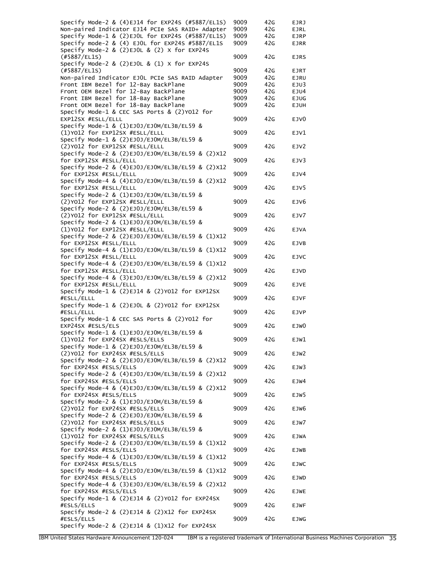| Specify Mode-2 & $(4)$ EJ14 for EXP24S $(\#5887/EL15)$                       | 9009 | 42G | <b>EJRJ</b>      |
|------------------------------------------------------------------------------|------|-----|------------------|
| Non-paired Indicator EJ14 PCIe SAS RAID+ Adapter                             | 9009 | 42G | <b>EJRL</b>      |
| Specify Mode-1 & (2)EJOL for EXP24S (#5887/EL1S)                             | 9009 | 42G | <b>EJRP</b>      |
| Specify mode-2 & (4) EJOL for EXP24S #5887/EL1S                              | 9009 | 42G | <b>EJRR</b>      |
| Specify Mode-2 & $(2)EJOL$ & $(2)$ X for EXP24S                              |      |     |                  |
| (#5887/EL1S)                                                                 | 9009 | 42G | <b>EJRS</b>      |
| Specify Mode-2 & $(2)EJOL$ & $(1)$ X for EXP24S<br>$(+5887/EL15)$            | 9009 | 42G | EJRT             |
| Non-paired Indicator EJOL PCIe SAS RAID Adapter                              | 9009 | 42G | <b>EJRU</b>      |
| Front IBM Bezel for 12-Bay BackPlane                                         | 9009 | 42G | EJU3             |
| Front OEM Bezel for 12-Bay BackPlane                                         | 9009 | 42G | EJU4             |
| Front IBM Bezel for 18-Bay BackPlane                                         | 9009 | 42G | <b>EJUG</b>      |
| Front OEM Bezel for 18-Bay BackPlane                                         | 9009 | 42G | <b>EJUH</b>      |
| Specify Mode-1 & CEC SAS Ports & (2)Y012 for                                 |      |     |                  |
| EXP12SX #ESLL/ELLL                                                           | 9009 | 42G | EJV <sub>0</sub> |
| Specify Mode-1 & (1)EJ0J/EJOM/EL3B/EL59 &                                    |      |     |                  |
| (1)Y012 for EXP12SX #ESLL/ELLL                                               | 9009 | 42G | EJV1             |
| Specify Mode-1 & (2)EJ0J/EJOM/EL3B/EL59 &                                    |      |     |                  |
| (2)Y012 for EXP12SX #ESLL/ELLL                                               | 9009 | 42G | EJV2             |
| Specify Mode-2 & (2)EJ0J/EJ0M/EL3B/EL59 & (2)X12                             |      |     |                  |
| for EXP12SX #ESLL/ELLL                                                       | 9009 | 42G | EJV3             |
| Specify Mode-2 & (4)EJ0J/EJ0M/EL3B/EL59 & (2)X12                             |      |     |                  |
| for EXP12SX #ESLL/ELLL                                                       | 9009 | 42G | EJV4             |
| Specify Mode-4 & (4)EJ0J/EJOM/EL3B/EL59 & (2)X12                             |      |     |                  |
| for EXP12SX #ESLL/ELLL<br>Specify Mode-2 & (1)EJ0J/EJOM/EL3B/EL59 &          | 9009 | 42G | EJV5             |
|                                                                              |      | 42G |                  |
| (2) Y012 for EXP12SX #ESLL/ELLL<br>Specify Mode-2 & (2)EJ0J/EJOM/EL3B/EL59 & | 9009 |     | EJV6             |
| (2)Y012 for EXP12SX #ESLL/ELLL                                               | 9009 | 42G | EJV7             |
| Specify Mode-2 & (1)EJ0J/EJOM/EL3B/EL59 &                                    |      |     |                  |
| (1)Y012 for EXP12SX #ESLL/ELLL                                               | 9009 | 42G | <b>EJVA</b>      |
| Specify Mode-2 & (2)EJ0J/EJ0M/EL3B/EL59 & (1)X12                             |      |     |                  |
| for EXP12SX #ESLL/ELLL                                                       | 9009 | 42G | EJVB             |
| Specify Mode-4 & (1)EJ0J/EJ0M/EL3B/EL59 & (1)X12                             |      |     |                  |
| for EXP12SX #ESLL/ELLL                                                       | 9009 | 42G | <b>EJVC</b>      |
| Specify Mode-4 & (2)EJ0J/EJOM/EL3B/EL59 & (1)X12                             |      |     |                  |
| for EXP12SX #ESLL/ELLL                                                       | 9009 | 42G | <b>EJVD</b>      |
| Specify Mode-4 & (3)EJ0J/EJ0M/EL3B/EL59 & (2)X12                             |      |     |                  |
| for EXP12SX #ESLL/ELLL                                                       | 9009 | 42G | <b>EJVE</b>      |
| Specify Mode-1 & (2)EJ14 & (2)YO12 for EXP12SX                               |      |     |                  |
| #ESLL/ELLL                                                                   | 9009 | 42G | <b>EJVF</b>      |
| Specify Mode-1 & (2)EJOL & (2)YO12 for EXP12SX                               |      |     |                  |
| #ESLL/ELLL                                                                   | 9009 | 42G | <b>EJVP</b>      |
| Specify Mode-1 & CEC SAS Ports & (2)Y012 for<br>EXP24SX #ESLS/ELS            | 9009 | 42G | EJW <sub>0</sub> |
| Specify Mode-1 & (1)EJ0J/EJOM/EL3B/EL59 &                                    |      |     |                  |
| (1)Y012 for EXP24SX #ESLS/ELLS                                               | 9009 | 42G | EJW1             |
| Specify Mode-1 & (2)EJ0J/EJOM/EL3B/EL59 &                                    |      |     |                  |
| (2)Y012 for EXP24SX #ESLS/ELLS                                               | 9009 | 42G | EJW2             |
| Specify Mode-2 & (2)EJ0J/EJOM/EL3B/EL59 & (2)X12                             |      |     |                  |
| for EXP24SX #ESLS/ELLS                                                       | 9009 | 42G | EJW3             |
| Specify Mode-2 & (4)EJ0J/EJ0M/EL3B/EL59 & (2)X12                             |      |     |                  |
| for EXP24SX #ESLS/ELLS                                                       | 9009 | 42G | EJW4             |
| Specify Mode-4 & (4)EJ0J/EJ0M/EL3B/EL59 & (2)X12                             |      |     |                  |
| for EXP24SX #ESLS/ELLS                                                       | 9009 | 42G | EJW5             |
| Specify Mode-2 & (1)EJ0J/EJOM/EL3B/EL59 &                                    |      |     |                  |
| (2) Y012 for EXP24SX #ESLS/ELLS                                              | 9009 | 42G | EJW6             |
| Specify Mode-2 & (2)EJ0J/EJOM/EL3B/EL59 &                                    |      |     |                  |
| (2)Y012 for EXP24SX #ESLS/ELLS                                               | 9009 | 42G | EJW7             |
| Specify Mode-2 & (1)EJ0J/EJOM/EL3B/EL59 &                                    |      |     |                  |
| (1)Y012 for EXP24SX #ESLS/ELLS                                               | 9009 | 42G | <b>EJWA</b>      |
| Specify Mode-2 & (2)EJ0J/EJ0M/EL3B/EL59 & (1)X12<br>for EXP24SX #ESLS/ELLS   | 9009 | 42G |                  |
| Specify Mode-4 & (1)EJ0J/EJ0M/EL3B/EL59 & (1)X12                             |      |     | EJWB             |
| for EXP24SX #ESLS/ELLS                                                       | 9009 | 42G | <b>EJWC</b>      |
| Specify Mode-4 & (2)EJ0J/EJOM/EL3B/EL59 & (1)X12                             |      |     |                  |
| for EXP24SX #ESLS/ELLS                                                       | 9009 | 42G | <b>EJWD</b>      |
| Specify Mode-4 & (3)EJ0J/EJOM/EL3B/EL59 & (2)X12                             |      |     |                  |
| for EXP24SX #ESLS/ELLS                                                       | 9009 | 42G | <b>EJWE</b>      |
| Specify Mode-1 & (2)EJ14 & (2)YO12 for EXP24SX                               |      |     |                  |
| #ESLS/ELLS                                                                   | 9009 | 42G | <b>EJWF</b>      |
| Specify Mode-2 & (2)EJ14 & (2)X12 for EXP24SX                                |      |     |                  |
| #ESLS/ELLS                                                                   | 9009 | 42G | <b>EJWG</b>      |
| Specify Mode-2 & (2)EJ14 & (1)X12 for EXP24SX                                |      |     |                  |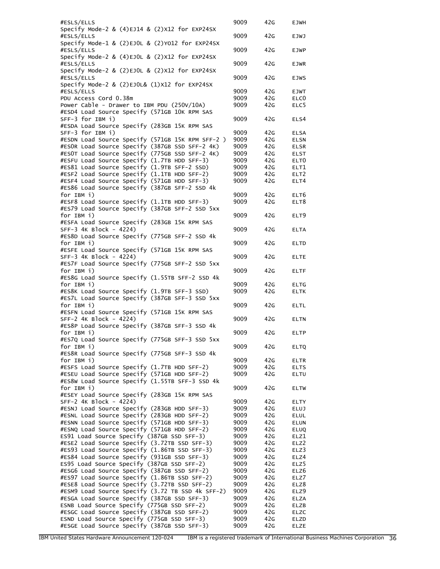| #ESLS/ELLS                                                                                | 9009 | 42G             | <b>EJWH</b>      |
|-------------------------------------------------------------------------------------------|------|-----------------|------------------|
| Specify Mode-2 & $(4)EJ14$ & $(2)X12$ for EXP24SX                                         |      |                 |                  |
| #ESLS/ELLS                                                                                | 9009 | 42G             | <b>EJWJ</b>      |
| Specify Mode-1 & (2)EJOL & (2)YO12 for EXP24SX                                            |      |                 |                  |
| #ESLS/ELLS                                                                                | 9009 | 42 <sub>G</sub> | <b>EJWP</b>      |
| Specify Mode-2 & (4)EJOL & (2)X12 for EXP24SX                                             |      |                 |                  |
| #ESLS/ELLS                                                                                | 9009 | 42G             | <b>EJWR</b>      |
| Specify Mode-2 & (2)EJOL & (2)X12 for EXP24SX                                             |      |                 |                  |
|                                                                                           |      |                 |                  |
| #ESLS/ELLS                                                                                | 9009 | 42G             | <b>EJWS</b>      |
| Specify Mode-2 & $(2)$ EJOL& $(1)$ X12 for EXP24SX                                        |      |                 |                  |
| #ESLS/ELLS                                                                                | 9009 | 42G             | <b>EJWT</b>      |
| PDU Access Cord 0.38m                                                                     | 9009 | 42G             | ELC <sub>0</sub> |
| Power Cable - Drawer to IBM PDU (250V/10A)                                                | 9009 | 42G             | ELC5             |
| #ESD4 Load Source Specify (571GB 10K RPM SAS                                              |      |                 |                  |
| SFF-3 for IBM i)                                                                          | 9009 | 42G             | ELS4             |
| #ESDA Load Source Specify (283GB 15K RPM SAS                                              |      |                 |                  |
| $SFF-3$ for IBM $i)$                                                                      | 9009 | 42G             | <b>ELSA</b>      |
| #ESDN Load Source Specify (571GB 15K RPM SFF-2 )                                          | 9009 | 42G             | <b>ELSN</b>      |
| #ESOR Load Source Specify (387GB SSD SFF-2 4K)                                            | 9009 | 42G             | <b>ELSR</b>      |
| #ESOT Load Source Specify (775GB SSD SFF-2 4K)                                            | 9009 | 42G             | <b>ELST</b>      |
|                                                                                           |      |                 |                  |
| #ESFU Load Source Specify (1.7TB HDD SFF-3)                                               | 9009 | 42G             | ELT <sub>0</sub> |
| #ES81 Load Source Specify (1.9TB SFF-2 SSD)                                               | 9009 | 42G             | ELT1             |
| #ESF2 Load Source Specify (1.1TB HDD SFF-2)                                               | 9009 | 42G             | ELT <sub>2</sub> |
| #ESF4 Load Source Specify (571GB HDD SFF-3)                                               | 9009 | 42G             | ELT4             |
| #ES86 Load Source Specify (387GB SFF-2 SSD 4k                                             |      |                 |                  |
| for IBM i)                                                                                | 9009 | 42G             | ELT <sub>6</sub> |
| #ESF8 Load Source Specify (1.1TB HDD SFF-3)                                               |      |                 |                  |
|                                                                                           | 9009 | 42G             | ELT8             |
| #ES79 Load Source Specify (387GB SFF-2 SSD 5xx                                            |      |                 |                  |
| for IBM i)                                                                                | 9009 | 42G             | ELT9             |
| #ESFA Load Source Specify (283GB 15K RPM SAS                                              |      |                 |                  |
| SFF-3 4K Block - 4224)                                                                    | 9009 | 42G             | <b>ELTA</b>      |
| #ES8D Load Source Specify (775GB SFF-2 SSD 4k                                             |      |                 |                  |
| for IBM i)                                                                                | 9009 | 42G             | <b>ELTD</b>      |
| #ESFE Load Source Specify (571GB 15K RPM SAS                                              |      |                 |                  |
| SFF-3 4K Block - 4224)                                                                    |      |                 |                  |
|                                                                                           | 9009 | 42G             | <b>ELTE</b>      |
| #ES7F Load Source Specify (775GB SFF-2 SSD 5xx                                            |      |                 |                  |
| for IBM i)                                                                                | 9009 | 42G             | <b>ELTF</b>      |
| #ES8G Load Source Specify (1.55TB SFF-2 SSD 4k                                            |      |                 |                  |
| for IBM i)                                                                                | 9009 | 42G             | <b>ELTG</b>      |
| #ES8K Load Source Specify (1.9TB SFF-3 SSD)                                               | 9009 | 42G             | <b>ELTK</b>      |
| #ES7L Load Source Specify (387GB SFF-3 SSD 5xx                                            |      |                 |                  |
| for IBM i)                                                                                |      |                 |                  |
|                                                                                           | 9009 | 42G             | <b>ELTL</b>      |
| #ESFN Load Source Specify (571GB 15K RPM SAS                                              |      |                 |                  |
| SFF-2 4K Block - 4224)                                                                    | 9009 | 42G             | <b>ELTN</b>      |
| #ES8P Load Source Specify (387GB SFF-3 SSD 4k                                             |      |                 |                  |
| for IBM i)                                                                                | 9009 | 42 <sub>G</sub> | <b>ELTP</b>      |
| #ES7Q Load Source Specify (775GB SFF-3 SSD 5xx                                            |      |                 |                  |
| for IBM i)                                                                                | 9009 | 42G             | <b>ELTQ</b>      |
| #ES8R Load Source Specify (775GB SFF-3 SSD 4k                                             |      |                 |                  |
| for IBM i)                                                                                | 9009 | 42G             | <b>ELTR</b>      |
|                                                                                           |      |                 |                  |
| #ESFS Load Source Specify (1.7TB HDD SFF-2)                                               | 9009 | 42G             | <b>ELTS</b>      |
| #ESEU Load Source Specify (571GB HDD SFF-2)                                               | 9009 | 42G             | ELTU             |
| #ES8W Load Source Specify (1.55TB SFF-3 SSD 4k                                            |      |                 |                  |
| for IBM i)                                                                                | 9009 | 42G             | <b>ELTW</b>      |
| #ESEY Load Source Specify (283GB 15K RPM SAS                                              |      |                 |                  |
| SFF-2 4K Block - 4224)                                                                    | 9009 | 42G             | <b>ELTY</b>      |
| #ESNJ Load Source Specify (283GB HDD SFF-3)                                               | 9009 | 42G             | <b>ELUJ</b>      |
| #ESNL Load Source Specify (283GB HDD SFF-2)                                               | 9009 | 42G             |                  |
|                                                                                           |      |                 | <b>ELUL</b>      |
| #ESNN Load Source Specify (571GB HDD SFF-3)                                               | 9009 | 42G             | <b>ELUN</b>      |
| #ESNQ Load Source Specify (571GB HDD SFF-2)                                               | 9009 | 42G             | ELUQ             |
| ES91 Load Source Specify (387GB SSD SFF-3)                                                | 9009 | 42G             | ELZ1             |
| #ESE2 Load Source Specify (3.72TB SSD SFF-3)                                              | 9009 | 42G             | ELZ2             |
| #ES93 Load Source Specify (1.86TB SSD SFF-3)                                              | 9009 | 42G             | ELZ3             |
| #ES84 Load Source Specify (931GB SSD SFF-3)                                               | 9009 | 42G             | ELZ4             |
|                                                                                           |      |                 |                  |
| ES95 Load Source Specify (387GB SSD SFF-2)                                                | 9009 | 42G             | ELZ5             |
| #ESG6 Load Source Specify (387GB SSD SFF-2)                                               | 9009 | 42G             | ELZ6             |
| #ES97 Load Source Specify (1.86TB SSD SFF-2)                                              | 9009 | 42G             | ELZ7             |
| #ESE8 Load Source Specify (3.72TB SSD SFF-2)                                              | 9009 | 42G             | ELZ8             |
| #ESM9 Load Source Specify (3.72 TB SSD 4k SFF-2)                                          | 9009 | 42G             | ELZ9             |
| #ESGA Load Source Specify (387GB SSD SFF-3)                                               | 9009 | 42G             | ELZA             |
| ESNB Load Source Specify (775GB SSD SFF-2)                                                | 9009 | 42G             | ELZB             |
| #ESGC Load Source Specify (387GB SSD SFF-2)                                               | 9009 | 42G             |                  |
|                                                                                           |      |                 | <b>ELZC</b>      |
| ESND Load Source Specify (775GB SSD SFF-3)<br>#ESGE Load Source Specify (387GB SSD SFF-3) | 9009 | 42G             | ELZD             |
|                                                                                           | 9009 | 42G             | <b>ELZE</b>      |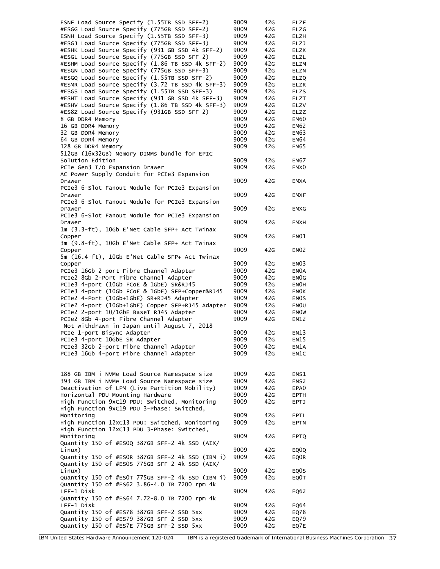| ESNF Load Source Specify (1.55TB SSD SFF-2)                      | 9009 | 42G | ELZF              |
|------------------------------------------------------------------|------|-----|-------------------|
| #ESGG Load Source Specify (775GB SSD SFF-2)                      | 9009 | 42G | <b>ELZG</b>       |
| ESNH Load Source Specify (1.55TB SSD SFF-3)                      | 9009 | 42G | <b>ELZH</b>       |
| #ESGJ Load Source Specify (775GB SSD SFF-3)                      | 9009 | 42G | <b>ELZJ</b>       |
| #ESHK Load Source Specify (931 GB SSD 4k SFF-2)                  | 9009 | 42G | <b>ELZK</b>       |
| #ESGL Load Source Specify (775GB SSD SFF-2)                      | 9009 | 42G | <b>ELZL</b>       |
| #ESHM Load Source Specify (1.86 TB SSD 4k SFF-2)                 | 9009 | 42G | <b>ELZM</b>       |
| #ESGN Load Source Specify (775GB SSD SFF-3)                      | 9009 | 42G | ELZN              |
| #ESGQ Load Source Specify (1.55TB SSD SFF-2)                     | 9009 | 42G | ELZQ              |
| #ESMR Load Source Specify (3.72 TB SSD 4k SFF-3)                 | 9009 | 42G | <b>ELZR</b>       |
| #ESGS Load Source Specify (1.55TB SSD SFF-3)                     | 9009 | 42G | <b>ELZS</b>       |
| #ESHT Load Source Specify (931 GB SSD 4k SFF-3)                  | 9009 | 42G | <b>ELZT</b>       |
| #ESHV Load Source Specify (1.86 TB SSD 4k SFF-3)                 | 9009 | 42G | ELZV              |
| #ES8Z Load Source Specify (931GB SSD SFF-2)                      | 9009 | 42G | ELZZ              |
| 8 GB DDR4 Memory                                                 | 9009 | 42G | EM60              |
| 16 GB DDR4 Memory                                                | 9009 | 42G | EM62              |
| 32 GB DDR4 Memory                                                | 9009 | 42G | <b>EM63</b>       |
| 64 GB DDR4 Memory                                                | 9009 | 42G | <b>EM64</b>       |
| 128 GB DDR4 Memory                                               | 9009 | 42G | EM65              |
| 512GB (16x32GB) Memory DIMMs bundle for EPIC<br>Solution Edition | 9009 | 42G | EM67              |
| PCIe Gen3 I/O Expansion Drawer                                   | 9009 | 42G | EMX <sub>0</sub>  |
| AC Power Supply Conduit for PCIe3 Expansion                      |      |     |                   |
| Drawer                                                           | 9009 | 42G | <b>EMXA</b>       |
| PCIe3 6-Slot Fanout Module for PCIe3 Expansion                   |      |     |                   |
| Drawer                                                           | 9009 | 42G | <b>EMXF</b>       |
| PCIe3 6-Slot Fanout Module for PCIe3 Expansion                   |      |     |                   |
| Drawer                                                           | 9009 | 42G | <b>EMXG</b>       |
| PCIe3 6-Slot Fanout Module for PCIe3 Expansion                   |      |     |                   |
| Drawer                                                           | 9009 | 42G | <b>EMXH</b>       |
| 1m (3.3-ft), 10Gb E'Net Cable SFP+ Act Twinax                    |      |     |                   |
| Copper                                                           | 9009 | 42G | <b>EN01</b>       |
| 3m (9.8-ft), 10Gb E'Net Cable SFP+ Act Twinax                    |      |     |                   |
| Copper                                                           | 9009 | 42G | EN <sub>02</sub>  |
| 5m (16.4-ft), 10Gb E'Net Cable SFP+ Act Twinax                   |      |     |                   |
| Copper                                                           | 9009 | 42G | EN <sub>03</sub>  |
| PCIe3 16Gb 2-port Fibre Channel Adapter                          | 9009 | 42G | EN0A              |
| PCIe2 8Gb 2-Port Fibre Channel Adapter                           | 9009 | 42G | EN <sub>O</sub> G |
| PCIe3 4-port (10Gb FCoE & 1GbE) SR&RJ45                          | 9009 | 42G | <b>ENOH</b>       |
| PCIe3 4-port (10Gb FCoE & 1GbE) SFP+Copper&RJ45                  | 9009 | 42G | <b>ENOK</b>       |
| PCIe2 4-Port (10Gb+1GbE) SR+RJ45 Adapter                         | 9009 | 42G | EN <sub>OS</sub>  |
| PCIe2 4-port (10Gb+1GbE) Copper SFP+RJ45 Adapter                 | 9009 | 42G | EN <sub>OU</sub>  |
| PCIe2 2-port 10/1GbE BaseT RJ45 Adapter                          | 9009 | 42G | <b>ENOW</b>       |
| PCIe2 8Gb 4-port Fibre Channel Adapter                           | 9009 | 42G | <b>EN12</b>       |
| Not withdrawn in Japan until August 7, 2018                      |      |     |                   |
| PCIe 1-port Bisync Adapter                                       | 9009 | 42G | EN13              |
| PCIe3 4-port 10GbE SR Adapter                                    | 9009 | 42G | EN15              |
| PCIe3 32Gb 2-port Fibre Channel Adapter                          | 9009 | 42G | EN1A              |
| PCIe3 16Gb 4-port Fibre Channel Adapter                          | 9009 | 42G | EN1C              |
|                                                                  |      |     |                   |
|                                                                  |      |     |                   |
| 188 GB IBM i NVMe Load Source Namespace size                     | 9009 | 42G | ENS1              |
| 393 GB IBM i NVMe Load Source Namespace size                     | 9009 | 42G | ENS <sub>2</sub>  |
| Deactivation of LPM (Live Partition Mobility)                    | 9009 | 42G | EPA <sub>0</sub>  |
| Horizontal PDU Mounting Hardware                                 | 9009 | 42G | <b>EPTH</b>       |
| High Function 9xC19 PDU: Switched, Monitoring                    | 9009 | 42G | EPTJ              |
| High Function 9xC19 PDU 3-Phase: Switched,                       |      |     |                   |
| Monitoring                                                       | 9009 | 42G | EPTL              |
| High Function 12xC13 PDU: Switched, Monitoring                   | 9009 | 42G | <b>EPTN</b>       |
| High Function 12xC13 PDU 3-Phase: Switched,                      |      |     |                   |
| Monitoring                                                       | 9009 | 42G | <b>EPTQ</b>       |
| Quantity 150 of #ESOQ 387GB SFF-2 4k SSD (AIX/                   |      |     |                   |
| Linux)                                                           | 9009 | 42G | EQ <sub>0</sub> Q |
| Quantity 150 of #ESOR 387GB SFF-2 4k SSD (IBM i)                 | 9009 | 42G | EQ0R              |
| Quantity 150 of #ESOS 775GB SFF-2 4k SSD (AIX/                   |      |     |                   |
| Linux)                                                           | 9009 | 42G | EQ0S              |
| Quantity 150 of #ESOT 775GB SFF-2 4k SSD (IBM i)                 | 9009 | 42G | EQ0T              |
| Quantity 150 of #ES62 3.86-4.0 TB 7200 rpm 4k                    |      |     |                   |
| LFF-1 Disk                                                       | 9009 | 42G | EQ62              |
| Quantity 150 of #ES64 7.72-8.0 TB 7200 rpm 4k                    |      |     |                   |
| LFF-1 Disk                                                       | 9009 | 42G | EQ64              |
| Quantity 150 of #ES78 387GB SFF-2 SSD 5xx                        | 9009 | 42G | EQ78              |
| Quantity 150 of #ES79 387GB SFF-2 SSD 5xx                        | 9009 | 42G | EQ79              |
| Quantity 150 of #ES7E 775GB SFF-2 SSD 5xx                        | 9009 | 42G | EQ7E              |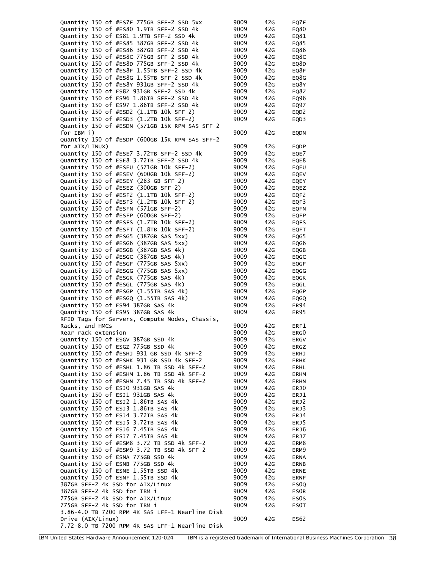| Quantity 150 of #ES7F 775GB SFF-2 SSD 5xx       | 9009 | 42G | EQ7F              |
|-------------------------------------------------|------|-----|-------------------|
| Quantity 150 of #ES80 1.9TB SFF-2 SSD 4k        | 9009 | 42G | EQ80              |
| Quantity 150 of ES81 1.9TB SFF-2 SSD 4k         | 9009 | 42G | EQ81              |
| Quantity 150 of #ES85 387GB SFF-2 SSD 4k        | 9009 | 42G | EQ85              |
| Quantity 150 of #ES86 387GB SFF-2 SSD 4k        | 9009 | 42G | EQ86              |
| Quantity 150 of #ES8C 775GB SFF-2 SSD 4k        | 9009 | 42G | EQ8C              |
| Quantity 150 of #ES8D 775GB SFF-2 SSD 4k        | 9009 | 42G | EQ8D              |
| Quantity 150 of #ES8F 1.55TB SFF-2 SSD 4k       | 9009 | 42G | EQ8F              |
| Quantity 150 of #ES8G 1.55TB SFF-2 SSD 4k       | 9009 | 42G | EQ8G              |
|                                                 |      |     |                   |
| Quantity 150 of #ES8Y 931GB SFF-2 SSD 4k        | 9009 | 42G | EQ8Y              |
| Quantity 150 of ES8Z 931GB SFF-2 SSD 4k         | 9009 | 42G | EQ8Z              |
| Quantity 150 of ES96 1.86TB SFF-2 SSD 4k        | 9009 | 42G | EQ96              |
| Quantity 150 of ES97 1.86TB SFF-2 SSD 4k        | 9009 | 42G | EQ97              |
| Quantity 150 of #ESD2 (1.1TB 10k SFF-2)         | 9009 | 42G | EQD <sub>2</sub>  |
| Quantity 150 of #ESD3 (1.2TB 10k SFF-2)         | 9009 | 42G | EQD3              |
| Quantity 150 of #ESDN (571GB 15K RPM SAS SFF-2  |      |     |                   |
| for IBM i)                                      | 9009 | 42G | EQDN              |
| Quantity 150 of #ESDP (600GB 15K RPM SAS SFF-2  |      |     |                   |
| for AIX/LINUX)                                  | 9009 | 42G | EQDP              |
| Quantity 150 of #ESE7 3.72TB SFF-2 SSD 4k       | 9009 | 42G | EQE7              |
|                                                 |      |     |                   |
| Quantity 150 of ESE8 3.72TB SFF-2 SSD 4k        | 9009 | 42G | EQE8              |
| Quantity 150 of #ESEU (571GB 10k SFF-2)         | 9009 | 42G | EQEU              |
| Quantity 150 of #ESEV (600GB 10k SFF-2)         | 9009 | 42G | EQEV              |
| Quantity 150 of #ESEY (283 GB SFF-2)            | 9009 | 42G | EQEY              |
| Quantity 150 of #ESEZ (300GB SFF-2)             | 9009 | 42G | EQEZ              |
| Quantity 150 of #ESF2 (1.1TB 10k SFF-2)         | 9009 | 42G | EQF2              |
| Quantity 150 of #ESF3 (1.2TB 10k SFF-2)         | 9009 | 42G | EQF3              |
| Quantity 150 of #ESFN (571GB SFF-2)             | 9009 | 42G | EQFN              |
| Quantity 150 of #ESFP (600GB SFF-2)             | 9009 | 42G | <b>EQFP</b>       |
| Quantity 150 of #ESFS (1.7TB 10k SFF-2)         | 9009 | 42G |                   |
|                                                 |      |     | <b>EQFS</b>       |
| Quantity 150 of #ESFT (1.8TB 10k SFF-2)         | 9009 | 42G | <b>EQFT</b>       |
| Quantity 150 of #ESG5 (387GB SAS 5xx)           | 9009 | 42G | EQG5              |
| Quantity 150 of #ESG6 (387GB SAS 5xx)           | 9009 | 42G | EQG6              |
| Quantity 150 of #ESGB (387GB SAS 4k)            | 9009 | 42G | EQGB              |
| Quantity 150 of #ESGC (387GB SAS 4k)            | 9009 | 42G | EQGC              |
| Quantity 150 of #ESGF (775GB SAS 5xx)           | 9009 | 42G | <b>EQGF</b>       |
| Quantity 150 of #ESGG (775GB SAS 5xx)           | 9009 | 42G | EQGG              |
| Quantity 150 of #ESGK (775GB SAS 4k)            | 9009 | 42G | EQGK              |
| Quantity 150 of #ESGL (775GB SAS 4k)            | 9009 | 42G | EQGL              |
| Quantity 150 of #ESGP (1.55TB SAS 4k)           | 9009 | 42G | <b>EQGP</b>       |
| Quantity 150 of #ESGQ (1.55TB SAS 4k)           | 9009 | 42G |                   |
|                                                 |      |     | EQGQ              |
| Quantity 150 of ES94 387GB SAS 4k               | 9009 | 42G | ER94              |
| Quantity 150 of ES95 387GB SAS 4k               | 9009 | 42G | ER95              |
| RFID Tags for Servers, Compute Nodes, Chassis,  |      |     |                   |
| Racks, and HMCs                                 | 9009 | 42G | ERF1              |
| Rear rack extension                             | 9009 | 42G | ERG0              |
| Quantity 150 of ESGV 387GB SSD 4k               | 9009 | 42G | ERGV              |
| Quantity 150 of ESGZ 775GB SSD 4k               | 9009 | 42G | ERGZ              |
| Quantity 150 of #ESHJ 931 GB SSD 4k SFF-2       | 9009 | 42G | ERHJ              |
| Quantity 150 of #ESHK 931 GB SSD 4k SFF-2       | 9009 | 42G | ERHK              |
| Quantity 150 of #ESHL 1.86 TB SSD 4k SFF-2      | 9009 | 42G | ERHL              |
| Quantity 150 of #ESHM 1.86 TB SSD 4k SFF-2      | 9009 | 42G | ERHM              |
| Quantity 150 of #ESHN 7.45 TB SSD 4k SFF-2      |      | 42G |                   |
|                                                 | 9009 |     | ERHN              |
| Quantity 150 of ESJO 931GB SAS 4k               | 9009 | 42G | ERJ0              |
| Quantity 150 of ESJ1 931GB SAS 4k               | 9009 | 42G | ERJ1              |
| Quantity 150 of ESJ2 1.86TB SAS 4k              | 9009 | 42G | ERJ2              |
| Quantity 150 of ESJ3 1.86TB SAS 4k              | 9009 | 42G | ERJ3              |
| Quantity 150 of ESJ4 3.72TB SAS 4k              | 9009 | 42G | ER <sub>J</sub> 4 |
| Quantity 150 of ESJ5 3.72TB SAS 4k              | 9009 | 42G | ERJ5              |
| Quantity 150 of ESJ6 7.45TB SAS 4k              | 9009 | 42G | ERJ6              |
| Quantity 150 of ESJ7 7.45TB SAS 4k              | 9009 | 42G | ERJ7              |
| Quantity 150 of #ESM8 3.72 TB SSD 4k SFF-2      | 9009 | 42G | ERM8              |
|                                                 |      |     |                   |
| Quantity 150 of #ESM9 3.72 TB SSD 4k SFF-2      | 9009 | 42G | ERM9              |
| Quantity 150 of ESNA 775GB SSD 4k               | 9009 | 42G | ERNA              |
| Quantity 150 of ESNB 775GB SSD 4k               | 9009 | 42G | ERNB              |
| Quantity 150 of ESNE 1.55TB SSD 4k              | 9009 | 42G | ERNE              |
| Quantity 150 of ESNF 1.55TB SSD 4k              | 9009 | 42G | <b>ERNF</b>       |
| 387GB SFF-2 4K SSD for AIX/Linux                | 9009 | 42G | ES <sub>0</sub>   |
| 387GB SFF-2 4k SSD for IBM i                    | 9009 | 42G | <b>ESOR</b>       |
| 775GB SFF-2 4k SSD for AIX/Linux                | 9009 | 42G | ES0S              |
| 775GB SFF-2 4k SSD for IBM i                    | 9009 | 42G | ES0T              |
| 3.86-4.0 TB 7200 RPM 4K SAS LFF-1 Nearline Disk |      |     |                   |
|                                                 | 9009 | 42G | ES62              |
| Drive (AIX/Linux)                               |      |     |                   |
| 7.72-8.0 TB 7200 RPM 4K SAS LFF-1 Nearline Disk |      |     |                   |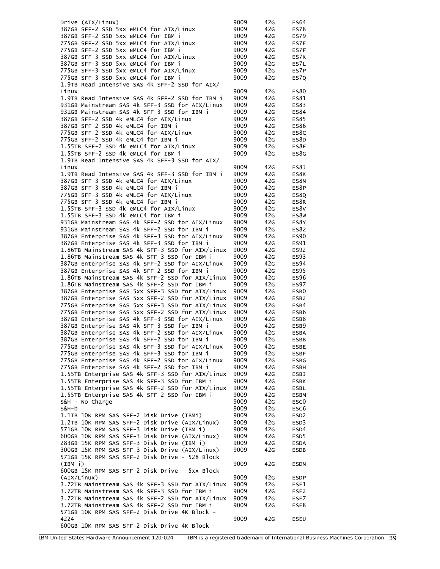| Drive (AIX/Linux)                                                                                | 9009         | 42G        | <b>ES64</b>      |
|--------------------------------------------------------------------------------------------------|--------------|------------|------------------|
| 387GB SFF-2 SSD 5xx eMLC4 for AIX/Linux                                                          | 9009         | 42G        | <b>ES78</b>      |
| 387GB SFF-2 SSD 5xx eMLC4 for IBM i                                                              | 9009         | 42G        | <b>ES79</b>      |
| 775GB SFF-2 SSD 5xx eMLC4 for AIX/Linux                                                          | 9009         | 42G        | ES7E             |
| 775GB SFF-2 SSD 5xx eMLC4 for IBM i                                                              | 9009         | 42G        | ES7F             |
| 387GB SFF-3 SSD 5xx eMLC4 for AIX/Linux                                                          | 9009         | 42G        | ES7K             |
| 387GB SFF-3 SSD 5xx eMLC4 for IBM i                                                              | 9009         | 42G        | ES7L             |
| 775GB SFF-3 SSD 5xx eMLC4 for AIX/Linux                                                          | 9009         | 42G        | ES7P             |
| 775GB SFF-3 SSD 5xx eMLC4 for IBM i                                                              | 9009         | 42G        | ES7Q             |
| 1.9TB Read Intensive SAS 4k SFF-2 SSD for AIX/                                                   |              |            |                  |
| Linux                                                                                            | 9009         | 42G        | <b>ES80</b>      |
| 1.9TB Read Intensive SAS 4k SFF-2 SSD for IBM i                                                  | 9009         | 42G        | ES81             |
| 931GB Mainstream SAS 4k SFF-3 SSD for AIX/Linux                                                  | 9009         | 42G        | ES83             |
| 931GB Mainstream SAS 4k SFF-3 SSD for IBM i                                                      | 9009         | 42G        | <b>ES84</b>      |
| 387GB SFF-2 SSD 4k eMLC4 for AIX/Linux                                                           | 9009         | 42G        | <b>ES85</b>      |
| 387GB SFF-2 SSD 4k eMLC4 for IBM i                                                               | 9009         | 42G        | <b>ES86</b>      |
| 775GB SFF-2 SSD 4k eMLC4 for AIX/Linux<br>775GB SFF-2 SSD 4k eMLC4 for IBM i                     | 9009<br>9009 | 42G<br>42G | ES8C<br>ES8D     |
| 1.55TB SFF-2 SSD 4k eMLC4 for AIX/Linux                                                          | 9009         | 42G        | ES8F             |
| 1.55TB SFF-2 SSD 4k eMLC4 for IBM i                                                              | 9009         | 42G        | ES8G             |
| 1.9TB Read Intensive SAS 4k SFF-3 SSD for AIX/                                                   |              |            |                  |
| Linux                                                                                            | 9009         | 42G        | ES8J             |
| 1.9TB Read Intensive SAS 4k SFF-3 SSD for IBM i                                                  | 9009         | 42G        | ES8K             |
| 387GB SFF-3 SSD 4k eMLC4 for AIX/Linux                                                           | 9009         | 42G        | ES8N             |
| 387GB SFF-3 SSD 4k eMLC4 for IBM i                                                               | 9009         | 42G        | ES8P             |
| 775GB SFF-3 SSD 4k eMLC4 for AIX/Linux                                                           | 9009         | 42G        | ES8Q             |
| 775GB SFF-3 SSD 4k eMLC4 for IBM i                                                               | 9009         | 42G        | ES8R             |
| 1.55TB SFF-3 SSD 4k eMLC4 for AIX/Linux                                                          | 9009         | 42G        | ES8V             |
| 1.55TB SFF-3 SSD 4k eMLC4 for IBM i                                                              | 9009         | 42G        | ES8W             |
| 931GB Mainstream SAS 4k SFF-2 SSD for AIX/Linux                                                  | 9009         | 42G        | ES8Y             |
| 931GB Mainstream SAS 4k SFF-2 SSD for IBM i                                                      | 9009         | 42G        | ES8Z             |
| 387GB Enterprise SAS 4k SFF-3 SSD for AIX/Linux                                                  | 9009         | 42G        | <b>ES90</b>      |
| 387GB Enterprise SAS 4k SFF-3 SSD for IBM i                                                      | 9009         | 42G        | ES91             |
| 1.86TB Mainstream SAS 4k SFF-3 SSD for AIX/Linux                                                 | 9009         | 42G        | <b>ES92</b>      |
| 1.86TB Mainstream SAS 4k SFF-3 SSD for IBM i                                                     | 9009         | 42G        | <b>ES93</b>      |
| 387GB Enterprise SAS 4k SFF-2 SSD for AIX/Linux                                                  | 9009         | 42G        | <b>ES94</b>      |
| 387GB Enterprise SAS 4k SFF-2 SSD for IBM i                                                      | 9009         | 42G        | <b>ES95</b>      |
| 1.86TB Mainstream SAS 4k SFF-2 SSD for AIX/Linux                                                 | 9009         | 42G        | <b>ES96</b>      |
| 1.86TB Mainstream SAS 4k SFF-2 SSD for IBM i                                                     | 9009         | 42G        | <b>ES97</b>      |
| 387GB Enterprise SAS 5xx SFF-3 SSD for AIX/Linux                                                 | 9009         | 42G        | ESB <sub>0</sub> |
| 387GB Enterprise SAS 5xx SFF-2 SSD for AIX/Linux                                                 | 9009         | 42G        | ESB <sub>2</sub> |
| 775GB Enterprise SAS 5xx SFF-3 SSD for AIX/Linux                                                 | 9009         | 42G        | ESB4             |
| 775GB Enterprise SAS 5xx SFF-2 SSD for AIX/Linux                                                 | 9009         | 42G        | ESB6             |
| 387GB Enterprise SAS 4k SFF-3 SSD for AIX/Linux                                                  | 9009         | 42G        | ESB8             |
| 387GB Enterprise SAS 4k SFF-3 SSD for IBM i                                                      | 9009         | 42G        | ESB9             |
| 387GB Enterprise SAS 4k SFF-2 SSD for AIX/Linux                                                  | 9009         | 42G        | <b>ESBA</b>      |
| 387GB Enterprise SAS 4k SFF-2 SSD for IBM i                                                      | 9009         | 42G        | ESBB             |
| 775GB Enterprise SAS 4k SFF-3 SSD for AIX/Linux                                                  | 9009         | 42G        | <b>ESBE</b>      |
| 775GB Enterprise SAS 4k SFF-3 SSD for IBM i                                                      | 9009         | 42G        | <b>ESBF</b>      |
| 775GB Enterprise SAS 4k SFF-2 SSD for AIX/Linux                                                  | 9009         | 42G        | ESBG             |
| 775GB Enterprise SAS 4k SFF-2 SSD for IBM i                                                      | 9009         | 42G        | ESBH             |
| 1.55TB Enterprise SAS 4k SFF-3 SSD for AIX/Linux                                                 | 9009         | 42G        | <b>ESBJ</b>      |
| 1.55TB Enterprise SAS 4k SFF-3 SSD for IBM i                                                     | 9009         | 42G        | <b>ESBK</b>      |
| 1.55TB Enterprise SAS 4k SFF-2 SSD for AIX/Linux                                                 | 9009         | 42G        | <b>ESBL</b>      |
| 1.55TB Enterprise SAS 4k SFF-2 SSD for IBM i                                                     | 9009         | 42G        | <b>ESBM</b>      |
| S&H - No Charge                                                                                  | 9009         | 42G        | ESC <sub>0</sub> |
| $S&H-b$                                                                                          | 9009         | 42G        | ESC <sub>6</sub> |
| 1.1TB 10K RPM SAS SFF-2 Disk Drive (IBMi)                                                        | 9009         | 42G        | ESD <sub>2</sub> |
| 1.2TB 10K RPM SAS SFF-2 Disk Drive (AIX/Linux)                                                   | 9009         | 42G        | ESD3             |
| 571GB 10K RPM SAS SFF-3 Disk Drive (IBM i)                                                       | 9009         | 42G        | ESD4             |
| 600GB 10K RPM SAS SFF-3 Disk Drive (AIX/Linux)                                                   | 9009         | 42G        | ESD <sub>5</sub> |
| 283GB 15K RPM SAS SFF-3 Disk Drive (IBM i)                                                       | 9009         | 42G        | <b>ESDA</b>      |
| 300GB 15K RPM SAS SFF-3 Disk Drive (AIX/Linux)                                                   | 9009         | 42G        | ESDB             |
| 571GB 15K RPM SAS SFF-2 Disk Drive - 528 Block                                                   |              |            |                  |
| (IBM i)                                                                                          | 9009         | 42G        | ESDN             |
| 600GB 15K RPM SAS SFF-2 Disk Drive - 5xx Block                                                   |              |            |                  |
| (AIX/Linux)                                                                                      | 9009         | 42G        | <b>ESDP</b>      |
| 3.72TB Mainstream SAS 4k SFF-3 SSD for AIX/Linux                                                 | 9009         | 42G        | ESE1             |
| 3.72TB Mainstream SAS 4k SFF-3 SSD for IBM i                                                     | 9009         | 42G        | ESE2             |
| 3.72TB Mainstream SAS 4k SFF-2 SSD for AIX/Linux<br>3.72TB Mainstream SAS 4k SFF-2 SSD for IBM i | 9009         | 42G        | ESE7             |
| 571GB 10K RPM SAS SFF-2 Disk Drive 4K Block -                                                    | 9009         | 42G        | ESE8             |
| 4224                                                                                             | 9009         | 42G        | ESEU             |
| 600GB 10K RPM SAS SFF-2 Disk Drive 4K Block -                                                    |              |            |                  |
|                                                                                                  |              |            |                  |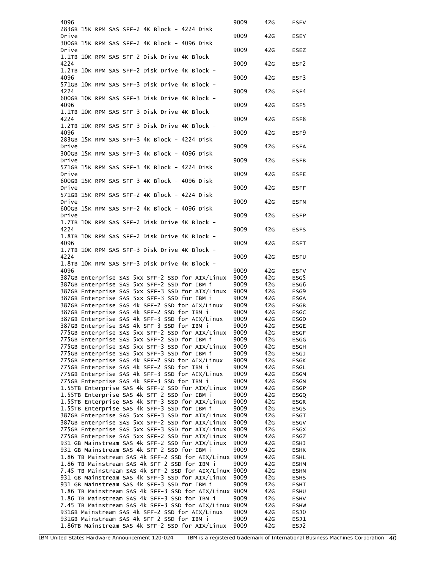| 4096                                                                                                       | 9009         | 42G        | ESEV                       |
|------------------------------------------------------------------------------------------------------------|--------------|------------|----------------------------|
| 283GB 15K RPM SAS SFF-2 4K Block - 4224 Disk                                                               |              |            |                            |
| Drive                                                                                                      | 9009         | 42G        | ESEY                       |
| 300GB 15K RPM SAS SFF-2 4K Block - 4096 Disk<br>Drive                                                      | 9009         | 42G        | ESEZ                       |
| 1.1TB 10K RPM SAS SFF-2 Disk Drive 4K Block -                                                              |              |            |                            |
| 4224                                                                                                       | 9009         | 42G        | ESF2                       |
| 1.2TB 10K RPM SAS SFF-2 Disk Drive 4K Block -                                                              |              |            |                            |
| 4096<br>571GB 10K RPM SAS SFF-3 Disk Drive 4K Block -                                                      | 9009         | 42G        | ESF3                       |
| 4224                                                                                                       | 9009         | 42G        | ESF4                       |
| 600GB 10K RPM SAS SFF-3 Disk Drive 4K Block -                                                              |              |            |                            |
| 4096<br>1.1TB 10K RPM SAS SFF-3 Disk Drive 4K Block -                                                      | 9009         | 42G        | ESF5                       |
| 4224                                                                                                       | 9009         | 42G        | ESF8                       |
| 1.2TB 10K RPM SAS SFF-3 Disk Drive 4K Block -                                                              |              |            |                            |
| 4096                                                                                                       | 9009         | 42G        | ESF9                       |
| 283GB 15K RPM SAS SFF-3 4K Block - 4224 Disk<br>Drive                                                      | 9009         | 42G        | <b>ESFA</b>                |
| 300GB 15K RPM SAS SFF-3 4K Block - 4096 Disk                                                               |              |            |                            |
| Drive                                                                                                      | 9009         | 42G        | <b>ESFB</b>                |
| 571GB 15K RPM SAS SFF-3 4K Block - 4224 Disk<br>Drive                                                      | 9009         | 42G        | <b>ESFE</b>                |
| 600GB 15K RPM SAS SFF-3 4K Block - 4096 Disk                                                               |              |            |                            |
| Drive                                                                                                      | 9009         | 42G        | <b>ESFF</b>                |
| 571GB 15K RPM SAS SFF-2 4K Block - 4224 Disk                                                               |              |            |                            |
| Drive<br>600GB 15K RPM SAS SFF-2 4K Block - 4096 Disk                                                      | 9009         | 42G        | <b>ESFN</b>                |
| Drive                                                                                                      | 9009         | 42G        | <b>ESFP</b>                |
| 1.7TB 10K RPM SAS SFF-2 Disk Drive 4K Block -                                                              |              |            |                            |
| 4224                                                                                                       | 9009         | 42G        | <b>ESFS</b>                |
| 1.8TB 10K RPM SAS SFF-2 Disk Drive 4K Block -<br>4096                                                      | 9009         | 42G        | <b>ESFT</b>                |
| 1.7TB 10K RPM SAS SFF-3 Disk Drive 4K Block -                                                              |              |            |                            |
| 4224                                                                                                       | 9009         | 42G        | <b>ESFU</b>                |
| 1.8TB 10K RPM SAS SFF-3 Disk Drive 4K Block -<br>4096                                                      |              |            |                            |
| 387GB Enterprise SAS 5xx SFF-2 SSD for AIX/Linux                                                           | 9009<br>9009 | 42G<br>42G | <b>ESFV</b><br>ESG5        |
| 387GB Enterprise SAS 5xx SFF-2 SSD for IBM i                                                               | 9009         | 42G        | ESG6                       |
| 387GB Enterprise SAS 5xx SFF-3 SSD for AIX/Linux                                                           | 9009         | 42G        | ESG9                       |
| 387GB Enterprise SAS 5xx SFF-3 SSD for IBM i                                                               | 9009         | 42G        | <b>ESGA</b>                |
| 387GB Enterprise SAS 4k SFF-2 SSD for AIX/Linux                                                            | 9009         | 42G        | ESGB                       |
| 387GB Enterprise SAS 4k SFF-2 SSD for IBM i                                                                | 9009         | 42G        | <b>ESGC</b>                |
| 387GB Enterprise SAS 4k SFF-3 SSD for AIX/Linux                                                            | 9009         | 42G        | ESGD                       |
| 387GB Enterprise SAS 4k SFF-3 SSD for IBM i                                                                | 9009         | 42G        | <b>ESGE</b>                |
| 775GB Enterprise SAS 5xx SFF-2 SSD for AIX/Linux                                                           | 9009         | 42G        | <b>ESGF</b>                |
| 775GB Enterprise SAS 5xx SFF-2 SSD for IBM i<br>775GB Enterprise SAS 5xx SFF-3 SSD for AIX/Linux           | 9009<br>9009 | 42G<br>42G | ESGG<br>ESGH               |
| 775GB Enterprise SAS 5xx SFF-3 SSD for IBM i                                                               | 9009         | 42G        | <b>ESGJ</b>                |
| 775GB Enterprise SAS 4k SFF-2 SSD for AIX/Linux                                                            | 9009         | 42G        | <b>ESGK</b>                |
| 775GB Enterprise SAS 4k SFF-2 SSD for IBM i                                                                | 9009         | 42G        | ESGL                       |
| 775GB Enterprise SAS 4k SFF-3 SSD for AIX/Linux                                                            | 9009         | 42G        | ESGM                       |
| 775GB Enterprise SAS 4k SFF-3 SSD for IBM i                                                                | 9009         | 42G        | <b>ESGN</b>                |
| 1.55TB Enterprise SAS 4k SFF-2 SSD for AIX/Linux                                                           | 9009         | 42G        | <b>ESGP</b>                |
| 1.55TB Enterprise SAS 4k SFF-2 SSD for IBM i                                                               | 9009         | 42G        | ESGQ                       |
| 1.55TB Enterprise SAS 4k SFF-3 SSD for AIX/Linux<br>1.55TB Enterprise SAS 4k SFF-3 SSD for IBM i           | 9009         | 42G        | ESGR                       |
| 387GB Enterprise SAS 5xx SFF-3 SSD for AIX/Linux                                                           | 9009<br>9009 | 42G<br>42G | <b>ESGS</b><br>ESGT        |
| 387GB Enterprise SAS 5xx SFF-2 SSD for AIX/Linux                                                           | 9009         | 42G        | ESGV                       |
| 775GB Enterprise SAS 5xx SFF-3 SSD for AIX/Linux                                                           | 9009         | 42G        | ESGX                       |
| 775GB Enterprise SAS 5xx SFF-2 SSD for AIX/Linux                                                           | 9009         | 42G        | ESGZ                       |
| 931 GB Mainstream SAS 4k SFF-2 SSD for AIX/Linux                                                           | 9009         | 42G        | ESHJ                       |
| 931 GB Mainstream SAS 4k SFF-2 SSD for IBM i                                                               | 9009         | 42G        | <b>ESHK</b>                |
| 1.86 TB Mainstream SAS 4k SFF-2 SSD for AIX/Linux 9009                                                     |              | 42G        | <b>ESHL</b>                |
| 1.86 TB Mainstream SAS 4k SFF-2 SSD for IBM i                                                              | 9009         | 42G        | <b>ESHM</b>                |
| 7.45 TB Mainstream SAS 4k SFF-2 SSD for AIX/Linux 9009<br>931 GB Mainstream SAS 4k SFF-3 SSD for AIX/Linux | 9009         | 42G<br>42G | <b>ESHN</b><br><b>ESHS</b> |
| 931 GB Mainstream SAS 4k SFF-3 SSD for IBM i                                                               | 9009         | 42G        | <b>ESHT</b>                |
| 1.86 TB Mainstream SAS 4k SFF-3 SSD for AIX/Linux 9009                                                     |              | 42G        | <b>ESHU</b>                |
| 1.86 TB Mainstream SAS 4k SFF-3 SSD for IBM i                                                              | 9009         | 42G        | <b>ESHV</b>                |
| 7.45 TB Mainstream SAS 4k SFF-3 SSD for AIX/Linux 9009                                                     |              | 42G        | <b>ESHW</b>                |
| 931GB Mainstream SAS 4k SFF-2 SSD for AIX/Linux                                                            | 9009         | 42G        | ESJ0                       |
| 931GB Mainstream SAS 4k SFF-2 SSD for IBM i<br>1.86TB Mainstream SAS 4k SFF-2 SSD for AIX/Linux            | 9009<br>9009 | 42G<br>42G | ESJ1<br>ESJ2               |
|                                                                                                            |              |            |                            |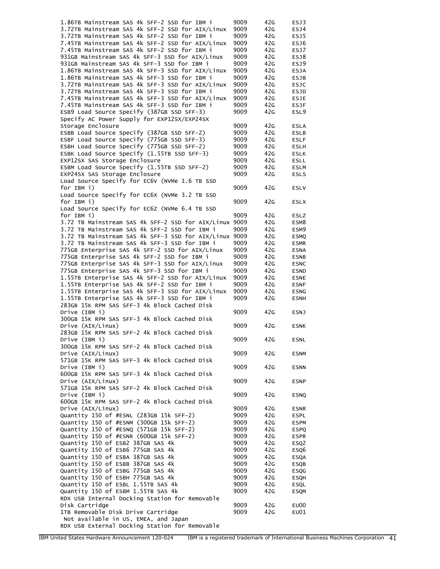| 1.86TB Mainstream SAS 4k SFF-2 SSD for IBM i                                                     | 9009         | 42G        | ESJ3                       |
|--------------------------------------------------------------------------------------------------|--------------|------------|----------------------------|
| 3.72TB Mainstream SAS 4k SFF-2 SSD for AIX/Linux                                                 | 9009         | 42G        | ESJ4                       |
| 3.72TB Mainstream SAS 4k SFF-2 SSD for IBM i                                                     | 9009         | 42G        | ESJ5                       |
| 7.45TB Mainstream SAS 4k SFF-2 SSD for AIX/Linux                                                 | 9009         | 42G        | ESJ6                       |
| 7.45TB Mainstream SAS 4k SFF-2 SSD for IBM i                                                     | 9009         | 42G        | ESJ7                       |
| 931GB Mainstream SAS 4k SFF-3 SSD for AIX/Linux                                                  | 9009         | 42G        | ESJ8                       |
| 931GB Mainstream SAS 4k SFF-3 SSD for IBM i                                                      | 9009         | 42G        | ESJ9                       |
| 1.86TB Mainstream SAS 4k SFF-3 SSD for AIX/Linux                                                 | 9009         | 42G        | <b>ESJA</b>                |
| 1.86TB Mainstream SAS 4k SFF-3 SSD for IBM i                                                     | 9009         | 42G        | <b>ESJB</b>                |
| 3.72TB Mainstream SAS 4k SFF-3 SSD for AIX/Linux                                                 | 9009         | 42G        | <b>ESJC</b>                |
| 3.72TB Mainstream SAS 4k SFF-3 SSD for IBM i                                                     | 9009<br>9009 | 42G        | ESJD                       |
| 7.45TB Mainstream SAS 4k SFF-3 SSD for AIX/Linux<br>7.45TB Mainstream SAS 4k SFF-3 SSD for IBM i | 9009         | 42G<br>42G | <b>ESJE</b><br><b>ESJF</b> |
| ESB9 Load Source Specify (387GB SSD SFF-3)                                                       | 9009         | 42G        | ESL9                       |
| Specify AC Power Supply for EXP12SX/EXP24SX                                                      |              |            |                            |
| Storage Enclosure                                                                                | 9009         | 42G        | <b>ESLA</b>                |
| ESBB Load Source Specify (387GB SSD SFF-2)                                                       | 9009         | 42G        | <b>ESLB</b>                |
| ESBF Load Source Specify (775GB SSD SFF-3)                                                       | 9009         | 42G        | <b>ESLF</b>                |
| ESBH Load Source Specify (775GB SSD SFF-2)                                                       | 9009         | 42G        | <b>ESLH</b>                |
| ESBK Load Source Specify (1.55TB SSD SFF-3)                                                      | 9009         | 42G        | <b>ESLK</b>                |
| EXP12SX SAS Storage Enclosure                                                                    | 9009         | 42G        | <b>ESLL</b>                |
| ESBM Load Source Specify (1.55TB SSD SFF-2)                                                      | 9009         | 42G        | <b>ESLM</b>                |
| EXP24SX SAS Storage Enclosure                                                                    | 9009         | 42G        | <b>ESLS</b>                |
| Load Source Specify for EC6V (NVMe 1.6 TB SSD                                                    |              |            |                            |
| for IBM i)                                                                                       | 9009         | 42G        | <b>ESLV</b>                |
| Load Source Specify for EC6X (NVMe 3.2 TB SSD                                                    |              |            |                            |
| for IBM i)                                                                                       | 9009         | 42G        | <b>ESLX</b>                |
| Load Source Specify for EC6Z (NVMe 6.4 TB SSD                                                    |              |            |                            |
| for IBM i)                                                                                       | 9009         | 42G        | ESLZ                       |
| 3.72 TB Mainstream SAS 4k SFF-2 SSD for AIX/Linux 9009                                           |              | 42G        | ESM8                       |
| 3.72 TB Mainstream SAS 4k SFF-2 SSD for IBM i                                                    | 9009         | 42G        | ESM9                       |
| 3.72 TB Mainstream SAS 4k SFF-3 SSD for AIX/Linux 9009                                           |              | 42G        | <b>ESMQ</b>                |
| 3.72 TB Mainstream SAS 4k SFF-3 SSD for IBM i                                                    | 9009         | 42G        | <b>ESMR</b>                |
| 775GB Enterprise SAS 4k SFF-2 SSD for AIX/Linux                                                  | 9009         | 42G        | <b>ESNA</b>                |
| 775GB Enterprise SAS 4k SFF-2 SSD for IBM i                                                      | 9009         | 42G        | <b>ESNB</b>                |
| 775GB Enterprise SAS 4k SFF-3 SSD for AIX/Linux                                                  | 9009         | 42G        | <b>ESNC</b>                |
| 775GB Enterprise SAS 4k SFF-3 SSD for IBM i<br>1.55TB Enterprise SAS 4k SFF-2 SSD for AIX/Linux  | 9009<br>9009 | 42G<br>42G | <b>ESND</b>                |
| 1.55TB Enterprise SAS 4k SFF-2 SSD for IBM i                                                     | 9009         | 42G        | <b>ESNE</b><br><b>ESNF</b> |
| 1.55TB Enterprise SAS 4k SFF-3 SSD for AIX/Linux                                                 | 9009         | 42G        | <b>ESNG</b>                |
| 1.55TB Enterprise SAS 4k SFF-3 SSD for IBM i                                                     | 9009         | 42G        | <b>ESNH</b>                |
| 283GB 15K RPM SAS SFF-3 4k Block Cached Disk                                                     |              |            |                            |
| Drive (IBM i)                                                                                    | 9009         | 42G        | ESNJ                       |
| 300GB 15K RPM SAS SFF-3 4k Block Cached Disk                                                     |              |            |                            |
| Drive (AIX/Linux)                                                                                | 9009         | 42G        | <b>ESNK</b>                |
| 283GB 15K RPM SAS SFF-2 4k Block Cached Disk                                                     |              |            |                            |
| Drive (IBM i)                                                                                    | 9009         | 42G        | <b>ESNL</b>                |
| 300GB 15K RPM SAS SFF-2 4k Block Cached Disk                                                     |              |            |                            |
| Drive (AIX/Linux)                                                                                | 9009         | 42G        | <b>ESNM</b>                |
| 571GB 15K RPM SAS SFF-3 4k Block Cached Disk                                                     |              |            |                            |
| Drive (IBM i)                                                                                    | 9009         | 42G        | <b>ESNN</b>                |
| 600GB 15K RPM SAS SFF-3 4k Block Cached Disk                                                     |              |            |                            |
| Drive (AIX/Linux)                                                                                | 9009         | 42G        | <b>ESNP</b>                |
| 571GB 15K RPM SAS SFF-2 4k Block Cached Disk                                                     |              |            |                            |
| Drive (IBM i)                                                                                    | 9009         | 42G        | ESNQ                       |
| 600GB 15K RPM SAS SFF-2 4k Block Cached Disk                                                     |              |            |                            |
| Drive (AIX/Linux)                                                                                | 9009         | 42G        | <b>ESNR</b>                |
| Quantity 150 of #ESNL (283GB 15k SFF-2)                                                          | 9009         | 42G        | <b>ESPL</b>                |
| Quantity 150 of #ESNM (300GB 15k SFF-2)                                                          | 9009         | 42G        | <b>ESPM</b>                |
| Quantity 150 of #ESNQ (571GB 15k SFF-2)                                                          | 9009         | 42G        | <b>ESPQ</b>                |
| Quantity 150 of #ESNR (600GB 15k SFF-2)                                                          | 9009         | 42G        | <b>ESPR</b>                |
| Quantity 150 of ESB2 387GB SAS 4k<br>Quantity 150 of ESB6 775GB SAS 4k                           | 9009<br>9009 | 42G<br>42G | ESQ2                       |
| Quantity 150 of ESBA 387GB SAS 4k                                                                | 9009         | 42G        | ESQ6<br><b>ESQA</b>        |
| Quantity 150 of ESBB 387GB SAS 4k                                                                | 9009         | 42G        | <b>ESQB</b>                |
| Quantity 150 of ESBG 775GB SAS 4k                                                                | 9009         | 42G        | ESQG                       |
| Quantity 150 of ESBH 775GB SAS 4k                                                                | 9009         | 42G        | <b>ESQH</b>                |
| Quantity 150 of ESBL 1.55TB SAS 4k                                                               | 9009         | 42G        | <b>ESQL</b>                |
| Quantity 150 of ESBM 1.55TB SAS 4k                                                               | 9009         | 42G        | <b>ESQM</b>                |
| RDX USB Internal Docking Station for Removable                                                   |              |            |                            |
| Disk Cartridge                                                                                   | 9009         | 42G        | EU00                       |
| 1TB Removable Disk Drive Cartridge                                                               | 9009         | 42G        | EU01                       |
| Not available in US, EMEA, and Japan                                                             |              |            |                            |
|                                                                                                  |              |            |                            |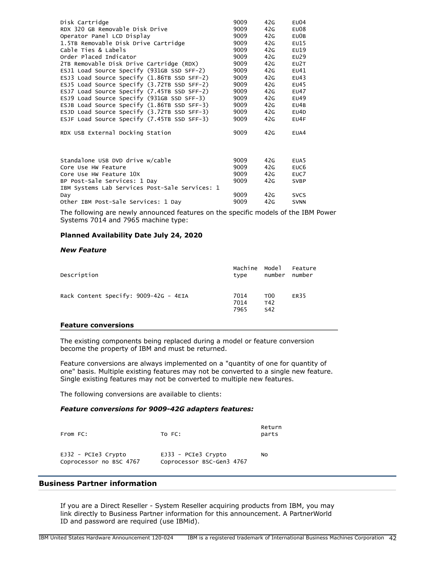| Disk Cartridge                                                                                                                                                                                                     | 9009                                         | 42G                                    | E <sub>U</sub> 04                                                                         |
|--------------------------------------------------------------------------------------------------------------------------------------------------------------------------------------------------------------------|----------------------------------------------|----------------------------------------|-------------------------------------------------------------------------------------------|
| RDX 320 GB Removable Disk Drive                                                                                                                                                                                    | 9009                                         | 42G                                    | E <sub>U</sub> 08                                                                         |
| Operator Panel LCD Display                                                                                                                                                                                         | 9009                                         | 42G                                    | EU0B                                                                                      |
| 1.5TB Removable Disk Drive Cartridge                                                                                                                                                                               | 9009                                         | 42G                                    | EU15                                                                                      |
| Cable Ties & Labels                                                                                                                                                                                                | 9009                                         | 42G                                    | E <sub>U</sub> 19                                                                         |
| Order Placed Indicator                                                                                                                                                                                             | 9009                                         | 42G                                    | EU29                                                                                      |
| 2TB Removable Disk Drive Cartridge (RDX)                                                                                                                                                                           | 9009                                         | 42G                                    | FU <sub>2</sub> T                                                                         |
| ESJ1 Load Source Specify (931GB SSD SFF-2)                                                                                                                                                                         | 9009                                         | 42G                                    | EU41                                                                                      |
| ESJ3 Load Source Specify (1.86TB SSD SFF-2)                                                                                                                                                                        | 9009                                         | 42G                                    | EU43                                                                                      |
| ESJ5 Load Source Specify (3.72TB SSD SFF-2)                                                                                                                                                                        | 9009                                         | 42G                                    | EU45                                                                                      |
| ESJ7 Load Source Specify (7.45TB SSD SFF-2)                                                                                                                                                                        | 9009                                         | 42G                                    | <b>EU47</b>                                                                               |
| ESJ9 Load Source Specify (931GB SSD SFF-3)                                                                                                                                                                         | 9009                                         | 42G                                    | EU49                                                                                      |
| ESJB Load Source Specify (1.86TB SSD SFF-3)                                                                                                                                                                        | 9009                                         | 42G                                    | EU4B                                                                                      |
| ESJD Load Source Specify (3.72TB SSD SFF-3)                                                                                                                                                                        | 9009                                         | 42G                                    | EU4D                                                                                      |
| ESJF Load Source Specify (7.45TB SSD SFF-3)                                                                                                                                                                        | 9009                                         | 42G                                    | EU4F                                                                                      |
| RDX USB External Docking Station                                                                                                                                                                                   | 9009                                         | 42G                                    | EUA4                                                                                      |
| Standalone USB DVD drive w/cable<br>Core Use HW Feature<br>Core Use HW Feature 10X<br>BP Post-Sale Services: 1 Day<br>IBM Systems Lab Services Post-Sale Services: 1<br>Day<br>Other IBM Post-Sale Services: 1 Day | 9009<br>9009<br>9009<br>9009<br>9009<br>9009 | 42G<br>42G<br>42G<br>42G<br>42G<br>42G | EUA <sub>5</sub><br>EUC <sub>6</sub><br>EUC7<br><b>SVBP</b><br><b>SVCS</b><br><b>SVNN</b> |

The following are newly announced features on the specific models of the IBM Power Systems 7014 and 7965 machine type:

# **Planned Availability Date July 24, 2020**

#### *New Feature*

| Description                           | Machine Model<br>type | number                        | Feature<br>number |
|---------------------------------------|-----------------------|-------------------------------|-------------------|
| Rack Content Specify: 9009-42G - 4EIA | 7014<br>7014<br>7965  | T <sub>00</sub><br>T42<br>S42 | ER35              |

#### **Feature conversions**

The existing components being replaced during a model or feature conversion become the property of IBM and must be returned.

Feature conversions are always implemented on a "quantity of one for quantity of one" basis. Multiple existing features may not be converted to a single new feature. Single existing features may not be converted to multiple new features.

The following conversions are available to clients:

## *Feature conversions for 9009-42G adapters features:*

| From FC:                                         | TO FC:                                             | Return<br>parts |
|--------------------------------------------------|----------------------------------------------------|-----------------|
| $EJ32 - PCIe3$ Crypto<br>Coprocessor no BSC 4767 | $EJ33 - PCIe3$ Crypto<br>Coprocessor BSC-Gen3 4767 | No              |

#### **Business Partner information**

If you are a Direct Reseller - System Reseller acquiring products from IBM, you may link directly to Business Partner information for this announcement. A PartnerWorld ID and password are required (use IBMid).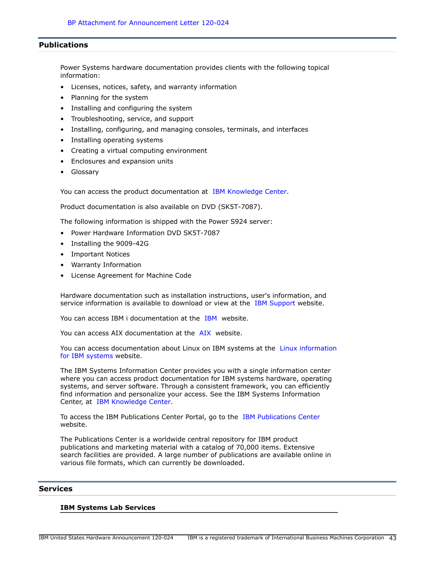#### **Publications**

Power Systems hardware documentation provides clients with the following topical information:

- Licenses, notices, safety, and warranty information
- Planning for the system
- Installing and configuring the system
- Troubleshooting, service, and support
- Installing, configuring, and managing consoles, terminals, and interfaces
- Installing operating systems
- Creating a virtual computing environment
- Enclosures and expansion units
- Glossary

You can access the product documentation at [IBM Knowledge Center.](http://www.ibm.com/support/knowledgecenter/POWER9)

Product documentation is also available on DVD (SK5T-7087).

The following information is shipped with the Power S924 server:

- Power Hardware Information DVD SK5T-7087
- Installing the 9009-42G
- Important Notices
- Warranty Information
- License Agreement for Machine Code

Hardware documentation such as installation instructions, user's information, and service information is available to download or view at the [IBM Support](https://www.ibm.com/support/home/) website.

You can access [IBM](https://www.ibm.com/support/knowledgecenter/ssw_ibm_i) i documentation at the IBM website.

You can access [AIX](https://www.ibm.com/support/knowledgecenter/ssw_aix) documentation at the AIX website.

You can access documentation about Linux on IBM systems at the [Linux information](https://www.ibm.com/support/knowledgecenter/linuxonibm/liaaa/ic-homepage.htm) [for IBM systems](https://www.ibm.com/support/knowledgecenter/linuxonibm/liaaa/ic-homepage.htm) website.

The IBM Systems Information Center provides you with a single information center where you can access product documentation for IBM systems hardware, operating systems, and server software. Through a consistent framework, you can efficiently find information and personalize your access. See the IBM Systems Information Center, at [IBM Knowledge Center.](https://www.ibm.com/support/knowledgecenter/)

To access the IBM Publications Center Portal, go to the [IBM Publications Center](http://www.ibm.com/shop/publications/order) website.

The Publications Center is a worldwide central repository for IBM product publications and marketing material with a catalog of 70,000 items. Extensive search facilities are provided. A large number of publications are available online in various file formats, which can currently be downloaded.

## **Services**

#### **IBM Systems Lab Services**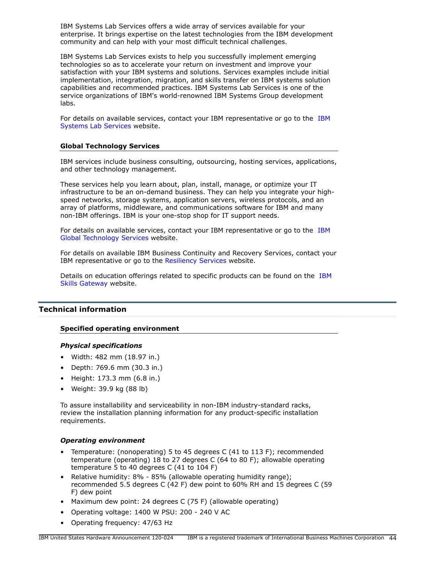IBM Systems Lab Services offers a wide array of services available for your enterprise. It brings expertise on the latest technologies from the IBM development community and can help with your most difficult technical challenges.

IBM Systems Lab Services exists to help you successfully implement emerging technologies so as to accelerate your return on investment and improve your satisfaction with your IBM systems and solutions. Services examples include initial implementation, integration, migration, and skills transfer on IBM systems solution capabilities and recommended practices. IBM Systems Lab Services is one of the service organizations of IBM's world-renowned IBM Systems Group development labs.

For details on available services, contact your IBM representative or go to the [IBM](https://www.ibm.com/it-infrastructure/services/lab-services) [Systems Lab Services](https://www.ibm.com/it-infrastructure/services/lab-services) website.

#### **Global Technology Services**

IBM services include business consulting, outsourcing, hosting services, applications, and other technology management.

These services help you learn about, plan, install, manage, or optimize your IT infrastructure to be an on-demand business. They can help you integrate your highspeed networks, storage systems, application servers, wireless protocols, and an array of platforms, middleware, and communications software for IBM and many non-IBM offerings. IBM is your one-stop shop for IT support needs.

For details on available services, contact your IBM representative or go to the [IBM](http://www.ibm.com/services/) [Global Technology Services](http://www.ibm.com/services/) website.

For details on available IBM Business Continuity and Recovery Services, contact your IBM representative or go to the [Resiliency Services](http://www.ibm.com/services/continuity) website.

Details on education offerings related to specific products can be found on the [IBM](http://www.ibm.com/services/learning/ites.wss/zz/en?pageType=tp_search_new) [Skills Gateway](http://www.ibm.com/services/learning/ites.wss/zz/en?pageType=tp_search_new) website.

# **Technical information**

#### **Specified operating environment**

#### *Physical specifications*

- Width: 482 mm (18.97 in.)
- Depth: 769.6 mm (30.3 in.)
- Height: 173.3 mm (6.8 in.)
- Weight: 39.9 kg (88 lb)

To assure installability and serviceability in non-IBM industry-standard racks, review the installation planning information for any product-specific installation requirements.

#### *Operating environment*

- Temperature: (nonoperating) 5 to 45 degrees C (41 to 113 F); recommended temperature (operating) 18 to 27 degrees C (64 to 80 F); allowable operating temperature 5 to 40 degrees C (41 to 104 F)
- Relative humidity: 8% 85% (allowable operating humidity range); recommended 5.5 degrees C (42 F) dew point to 60% RH and 15 degrees C (59 F) dew point
- Maximum dew point: 24 degrees C (75 F) (allowable operating)
- Operating voltage: 1400 W PSU: 200 240 V AC
- Operating frequency: 47/63 Hz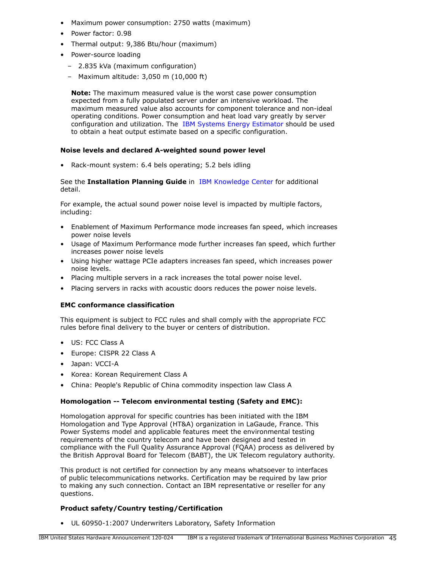- Maximum power consumption: 2750 watts (maximum)
- Power factor: 0.98
- Thermal output: 9,386 Btu/hour (maximum)
- Power-source loading
	- 2.835 kVa (maximum configuration)
	- Maximum altitude: 3,050 m (10,000 ft)

**Note:** The maximum measured value is the worst case power consumption expected from a fully populated server under an intensive workload. The maximum measured value also accounts for component tolerance and non-ideal operating conditions. Power consumption and heat load vary greatly by server configuration and utilization. The [IBM Systems Energy Estimator](http://see.au-syd.mybluemix.net/see/EnergyEstimator) should be used to obtain a heat output estimate based on a specific configuration.

# **Noise levels and declared A-weighted sound power level**

• Rack-mount system: 6.4 bels operating; 5.2 bels idling

## See the **Installation Planning Guide** in [IBM Knowledge Center](http://www.ibm.com/support/knowledgecenter/POWER9) for additional detail.

For example, the actual sound power noise level is impacted by multiple factors, including:

- Enablement of Maximum Performance mode increases fan speed, which increases power noise levels
- Usage of Maximum Performance mode further increases fan speed, which further increases power noise levels
- Using higher wattage PCIe adapters increases fan speed, which increases power noise levels.
- Placing multiple servers in a rack increases the total power noise level.
- Placing servers in racks with acoustic doors reduces the power noise levels.

# **EMC conformance classification**

This equipment is subject to FCC rules and shall comply with the appropriate FCC rules before final delivery to the buyer or centers of distribution.

- US: FCC Class A
- Europe: CISPR 22 Class A
- Japan: VCCI-A
- Korea: Korean Requirement Class A
- China: People's Republic of China commodity inspection law Class A

# **Homologation -- Telecom environmental testing (Safety and EMC):**

Homologation approval for specific countries has been initiated with the IBM Homologation and Type Approval (HT&A) organization in LaGaude, France. This Power Systems model and applicable features meet the environmental testing requirements of the country telecom and have been designed and tested in compliance with the Full Quality Assurance Approval (FQAA) process as delivered by the British Approval Board for Telecom (BABT), the UK Telecom regulatory authority.

This product is not certified for connection by any means whatsoever to interfaces of public telecommunications networks. Certification may be required by law prior to making any such connection. Contact an IBM representative or reseller for any questions.

# **Product safety/Country testing/Certification**

• UL 60950-1:2007 Underwriters Laboratory, Safety Information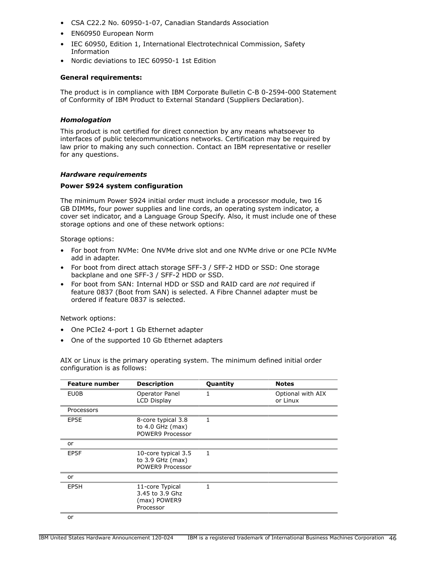- CSA C22.2 No. 60950-1-07, Canadian Standards Association
- EN60950 European Norm
- IEC 60950, Edition 1, International Electrotechnical Commission, Safety Information
- Nordic deviations to IEC 60950-1 1st Edition

## **General requirements:**

The product is in compliance with IBM Corporate Bulletin C-B 0-2594-000 Statement of Conformity of IBM Product to External Standard (Suppliers Declaration).

## *Homologation*

This product is not certified for direct connection by any means whatsoever to interfaces of public telecommunications networks. Certification may be required by law prior to making any such connection. Contact an IBM representative or reseller for any questions.

## *Hardware requirements*

## **Power S924 system configuration**

The minimum Power S924 initial order must include a processor module, two 16 GB DIMMs, four power supplies and line cords, an operating system indicator, a cover set indicator, and a Language Group Specify. Also, it must include one of these storage options and one of these network options:

Storage options:

- For boot from NVMe: One NVMe drive slot and one NVMe drive or one PCIe NVMe add in adapter.
- For boot from direct attach storage SFF-3 / SFF-2 HDD or SSD: One storage backplane and one SFF-3 / SFF-2 HDD or SSD.
- For boot from SAN: Internal HDD or SSD and RAID card are *not* required if feature 0837 (Boot from SAN) is selected. A Fibre Channel adapter must be ordered if feature 0837 is selected.

Network options:

- One PCIe2 4-port 1 Gb Ethernet adapter
- One of the supported 10 Gb Ethernet adapters

AIX or Linux is the primary operating system. The minimum defined initial order configuration is as follows:

| <b>Feature number</b> | <b>Description</b>                                              | Quantity | <b>Notes</b>                  |
|-----------------------|-----------------------------------------------------------------|----------|-------------------------------|
| EU0B                  | Operator Panel<br><b>LCD Display</b>                            | 1        | Optional with AIX<br>or Linux |
| Processors            |                                                                 |          |                               |
| EP5E                  | 8-core typical 3.8<br>to $4.0$ GHz (max)<br>POWER9 Processor    | 1        |                               |
| or                    |                                                                 |          |                               |
| EP5F                  | 10-core typical 3.5<br>to $3.9$ GHz (max)<br>POWER9 Processor   | 1        |                               |
| or                    |                                                                 |          |                               |
| EP5H                  | 11-core Typical<br>3.45 to 3.9 Ghz<br>(max) POWER9<br>Processor | 1        |                               |
| nr                    |                                                                 |          |                               |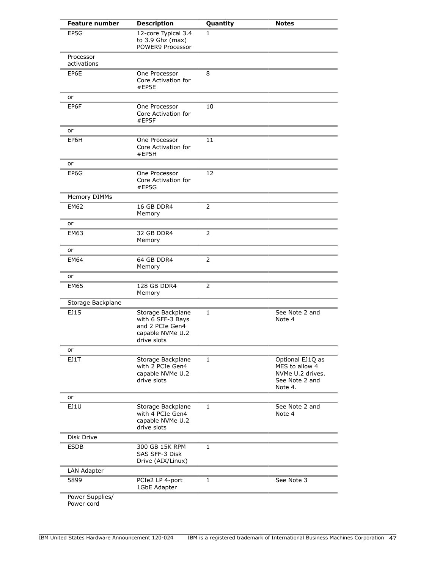| <b>Feature number</b>         | <b>Description</b>                                                                           | Quantity       | <b>Notes</b>                                                                        |
|-------------------------------|----------------------------------------------------------------------------------------------|----------------|-------------------------------------------------------------------------------------|
| EP5G                          | 12-core Typical 3.4<br>to 3.9 Ghz (max)<br>POWER9 Processor                                  | 1              |                                                                                     |
| Processor<br>activations      |                                                                                              |                |                                                                                     |
| EP6E                          | One Processor<br>Core Activation for<br>#EP5E                                                | 8              |                                                                                     |
| or                            |                                                                                              |                |                                                                                     |
| EP6F                          | One Processor<br>Core Activation for<br>#EP5F                                                | 10             |                                                                                     |
| or                            |                                                                                              |                |                                                                                     |
| EP6H                          | One Processor<br>Core Activation for<br>#EP5H                                                | 11             |                                                                                     |
| or                            |                                                                                              |                |                                                                                     |
| EP6G                          | One Processor<br>Core Activation for<br>#EP5G                                                | 12             |                                                                                     |
| Memory DIMMs                  |                                                                                              |                |                                                                                     |
| <b>EM62</b>                   | 16 GB DDR4<br>Memory                                                                         | $\overline{2}$ |                                                                                     |
| or                            |                                                                                              |                |                                                                                     |
| <b>EM63</b>                   | 32 GB DDR4<br>Memory                                                                         | $\overline{2}$ |                                                                                     |
| or                            |                                                                                              |                |                                                                                     |
| EM64                          | 64 GB DDR4<br>Memory                                                                         | $\overline{2}$ |                                                                                     |
| or                            |                                                                                              |                |                                                                                     |
| <b>EM65</b>                   | 128 GB DDR4<br>Memory                                                                        | 2              |                                                                                     |
| Storage Backplane             |                                                                                              |                |                                                                                     |
| EJ1S                          | Storage Backplane<br>with 6 SFF-3 Bays<br>and 2 PCIe Gen4<br>capable NVMe U.2<br>drive slots | 1              | See Note 2 and<br>Note 4                                                            |
| or                            |                                                                                              |                |                                                                                     |
| EJ1T                          | Storage Backplane<br>with 2 PCIe Gen4<br>capable NVMe U.2<br>drive slots                     | 1              | Optional EJ1Q as<br>MES to allow 4<br>NVMe U.2 drives.<br>See Note 2 and<br>Note 4. |
| or                            |                                                                                              |                |                                                                                     |
| EJ1U                          | Storage Backplane<br>with 4 PCIe Gen4<br>capable NVMe U.2<br>drive slots                     | 1              | See Note 2 and<br>Note 4                                                            |
| Disk Drive                    |                                                                                              |                |                                                                                     |
| <b>ESDB</b>                   | 300 GB 15K RPM<br>SAS SFF-3 Disk<br>Drive (AIX/Linux)                                        | $\mathbf{1}$   |                                                                                     |
| LAN Adapter                   |                                                                                              |                |                                                                                     |
| 5899                          | PCIe2 LP 4-port<br>1GbE Adapter                                                              | $\mathbf{1}$   | See Note 3                                                                          |
| Power Supplies/<br>Power cord |                                                                                              |                |                                                                                     |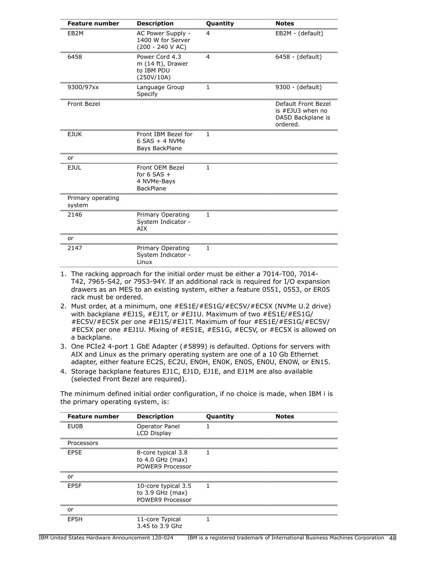| <b>Feature number</b>       | <b>Description</b>                                                  | Quantity       | <b>Notes</b>                                                             |
|-----------------------------|---------------------------------------------------------------------|----------------|--------------------------------------------------------------------------|
| EB <sub>2</sub> M           | AC Power Supply -<br>1400 W for Server<br>(200 - 240 V AC)          | 4              | EB2M - (default)                                                         |
| 6458                        | Power Cord 4.3<br>m (14 ft), Drawer<br>to IBM PDU<br>(250V/10A)     | $\overline{4}$ | 6458 - (default)                                                         |
| 9300/97xx                   | Language Group<br>Specify                                           | $\mathbf{1}$   | 9300 - (default)                                                         |
| Front Bezel                 |                                                                     |                | Default Front Bezel<br>is #EJU3 when no<br>DASD Backplane is<br>ordered. |
| <b>EJUK</b>                 | Front IBM Bezel for<br>$6$ SAS + 4 NVMe<br>Bays BackPlane           | $\mathbf{1}$   |                                                                          |
| or                          |                                                                     |                |                                                                          |
| <b>EJUL</b>                 | Front OEM Bezel<br>for $6$ SAS +<br>4 NVMe-Bays<br><b>BackPlane</b> | $\mathbf{1}$   |                                                                          |
| Primary operating<br>system |                                                                     |                |                                                                          |
| 2146                        | Primary Operating<br>System Indicator -<br>AIX                      | $\mathbf{1}$   |                                                                          |
| or                          |                                                                     |                |                                                                          |
| 2147                        | Primary Operating<br>System Indicator -<br>Linux                    | 1              |                                                                          |

- 1. The racking approach for the initial order must be either a 7014-T00, 7014- T42, 7965-S42, or 7953-94Y. If an additional rack is required for I/O expansion drawers as an MES to an existing system, either a feature 0551, 0553, or ER05 rack must be ordered.
- 2. Must order, at a minimum, one #ES1E/#ES1G/#EC5V/#EC5X (NVMe U.2 drive) with backplane #EJ1S, #EJ1T, or #EJ1U. Maximum of two #ES1E/#ES1G/ #EC5V/#EC5X per one #EJ1S/#EJ1T. Maximum of four #ES1E/#ES1G/#EC5V/ #EC5X per one #EJ1U. Mixing of #ES1E, #ES1G, #EC5V, or #EC5X is allowed on a backplane.
- 3. One PCIe2 4-port 1 GbE Adapter (#5899) is defaulted. Options for servers with AIX and Linux as the primary operating system are one of a 10 Gb Ethernet adapter, either feature EC2S, EC2U, EN0H, EN0K, EN0S, EN0U, EN0W, or EN15.
- 4. Storage backplane features EJ1C, EJ1D, EJ1E, and EJ1M are also available (selected Front Bezel are required).

The minimum defined initial order configuration, if no choice is made, when IBM i is the primary operating system, is:

| <b>Feature number</b> | <b>Description</b>                                            | Quantity | <b>Notes</b> |
|-----------------------|---------------------------------------------------------------|----------|--------------|
| EU0B                  | Operator Panel<br><b>LCD Display</b>                          |          |              |
| Processors            |                                                               |          |              |
| EP5E                  | 8-core typical 3.8<br>to 4.0 GHz (max)<br>POWER9 Processor    | 1        |              |
| or                    |                                                               |          |              |
| EP5F                  | 10-core typical 3.5<br>to $3.9$ GHz (max)<br>POWER9 Processor | 1        |              |
| or                    |                                                               |          |              |
| EP5H                  | 11-core Typical<br>3.45 to 3.9 Ghz                            | 1        |              |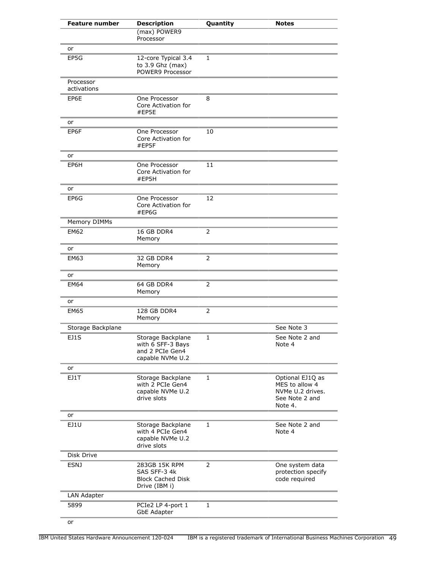| <b>Feature number</b>    | <b>Description</b>                                                            | Quantity | <b>Notes</b>                                                                        |
|--------------------------|-------------------------------------------------------------------------------|----------|-------------------------------------------------------------------------------------|
|                          | (max) POWER9<br>Processor                                                     |          |                                                                                     |
| or                       |                                                                               |          |                                                                                     |
| EP5G                     | 12-core Typical 3.4<br>to 3.9 Ghz (max)<br>POWER9 Processor                   | 1        |                                                                                     |
| Processor<br>activations |                                                                               |          |                                                                                     |
| EP6E                     | One Processor<br>Core Activation for<br>#EP5E                                 | 8        |                                                                                     |
| or                       |                                                                               |          |                                                                                     |
| EP6F                     | One Processor<br>Core Activation for<br>#EP5F                                 | 10       |                                                                                     |
| or                       |                                                                               |          |                                                                                     |
| EP6H                     | One Processor<br>Core Activation for<br>#EP5H                                 | 11       |                                                                                     |
| or                       |                                                                               |          |                                                                                     |
| EP6G                     | One Processor<br>Core Activation for<br>#EP6G                                 | 12       |                                                                                     |
| Memory DIMMs             |                                                                               |          |                                                                                     |
| <b>EM62</b>              | 16 GB DDR4<br>Memory                                                          | 2        |                                                                                     |
| or                       |                                                                               |          |                                                                                     |
| <b>EM63</b>              | 32 GB DDR4<br>Memory                                                          | 2        |                                                                                     |
| or                       |                                                                               |          |                                                                                     |
| <b>EM64</b>              | 64 GB DDR4<br>Memory                                                          | 2        |                                                                                     |
| or                       |                                                                               |          |                                                                                     |
| <b>EM65</b>              | 128 GB DDR4<br>Memory                                                         | 2        |                                                                                     |
| Storage Backplane        |                                                                               |          | See Note 3                                                                          |
| EJ1S                     | Storage Backplane<br>with 6 SFF-3 Bays<br>and 2 PCIe Gen4<br>capable NVMe U.2 | 1        | See Note 2 and<br>Note 4                                                            |
| or                       |                                                                               |          |                                                                                     |
| EJ1T                     | Storage Backplane<br>with 2 PCIe Gen4<br>capable NVMe U.2<br>drive slots      | 1        | Optional EJ1Q as<br>MES to allow 4<br>NVMe U.2 drives.<br>See Note 2 and<br>Note 4. |
| or                       |                                                                               |          |                                                                                     |
| EJ1U                     | Storage Backplane<br>with 4 PCIe Gen4<br>capable NVMe U.2<br>drive slots      | 1        | See Note 2 and<br>Note 4                                                            |
| Disk Drive               |                                                                               |          |                                                                                     |
| <b>ESNJ</b>              | 283GB 15K RPM<br>SAS SFF-3 4k<br><b>Block Cached Disk</b><br>Drive (IBM i)    | 2        | One system data<br>protection specify<br>code required                              |
| LAN Adapter              |                                                                               |          |                                                                                     |
| 5899                     | PCIe2 LP 4-port 1<br><b>GbE Adapter</b>                                       | 1        |                                                                                     |
| or                       |                                                                               |          |                                                                                     |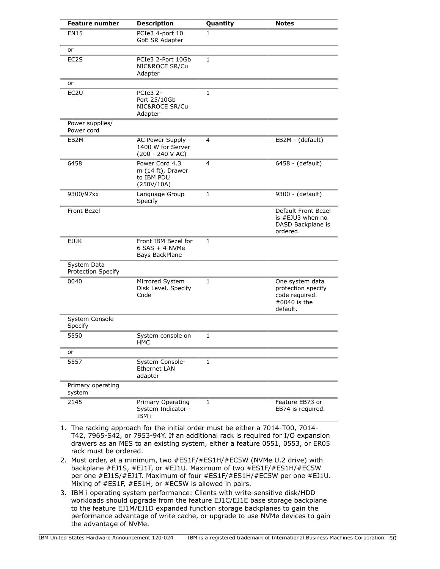| <b>Feature number</b>             | <b>Description</b>                                              | Quantity     | <b>Notes</b>                                                                           |
|-----------------------------------|-----------------------------------------------------------------|--------------|----------------------------------------------------------------------------------------|
| <b>EN15</b>                       | PCIe3 4-port 10<br>GbE SR Adapter                               | 1            |                                                                                        |
| or                                |                                                                 |              |                                                                                        |
| EC2S                              | PCIe3 2-Port 10Gb<br>NIC&ROCE SR/Cu<br>Adapter                  | $\mathbf{1}$ |                                                                                        |
| or                                |                                                                 |              |                                                                                        |
| EC <sub>2U</sub>                  | PCIe3 2-<br>Port 25/10Gb<br>NIC&ROCE SR/Cu<br>Adapter           | 1            |                                                                                        |
| Power supplies/<br>Power cord     |                                                                 |              |                                                                                        |
| EB2M                              | AC Power Supply -<br>1400 W for Server<br>$(200 - 240 V AC)$    | 4            | EB2M - (default)                                                                       |
| 6458                              | Power Cord 4.3<br>m (14 ft), Drawer<br>to IBM PDU<br>(250V/10A) | 4            | 6458 - (default)                                                                       |
| 9300/97xx                         | Language Group<br>Specify                                       | 1            | 9300 - (default)                                                                       |
| Front Bezel                       |                                                                 |              | Default Front Bezel<br>is #EJU3 when no<br>DASD Backplane is<br>ordered.               |
| <b>EJUK</b>                       | Front IBM Bezel for<br>$6$ SAS + 4 NVMe<br>Bays BackPlane       | 1            |                                                                                        |
| System Data<br>Protection Specify |                                                                 |              |                                                                                        |
| 0040                              | Mirrored System<br>Disk Level, Specify<br>Code                  | 1            | One system data<br>protection specify<br>code required.<br>$\#0040$ is the<br>default. |
| System Console<br>Specify         |                                                                 |              |                                                                                        |
| 5550                              | System console on<br>HMC                                        | $\mathbf{1}$ |                                                                                        |
| or                                |                                                                 |              |                                                                                        |
| 5557                              | System Console-<br><b>Ethernet LAN</b><br>adapter               | $\mathbf{1}$ |                                                                                        |
| Primary operating<br>system       |                                                                 |              |                                                                                        |
| 2145                              | Primary Operating<br>System Indicator -<br>IBM i                | 1            | Feature EB73 or<br>EB74 is required.                                                   |

- 1. The racking approach for the initial order must be either a 7014-T00, 7014- T42, 7965-S42, or 7953-94Y. If an additional rack is required for I/O expansion drawers as an MES to an existing system, either a feature 0551, 0553, or ER05 rack must be ordered.
- 2. Must order, at a minimum, two #ES1F/#ES1H/#EC5W (NVMe U.2 drive) with backplane #EJ1S, #EJ1T, or #EJ1U. Maximum of two #ES1F/#ES1H/#EC5W per one #EJ1S/#EJ1T. Maximum of four #ES1F/#ES1H/#EC5W per one #EJ1U. Mixing of #ES1F, #ES1H, or #EC5W is allowed in pairs.
- 3. IBM i operating system performance: Clients with write-sensitive disk/HDD workloads should upgrade from the feature EJ1C/EJ1E base storage backplane to the feature EJ1M/EJ1D expanded function storage backplanes to gain the performance advantage of write cache, or upgrade to use NVMe devices to gain the advantage of NVMe.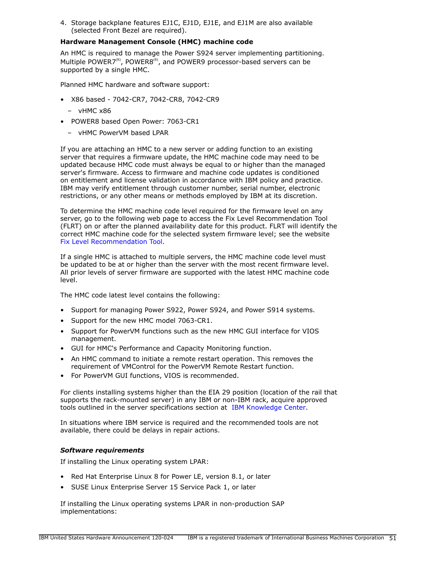4. Storage backplane features EJ1C, EJ1D, EJ1E, and EJ1M are also available (selected Front Bezel are required).

## **Hardware Management Console (HMC) machine code**

An HMC is required to manage the Power S924 server implementing partitioning. Multiple POWER7 $R$ , POWER $8R$ <sup> $R$ </sup>, and POWER9 processor-based servers can be supported by a single HMC.

Planned HMC hardware and software support:

- X86 based 7042-CR7, 7042-CR8, 7042-CR9
	- vHMC x86
- POWER8 based Open Power: 7063-CR1
	- vHMC PowerVM based LPAR

If you are attaching an HMC to a new server or adding function to an existing server that requires a firmware update, the HMC machine code may need to be updated because HMC code must always be equal to or higher than the managed server's firmware. Access to firmware and machine code updates is conditioned on entitlement and license validation in accordance with IBM policy and practice. IBM may verify entitlement through customer number, serial number, electronic restrictions, or any other means or methods employed by IBM at its discretion.

To determine the HMC machine code level required for the firmware level on any server, go to the following web page to access the Fix Level Recommendation Tool (FLRT) on or after the planned availability date for this product. FLRT will identify the correct HMC machine code for the selected system firmware level; see the website [Fix Level Recommendation Tool](https://www14.software.ibm.com/support/customercare/flrt/).

If a single HMC is attached to multiple servers, the HMC machine code level must be updated to be at or higher than the server with the most recent firmware level. All prior levels of server firmware are supported with the latest HMC machine code level.

The HMC code latest level contains the following:

- Support for managing Power S922, Power S924, and Power S914 systems.
- Support for the new HMC model 7063-CR1.
- Support for PowerVM functions such as the new HMC GUI interface for VIOS management.
- GUI for HMC's Performance and Capacity Monitoring function.
- An HMC command to initiate a remote restart operation. This removes the requirement of VMControl for the PowerVM Remote Restart function.
- For PowerVM GUI functions, VIOS is recommended.

For clients installing systems higher than the EIA 29 position (location of the rail that supports the rack-mounted server) in any IBM or non-IBM rack, acquire approved tools outlined in the server specifications section at [IBM Knowledge Center.](http://www.ibm.com/support/knowledgecenter/POWER9)

In situations where IBM service is required and the recommended tools are not available, there could be delays in repair actions.

# *Software requirements*

If installing the Linux operating system LPAR:

- Red Hat Enterprise Linux 8 for Power LE, version 8.1, or later
- SUSE Linux Enterprise Server 15 Service Pack 1, or later

If installing the Linux operating systems LPAR in non-production SAP implementations: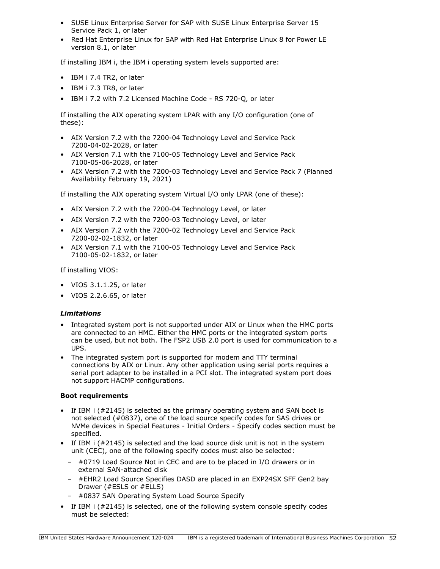- SUSE Linux Enterprise Server for SAP with SUSE Linux Enterprise Server 15 Service Pack 1, or later
- Red Hat Enterprise Linux for SAP with Red Hat Enterprise Linux 8 for Power LE version 8.1, or later

If installing IBM i, the IBM i operating system levels supported are:

- IBM i 7.4 TR2, or later
- IBM i 7.3 TR8, or later
- IBM i 7.2 with 7.2 Licensed Machine Code RS 720-Q, or later

If installing the AIX operating system LPAR with any I/O configuration (one of these):

- AIX Version 7.2 with the 7200-04 Technology Level and Service Pack 7200-04-02-2028, or later
- AIX Version 7.1 with the 7100-05 Technology Level and Service Pack 7100-05-06-2028, or later
- AIX Version 7.2 with the 7200-03 Technology Level and Service Pack 7 (Planned Availability February 19, 2021)

If installing the AIX operating system Virtual I/O only LPAR (one of these):

- AIX Version 7.2 with the 7200-04 Technology Level, or later
- AIX Version 7.2 with the 7200-03 Technology Level, or later
- AIX Version 7.2 with the 7200-02 Technology Level and Service Pack 7200-02-02-1832, or later
- AIX Version 7.1 with the 7100-05 Technology Level and Service Pack 7100-05-02-1832, or later

If installing VIOS:

- VIOS 3.1.1.25, or later
- VIOS 2.2.6.65, or later

#### *Limitations*

- Integrated system port is not supported under AIX or Linux when the HMC ports are connected to an HMC. Either the HMC ports or the integrated system ports can be used, but not both. The FSP2 USB 2.0 port is used for communication to a UPS.
- The integrated system port is supported for modem and TTY terminal connections by AIX or Linux. Any other application using serial ports requires a serial port adapter to be installed in a PCI slot. The integrated system port does not support HACMP configurations.

#### **Boot requirements**

- If IBM i (#2145) is selected as the primary operating system and SAN boot is not selected (#0837), one of the load source specify codes for SAS drives or NVMe devices in Special Features - Initial Orders - Specify codes section must be specified.
- If IBM i (#2145) is selected and the load source disk unit is not in the system unit (CEC), one of the following specify codes must also be selected:
	- #0719 Load Source Not in CEC and are to be placed in I/O drawers or in external SAN-attached disk
	- #EHR2 Load Source Specifies DASD are placed in an EXP24SX SFF Gen2 bay Drawer (#ESLS or #ELLS)
	- #0837 SAN Operating System Load Source Specify
- If IBM i (#2145) is selected, one of the following system console specify codes must be selected: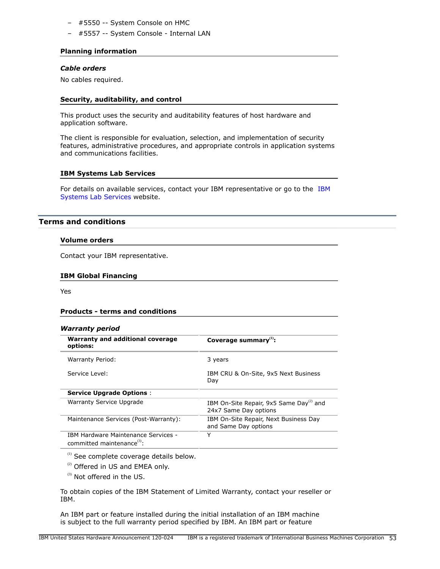- #5550 -- System Console on HMC
- #5557 -- System Console Internal LAN

## **Planning information**

# *Cable orders*

No cables required.

## **Security, auditability, and control**

This product uses the security and auditability features of host hardware and application software.

The client is responsible for evaluation, selection, and implementation of security features, administrative procedures, and appropriate controls in application systems and communications facilities.

## **IBM Systems Lab Services**

For details on available services, contact your IBM representative or go to the [IBM](https://www.ibm.com/it-infrastructure/services/lab-services) [Systems Lab Services](https://www.ibm.com/it-infrastructure/services/lab-services) website.

# **Terms and conditions**

#### **Volume orders**

Contact your IBM representative.

#### **IBM Global Financing**

Yes

#### **Products - terms and conditions**

#### *Warranty period*

| <i></i>                                                                        |                                                                              |
|--------------------------------------------------------------------------------|------------------------------------------------------------------------------|
| Warranty and additional coverage<br>options:                                   | Coverage summary $(1)$ :                                                     |
| Warranty Period:                                                               | 3 years                                                                      |
| Service Level:                                                                 | IBM CRU & On-Site, 9x5 Next Business<br>Day                                  |
| <b>Service Upgrade Options:</b>                                                |                                                                              |
| Warranty Service Upgrade                                                       | IBM On-Site Repair, 9x5 Same Day <sup>(2)</sup> and<br>24x7 Same Day options |
| Maintenance Services (Post-Warranty):                                          | IBM On-Site Repair, Next Business Day<br>and Same Day options                |
| <b>IBM Hardware Maintenance Services -</b><br>committed maintenance $^{(3)}$ : | Y                                                                            |

 $<sup>(1)</sup>$  See complete coverage details below.</sup>

<sup>(2)</sup> Offered in US and EMEA only.

 $^{(3)}$  Not offered in the US.

To obtain copies of the IBM Statement of Limited Warranty, contact your reseller or IBM.

An IBM part or feature installed during the initial installation of an IBM machine is subject to the full warranty period specified by IBM. An IBM part or feature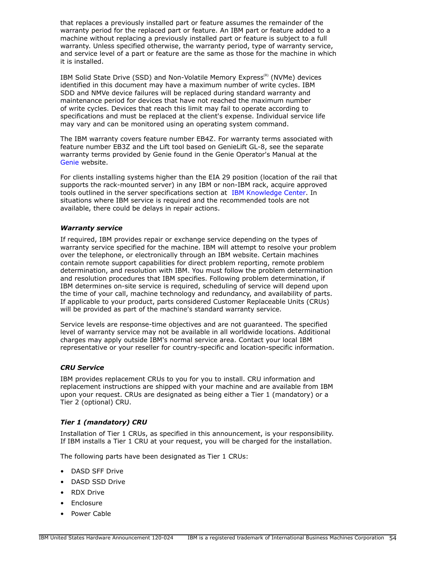that replaces a previously installed part or feature assumes the remainder of the warranty period for the replaced part or feature. An IBM part or feature added to a machine without replacing a previously installed part or feature is subject to a full warranty. Unless specified otherwise, the warranty period, type of warranty service, and service level of a part or feature are the same as those for the machine in which it is installed.

IBM Solid State Drive (SSD) and Non-Volatile Memory Express<sup>(R)</sup> (NVMe) devices identified in this document may have a maximum number of write cycles. IBM SDD and NMVe device failures will be replaced during standard warranty and maintenance period for devices that have not reached the maximum number of write cycles. Devices that reach this limit may fail to operate according to specifications and must be replaced at the client's expense. Individual service life may vary and can be monitored using an operating system command.

The IBM warranty covers feature number EB4Z. For warranty terms associated with feature number EB3Z and the Lift tool based on GenieLift GL-8, see the separate warranty terms provided by Genie found in the Genie Operator's Manual at the [Genie](http://www.genielift.com) website.

For clients installing systems higher than the EIA 29 position (location of the rail that supports the rack-mounted server) in any IBM or non-IBM rack, acquire approved tools outlined in the server specifications section at [IBM Knowledge Center.](http://www.ibm.com/support/knowledgecenter/POWER9) In situations where IBM service is required and the recommended tools are not available, there could be delays in repair actions.

#### *Warranty service*

If required, IBM provides repair or exchange service depending on the types of warranty service specified for the machine. IBM will attempt to resolve your problem over the telephone, or electronically through an IBM website. Certain machines contain remote support capabilities for direct problem reporting, remote problem determination, and resolution with IBM. You must follow the problem determination and resolution procedures that IBM specifies. Following problem determination, if IBM determines on-site service is required, scheduling of service will depend upon the time of your call, machine technology and redundancy, and availability of parts. If applicable to your product, parts considered Customer Replaceable Units (CRUs) will be provided as part of the machine's standard warranty service.

Service levels are response-time objectives and are not guaranteed. The specified level of warranty service may not be available in all worldwide locations. Additional charges may apply outside IBM's normal service area. Contact your local IBM representative or your reseller for country-specific and location-specific information.

# *CRU Service*

IBM provides replacement CRUs to you for you to install. CRU information and replacement instructions are shipped with your machine and are available from IBM upon your request. CRUs are designated as being either a Tier 1 (mandatory) or a Tier 2 (optional) CRU.

# *Tier 1 (mandatory) CRU*

Installation of Tier 1 CRUs, as specified in this announcement, is your responsibility. If IBM installs a Tier 1 CRU at your request, you will be charged for the installation.

The following parts have been designated as Tier 1 CRUs:

- DASD SFF Drive
- DASD SSD Drive
- RDX Drive
- **Enclosure**
- Power Cable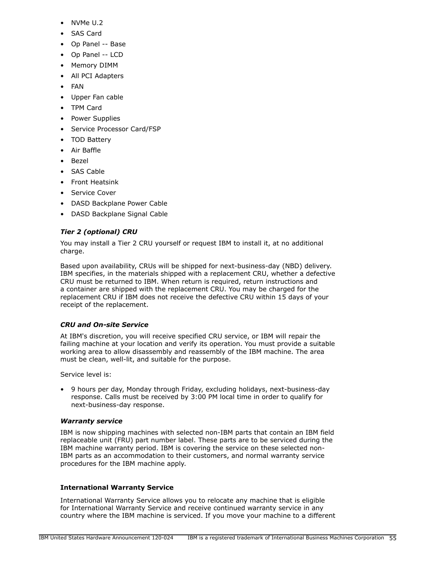- NVMe U.2
- SAS Card
- Op Panel -- Base
- Op Panel -- LCD
- Memory DIMM
- All PCI Adapters
- FAN
- Upper Fan cable
- TPM Card
- Power Supplies
- Service Processor Card/FSP
- TOD Battery
- Air Baffle
- Bezel
- SAS Cable
- Front Heatsink
- Service Cover
- DASD Backplane Power Cable
- DASD Backplane Signal Cable

# *Tier 2 (optional) CRU*

You may install a Tier 2 CRU yourself or request IBM to install it, at no additional charge.

Based upon availability, CRUs will be shipped for next-business-day (NBD) delivery. IBM specifies, in the materials shipped with a replacement CRU, whether a defective CRU must be returned to IBM. When return is required, return instructions and a container are shipped with the replacement CRU. You may be charged for the replacement CRU if IBM does not receive the defective CRU within 15 days of your receipt of the replacement.

# *CRU and On-site Service*

At IBM's discretion, you will receive specified CRU service, or IBM will repair the failing machine at your location and verify its operation. You must provide a suitable working area to allow disassembly and reassembly of the IBM machine. The area must be clean, well-lit, and suitable for the purpose.

Service level is:

• 9 hours per day, Monday through Friday, excluding holidays, next-business-day response. Calls must be received by 3:00 PM local time in order to qualify for next-business-day response.

# *Warranty service*

IBM is now shipping machines with selected non-IBM parts that contain an IBM field replaceable unit (FRU) part number label. These parts are to be serviced during the IBM machine warranty period. IBM is covering the service on these selected non-IBM parts as an accommodation to their customers, and normal warranty service procedures for the IBM machine apply.

# **International Warranty Service**

International Warranty Service allows you to relocate any machine that is eligible for International Warranty Service and receive continued warranty service in any country where the IBM machine is serviced. If you move your machine to a different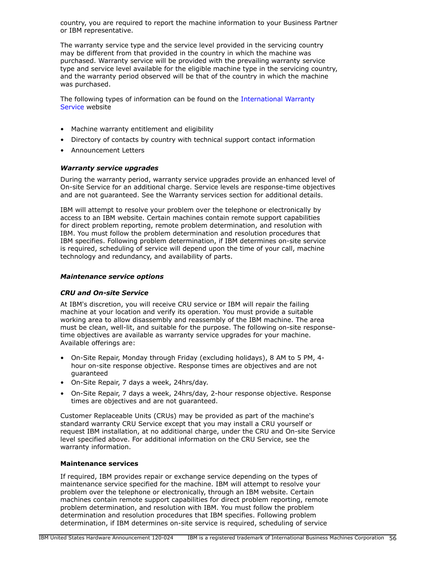country, you are required to report the machine information to your Business Partner or IBM representative.

The warranty service type and the service level provided in the servicing country may be different from that provided in the country in which the machine was purchased. Warranty service will be provided with the prevailing warranty service type and service level available for the eligible machine type in the servicing country, and the warranty period observed will be that of the country in which the machine was purchased.

The following types of information can be found on the [International Warranty](https://www.ibm.com/systems/support/machine_warranties/iws.html) [Service](https://www.ibm.com/systems/support/machine_warranties/iws.html) website

- Machine warranty entitlement and eligibility
- Directory of contacts by country with technical support contact information
- Announcement Letters

## *Warranty service upgrades*

During the warranty period, warranty service upgrades provide an enhanced level of On-site Service for an additional charge. Service levels are response-time objectives and are not guaranteed. See the Warranty services section for additional details.

IBM will attempt to resolve your problem over the telephone or electronically by access to an IBM website. Certain machines contain remote support capabilities for direct problem reporting, remote problem determination, and resolution with IBM. You must follow the problem determination and resolution procedures that IBM specifies. Following problem determination, if IBM determines on-site service is required, scheduling of service will depend upon the time of your call, machine technology and redundancy, and availability of parts.

#### *Maintenance service options*

#### *CRU and On-site Service*

At IBM's discretion, you will receive CRU service or IBM will repair the failing machine at your location and verify its operation. You must provide a suitable working area to allow disassembly and reassembly of the IBM machine. The area must be clean, well-lit, and suitable for the purpose. The following on-site responsetime objectives are available as warranty service upgrades for your machine. Available offerings are:

- On-Site Repair, Monday through Friday (excluding holidays), 8 AM to 5 PM, 4 hour on-site response objective. Response times are objectives and are not guaranteed
- On-Site Repair, 7 days a week, 24hrs/day.
- On-Site Repair, 7 days a week, 24hrs/day, 2-hour response objective. Response times are objectives and are not guaranteed.

Customer Replaceable Units (CRUs) may be provided as part of the machine's standard warranty CRU Service except that you may install a CRU yourself or request IBM installation, at no additional charge, under the CRU and On-site Service level specified above. For additional information on the CRU Service, see the warranty information.

#### **Maintenance services**

If required, IBM provides repair or exchange service depending on the types of maintenance service specified for the machine. IBM will attempt to resolve your problem over the telephone or electronically, through an IBM website. Certain machines contain remote support capabilities for direct problem reporting, remote problem determination, and resolution with IBM. You must follow the problem determination and resolution procedures that IBM specifies. Following problem determination, if IBM determines on-site service is required, scheduling of service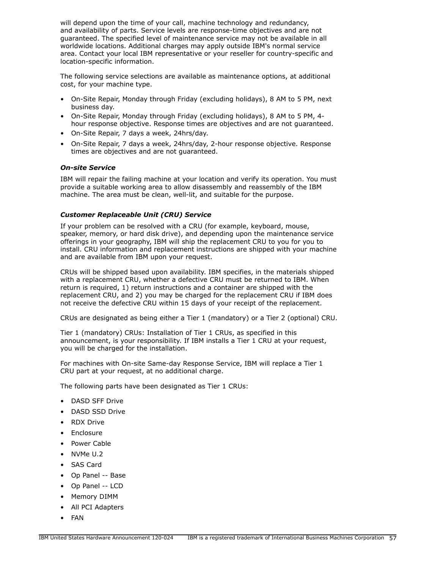will depend upon the time of your call, machine technology and redundancy, and availability of parts. Service levels are response-time objectives and are not guaranteed. The specified level of maintenance service may not be available in all worldwide locations. Additional charges may apply outside IBM's normal service area. Contact your local IBM representative or your reseller for country-specific and location-specific information.

The following service selections are available as maintenance options, at additional cost, for your machine type.

- On-Site Repair, Monday through Friday (excluding holidays), 8 AM to 5 PM, next business day.
- On-Site Repair, Monday through Friday (excluding holidays), 8 AM to 5 PM, 4 hour response objective. Response times are objectives and are not guaranteed.
- On-Site Repair, 7 days a week, 24hrs/day.
- On-Site Repair, 7 days a week, 24hrs/day, 2-hour response objective. Response times are objectives and are not guaranteed.

## *On-site Service*

IBM will repair the failing machine at your location and verify its operation. You must provide a suitable working area to allow disassembly and reassembly of the IBM machine. The area must be clean, well-lit, and suitable for the purpose.

## *Customer Replaceable Unit (CRU) Service*

If your problem can be resolved with a CRU (for example, keyboard, mouse, speaker, memory, or hard disk drive), and depending upon the maintenance service offerings in your geography, IBM will ship the replacement CRU to you for you to install. CRU information and replacement instructions are shipped with your machine and are available from IBM upon your request.

CRUs will be shipped based upon availability. IBM specifies, in the materials shipped with a replacement CRU, whether a defective CRU must be returned to IBM. When return is required, 1) return instructions and a container are shipped with the replacement CRU, and 2) you may be charged for the replacement CRU if IBM does not receive the defective CRU within 15 days of your receipt of the replacement.

CRUs are designated as being either a Tier 1 (mandatory) or a Tier 2 (optional) CRU.

Tier 1 (mandatory) CRUs: Installation of Tier 1 CRUs, as specified in this announcement, is your responsibility. If IBM installs a Tier 1 CRU at your request, you will be charged for the installation.

For machines with On-site Same-day Response Service, IBM will replace a Tier 1 CRU part at your request, at no additional charge.

The following parts have been designated as Tier 1 CRUs:

- DASD SFF Drive
- DASD SSD Drive
- RDX Drive
- **Fnclosure**
- Power Cable
- NVMe U.2
- SAS Card
- Op Panel -- Base
- Op Panel -- LCD
- Memory DIMM
- All PCI Adapters
- FAN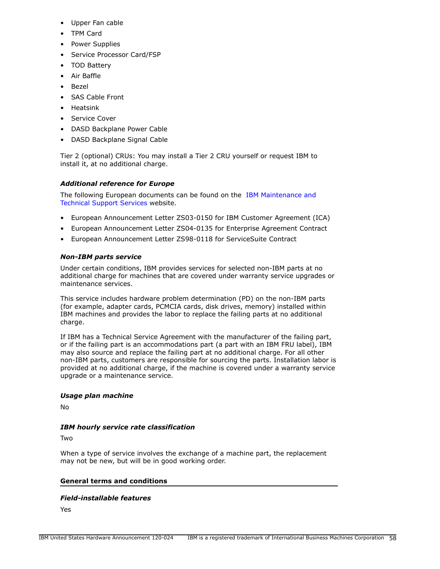- Upper Fan cable
- TPM Card
- Power Supplies
- Service Processor Card/FSP
- TOD Battery
- Air Baffle
- Bezel
- SAS Cable Front
- Heatsink
- Service Cover
- DASD Backplane Power Cable
- DASD Backplane Signal Cable

Tier 2 (optional) CRUs: You may install a Tier 2 CRU yourself or request IBM to install it, at no additional charge.

# *Additional reference for Europe*

The following European documents can be found on the [IBM Maintenance and](http://www-5.ibm.com/services/europe/maintenance/) [Technical Support Services](http://www-5.ibm.com/services/europe/maintenance/) website.

- European Announcement Letter ZS03-0150 for IBM Customer Agreement (ICA)
- European Announcement Letter ZS04-0135 for Enterprise Agreement Contract
- European Announcement Letter ZS98-0118 for ServiceSuite Contract

# *Non-IBM parts service*

Under certain conditions, IBM provides services for selected non-IBM parts at no additional charge for machines that are covered under warranty service upgrades or maintenance services.

This service includes hardware problem determination (PD) on the non-IBM parts (for example, adapter cards, PCMCIA cards, disk drives, memory) installed within IBM machines and provides the labor to replace the failing parts at no additional charge.

If IBM has a Technical Service Agreement with the manufacturer of the failing part, or if the failing part is an accommodations part (a part with an IBM FRU label), IBM may also source and replace the failing part at no additional charge. For all other non-IBM parts, customers are responsible for sourcing the parts. Installation labor is provided at no additional charge, if the machine is covered under a warranty service upgrade or a maintenance service.

# *Usage plan machine*

No

# *IBM hourly service rate classification*

Two

When a type of service involves the exchange of a machine part, the replacement may not be new, but will be in good working order.

# **General terms and conditions**

# *Field-installable features*

Yes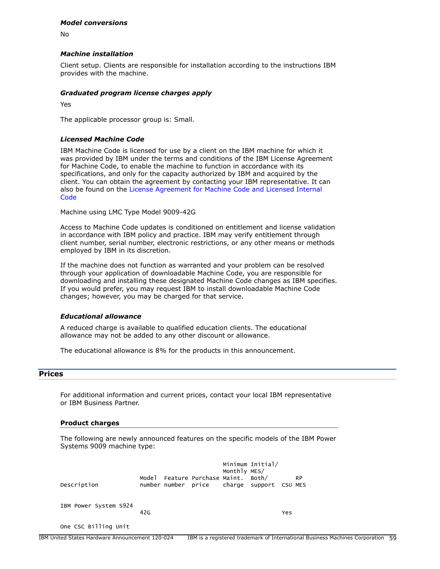#### *Model conversions*

No

## *Machine installation*

Client setup. Clients are responsible for installation according to the instructions IBM provides with the machine.

## *Graduated program license charges apply*

Yes

The applicable processor group is: Small.

## *Licensed Machine Code*

IBM Machine Code is licensed for use by a client on the IBM machine for which it was provided by IBM under the terms and conditions of the IBM License Agreement for Machine Code, to enable the machine to function in accordance with its specifications, and only for the capacity authorized by IBM and acquired by the client. You can obtain the agreement by contacting your IBM representative. It can also be found on the [License Agreement for Machine Code and Licensed Internal](http://www.ibm.com/systems/support/machine_warranties/machine_code.html) **[Code](http://www.ibm.com/systems/support/machine_warranties/machine_code.html)** 

Machine using LMC Type Model 9009-42G

Access to Machine Code updates is conditioned on entitlement and license validation in accordance with IBM policy and practice. IBM may verify entitlement through client number, serial number, electronic restrictions, or any other means or methods employed by IBM in its discretion.

If the machine does not function as warranted and your problem can be resolved through your application of downloadable Machine Code, you are responsible for downloading and installing these designated Machine Code changes as IBM specifies. If you would prefer, you may request IBM to install downloadable Machine Code changes; however, you may be charged for that service.

#### *Educational allowance*

A reduced charge is available to qualified education clients. The educational allowance may not be added to any other discount or allowance.

The educational allowance is 8% for the products in this announcement.

## **Prices**

For additional information and current prices, contact your local IBM representative or IBM Business Partner.

#### **Product charges**

The following are newly announced features on the specific models of the IBM Power Systems 9009 machine type:

| Description           |     | Model Feature Purchase Maint. Both/<br>number number price charge support CSU MES | Monthly MES/ | Minimum Initial/ |     | <b>RP</b> |
|-----------------------|-----|-----------------------------------------------------------------------------------|--------------|------------------|-----|-----------|
| IBM Power System S924 | 42G |                                                                                   |              |                  | Yes |           |
| One CSC Billing Unit  |     |                                                                                   |              |                  |     |           |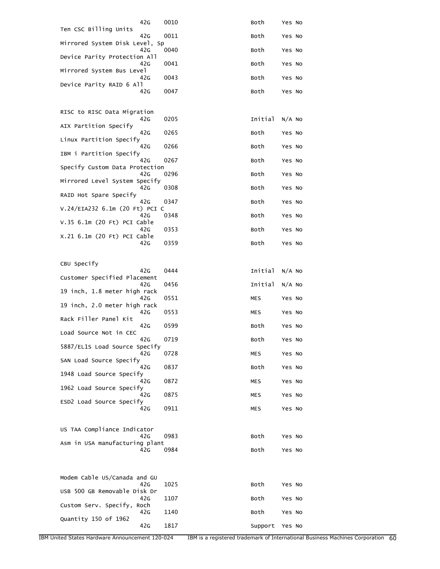| 42G                                   | 0010 | Both       | Yes No   |
|---------------------------------------|------|------------|----------|
| Ten CSC Billing Units<br>42G          | 0011 | Both       | Yes No   |
| Mirrored System Disk Level, Sp<br>42G | 0040 | Both       | Yes No   |
| Device Parity Protection All<br>42G   | 0041 | Both       | Yes No   |
| Mirrored System Bus Level<br>42G      | 0043 | Both       | Yes No   |
| Device Parity RAID 6 All<br>42G       | 0047 | Both       | Yes No   |
|                                       |      |            |          |
| RISC to RISC Data Migration<br>42G    | 0205 | Initial    | $N/A$ No |
| AIX Partition Specify<br>42G          | 0265 | Both       | Yes No   |
| Linux Partition Specify<br>42G        | 0266 | Both       | Yes No   |
| IBM i Partition Specify<br>42G        | 0267 | Both       | Yes No   |
| Specify Custom Data Protection<br>42G | 0296 |            |          |
| Mirrored Level System Specify         |      | Both       | Yes No   |
| 42G<br>RAID Hot Spare Specify         | 0308 | Both       | Yes No   |
| 42G<br>V.24/EIA232 6.1m (20 Ft) PCI C | 0347 | Both       | Yes No   |
| 42G<br>V.35 6.1m (20 Ft) PCI Cable    | 0348 | Both       | Yes No   |
| 42G<br>X.21 6.1m (20 Ft) PCI Cable    | 0353 | Both       | Yes No   |
| 42G                                   | 0359 | Both       | Yes No   |
| CBU Specify                           |      |            |          |
| 42G<br>Customer Specified Placement   | 0444 | Initial    | $N/A$ No |
| 42G<br>19 inch, 1.8 meter high rack   | 0456 | Initial    | $N/A$ No |
| 42G<br>19 inch, 2.0 meter high rack   | 0551 | MES        | Yes No   |
| 42G<br>Rack Filler Panel Kit          | 0553 | MES        | Yes No   |
| 42G                                   | 0599 | Both       | Yes No   |
| Load Source Not in CEC<br>42G         | 0719 | Both       | Yes No   |
| 5887/EL1S Load Source Specify<br>42G  | 0728 | <b>MES</b> | Yes No   |
| SAN Load Source Specify<br>42G        | 0837 | Both       | Yes No   |
| 1948 Load Source Specify<br>42G       | 0872 | MES        | Yes No   |
| 1962 Load Source Specify<br>42G       | 0875 | MES        | Yes No   |
| ESD2 Load Source Specify<br>42G       | 0911 | MES        | Yes No   |
|                                       |      |            |          |
| US TAA Compliance Indicator<br>42G    | 0983 | Both       | Yes No   |
| Asm in USA manufacturing plant<br>42G | 0984 | Both       | Yes No   |
|                                       |      |            |          |
| Modem Cable US/Canada and GU          |      |            |          |
| 42G<br>USB 500 GB Removable Disk Dr   | 1025 | Both       | Yes No   |
| 42G<br>Custom Serv. Specify, Roch     | 1107 | Both       | Yes No   |
| 42G<br>Quantity 150 of 1962           | 1140 | Both       | Yes No   |
| 42G                                   | 1817 | Support    | Yes No   |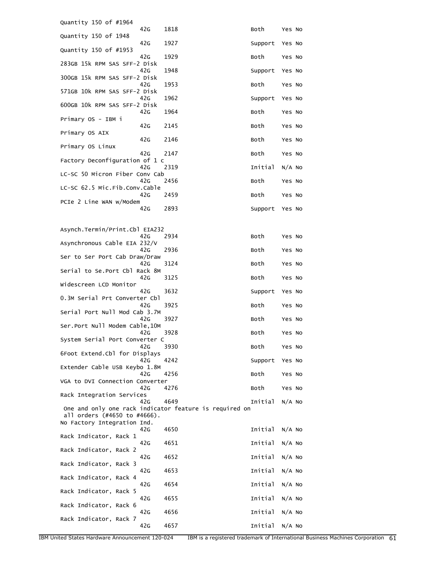| Quantity 150 of #1964                                                                  |              |                 |          |
|----------------------------------------------------------------------------------------|--------------|-----------------|----------|
| 42G<br>Quantity 150 of 1948                                                            | 1818         | Both            | Yes No   |
| 42G<br>Quantity 150 of #1953<br>42G                                                    | 1927<br>1929 | Support<br>Both | Yes No   |
| 283GB 15k RPM SAS SFF-2 Disk                                                           |              |                 | Yes No   |
| 42G<br>300GB 15k RPM SAS SFF-2 Disk                                                    | 1948         | Support         | Yes No   |
| 42G<br>571GB 10k RPM SAS SFF-2 Disk                                                    | 1953         | Both            | Yes No   |
| 42G<br>600GB 10k RPM SAS SFF-2 Disk                                                    | 1962         | Support         | Yes No   |
| 42G<br>Primary OS - IBM i                                                              | 1964         | Both            | Yes No   |
| 42G<br>Primary OS AIX                                                                  | 2145         | Both            | Yes No   |
| 42G<br>Primary OS Linux                                                                | 2146         | Both            | Yes No   |
| 42G<br>Factory Deconfiguration of 1 c                                                  | 2147         | Both            | Yes No   |
| 42G<br>LC-SC 50 Micron Fiber Cony Cab                                                  | 2319         | Initial         | $N/A$ No |
| 42G<br>LC-SC 62.5 Mic.Fib.Conv.Cable                                                   | 2456         | Both            | Yes No   |
| 42G                                                                                    | 2459         | Both            | Yes No   |
| PCIe 2 Line WAN w/Modem<br>42G                                                         | 2893         | Support         | Yes No   |
|                                                                                        |              |                 |          |
| Asynch.Termin/Print.Cbl EIA232<br>42G                                                  | 2934         | Both            | Yes No   |
| Asynchronous Cable EIA 232/V<br>42G                                                    | 2936         | Both            | Yes No   |
| Ser to Ser Port Cab Draw/Draw<br>42G                                                   | 3124         | Both            | Yes No   |
| Serial to Se. Port Cbl Rack 8M                                                         |              |                 |          |
| 42G<br>Widescreen LCD Monitor                                                          | 3125         | Both            | Yes No   |
| 42G<br>0.3M Serial Prt Converter Cbl                                                   | 3632         | Support         | Yes No   |
| 42G<br>Serial Port Null Mod Cab 3.7M                                                   | 3925         | Both            | Yes No   |
| 42G<br>Ser.Port Null Modem Cable, 10M                                                  | 3927         | Both            | Yes No   |
| 42G<br>System Serial Port Converter C                                                  | 3928         | Both            | Yes No   |
| 42G<br>6Foot Extend.Cbl for Displays                                                   | 3930         | Both            | Yes No   |
| 42G<br>Extender Cable USB Keybo 1.8M                                                   | 4242         | Support         | Yes No   |
| 42G                                                                                    | 4256         | Both            | Yes No   |
| VGA to DVI Connection Converter<br>42G                                                 | 4276         | Both            | Yes No   |
| Rack Integration Services<br>42G                                                       | 4649         | Initial         | $N/A$ No |
| One and only one rack indicator feature is required on<br>all orders (#4650 to #4666). |              |                 |          |
| No Factory Integration Ind.                                                            |              |                 |          |
| 42G<br>Rack Indicator, Rack 1                                                          | 4650         | Initial         | $N/A$ No |
| 42G<br>Rack Indicator, Rack 2                                                          | 4651         | Initial         | $N/A$ No |
| 42G<br>Rack Indicator, Rack 3                                                          | 4652         | Initial         | $N/A$ No |
| 42G<br>Rack Indicator, Rack 4                                                          | 4653         | Initial         | $N/A$ No |
| 42G<br>Rack Indicator, Rack 5                                                          | 4654         | Initial         | $N/A$ No |
| 42G<br>Rack Indicator, Rack 6                                                          | 4655         | Initial         | $N/A$ No |
| 42G                                                                                    | 4656         | Initial         | $N/A$ No |
| Rack Indicator, Rack 7<br>42G                                                          | 4657         | Initial         | $N/A$ No |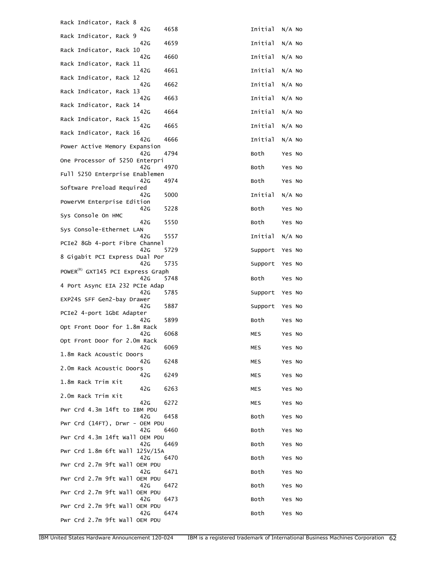| Rack Indicator, Rack 8<br>42G                        | 4658 | Initial | $N/A$ No |
|------------------------------------------------------|------|---------|----------|
| Rack Indicator, Rack 9<br>42G                        | 4659 | Initial | $N/A$ No |
| Rack Indicator, Rack 10<br>42G                       | 4660 | Initial | $N/A$ No |
| Rack Indicator, Rack 11<br>42G                       | 4661 | Initial | $N/A$ No |
| Rack Indicator, Rack 12<br>42G                       | 4662 | Initial | $N/A$ No |
| Rack Indicator, Rack 13<br>42G                       | 4663 | Initial | $N/A$ No |
| Rack Indicator, Rack 14<br>42G                       | 4664 | Initial | $N/A$ No |
| Rack Indicator, Rack 15<br>42G                       | 4665 | Initial | $N/A$ No |
| Rack Indicator, Rack 16<br>42G                       | 4666 | Initial | $N/A$ No |
| Power Active Memory Expansion                        | 4794 |         |          |
| 42G<br>One Processor of 5250 Enterpri                |      | Both    | Yes No   |
| 42G<br>Full 5250 Enterprise Enablemen                | 4970 | Both    | Yes No   |
| 42G<br>Software Preload Required                     | 4974 | Both    | Yes No   |
| 42G<br>PowerVM Enterprise Edition                    | 5000 | Initial | $N/A$ No |
| 42G<br>Sys Console On HMC                            | 5228 | Both    | Yes No   |
| 42G<br>Sys Console-Ethernet LAN                      | 5550 | Both    | Yes No   |
| 42G<br>PCIe2 8Gb 4-port Fibre Channel                | 5557 | Initial | $N/A$ No |
| 42G<br>8 Gigabit PCI Express Dual Por                | 5729 | Support | Yes No   |
| 42G                                                  | 5735 | Support | Yes No   |
| POWER <sup>(R)</sup> GXT145 PCI Express Graph<br>42G | 5748 | Both    | Yes No   |
| 4 Port Async EIA 232 PCIe Adap<br>42 <sub>G</sub>    | 5785 | Support | Yes No   |
| EXP24S SFF Gen2-bay Drawer<br>42G                    | 5887 | Support | Yes No   |
| PCIe2 4-port 1GbE Adapter<br>42G                     | 5899 | Both    | Yes No   |
| Opt Front Door for 1.8m Rack<br>42G                  | 6068 | MES     | Yes No   |
| Opt Front Door for 2.0m Rack<br>42G                  | 6069 | MES     | Yes No   |
| 1.8m Rack Acoustic Doors<br>42G                      | 6248 | MES     | Yes No   |
| 2.0m Rack Acoustic Doors<br>42G                      | 6249 | MES     | Yes No   |
| 1.8m Rack Trim Kit                                   | 6263 |         |          |
| 42G<br>2.0m Rack Trim Kit                            |      | MES     | Yes No   |
| 42G<br>Pwr Crd 4.3m 14ft to IBM PDU                  | 6272 | MES     | Yes No   |
| 42G<br>Pwr Crd (14FT), Drwr - OEM PDU                | 6458 | Both    | Yes No   |
| 42G<br>Pwr Crd 4.3m 14ft Wall OEM PDU                | 6460 | Both    | Yes No   |
| 42G<br>Pwr Crd 1.8m 6ft Wall 125V/15A                | 6469 | Both    | Yes No   |
| 42G<br>Pwr Crd 2.7m 9ft Wall OEM PDU                 | 6470 | Both    | Yes No   |
| 42G<br>Pwr Crd 2.7m 9ft Wall OEM PDU                 | 6471 | Both    | Yes No   |
| 42G<br>Pwr Crd 2.7m 9ft Wall OEM PDU                 | 6472 | Both    | Yes No   |
| 42G<br>Pwr Crd 2.7m 9ft Wall OEM PDU                 | 6473 | Both    | Yes No   |
| 42G<br>Pwr Crd 2.7m 9ft Wall OEM PDU                 | 6474 | Both    | Yes No   |
|                                                      |      |         |          |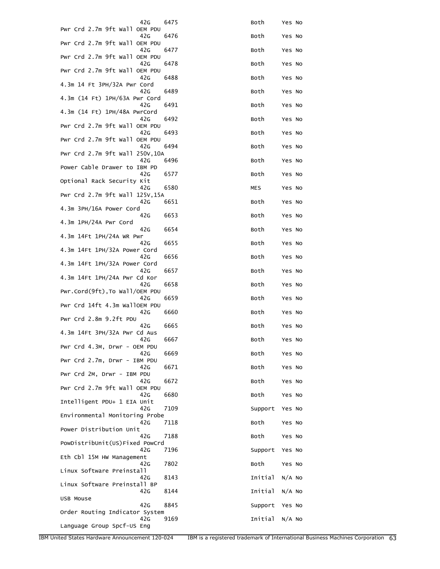| 42G                                    | 6475 | Both    | Yes No   |
|----------------------------------------|------|---------|----------|
| Pwr Crd 2.7m 9ft Wall OEM PDU<br>42G   | 6476 | Both    | Yes No   |
| Pwr Crd 2.7m 9ft Wall OEM PDU<br>42G   | 6477 | Both    | Yes No   |
| Pwr Crd 2.7m 9ft Wall OEM PDU<br>42G   | 6478 | Both    | Yes No   |
| Pwr Crd 2.7m 9ft Wall OEM PDU          |      |         |          |
| 42G<br>4.3m 14 Ft 3PH/32A Pwr Cord     | 6488 | Both    | Yes No   |
| 42G<br>4.3m (14 Ft) 1PH/63A Pwr Cord   | 6489 | Both    | Yes No   |
| 42G<br>4.3m (14 Ft) 1PH/48A PwrCord    | 6491 | Both    | Yes No   |
| 42G<br>Pwr Crd 2.7m 9ft Wall OEM PDU   | 6492 | Both    | Yes No   |
| 42G                                    | 6493 | Both    | Yes No   |
| Pwr Crd 2.7m 9ft Wall OEM PDU<br>42G   | 6494 | Both    | Yes No   |
| Pwr Crd 2.7m 9ft Wall 250V, 10A<br>42G | 6496 | Both    | Yes No   |
| Power Cable Drawer to IBM PD<br>42G    | 6577 | Both    | Yes No   |
| Optional Rack Security Kit<br>42G      | 6580 | MES     | Yes No   |
| Pwr Crd 2.7m 9ft Wall 125V,15A         |      |         |          |
| 42G<br>4.3m 3PH/16A Power Cord         | 6651 | Both    | Yes No   |
| 42G<br>4.3m 1PH/24A Pwr Cord           | 6653 | Both    | Yes No   |
| 42G<br>4.3m 14Ft 1PH/24A WR Pwr        | 6654 | Both    | Yes No   |
| 42G<br>4.3m 14Ft 1PH/32A Power Cord    | 6655 | Both    | Yes No   |
| 42G                                    | 6656 | Both    | Yes No   |
| 4.3m 14Ft 1PH/32A Power Cord<br>42G    | 6657 | Both    | Yes No   |
| 4.3m 14Ft 1PH/24A Pwr Cd Kor<br>42G    | 6658 | Both    | Yes No   |
| Pwr.Cord(9ft), To Wall/OEM PDU<br>42G  | 6659 | Both    | Yes No   |
| Pwr Crd 14ft 4.3m WallOEM PDU<br>42G   | 6660 | Both    | Yes No   |
| Pwr Crd 2.8m 9.2ft PDU<br>42G          | 6665 | Both    | Yes No   |
| 4.3m 14Ft 3PH/32A Pwr Cd Aus           |      |         |          |
| 42G<br>Pwr Crd 4.3M, Drwr - OEM PDU    | 6667 | Both    | Yes No   |
| 42G<br>Pwr Crd 2.7m, Drwr - IBM PDU    | 6669 | Both    | Yes No   |
| 42G<br>Pwr Crd 2M, Drwr - IBM PDU      | 6671 | Both    | Yes No   |
| 42G<br>Pwr Crd 2.7m 9ft Wall OEM PDU   | 6672 | Both    | Yes No   |
| 42G                                    | 6680 | Both    | Yes No   |
| Intelligent PDU+ 1 EIA Unit<br>42G     | 7109 | Support | Yes No   |
| Environmental Monitoring Probe<br>42G  | 7118 | Both    | Yes No   |
| Power Distribution Unit<br>42G         | 7188 | Both    | Yes No   |
| PowDistribUnit(US)Fixed PowCrd<br>42G  | 7196 | Support | Yes No   |
| Eth Cbl 15M HW Management<br>42G       | 7802 | Both    | Yes No   |
| Linux Software Preinstall              |      |         |          |
| 42G<br>Linux Software Preinstall BP    | 8143 | Initial | $N/A$ No |
| 42G<br>USB Mouse                       | 8144 | Initial | $N/A$ No |
| 42G<br>Order Routing Indicator System  | 8845 | Support | Yes No   |
| 42G<br>Language Group Spcf-US Eng      | 9169 | Initial | $N/A$ No |
|                                        |      |         |          |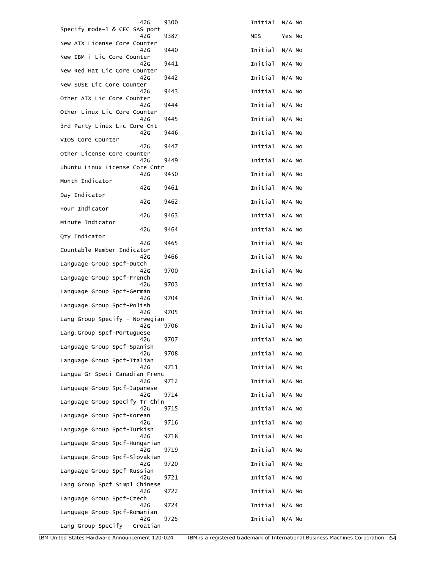| 42G                                   | 9300 | Initial        | $N/A$ No |
|---------------------------------------|------|----------------|----------|
| Specify mode-1 & CEC SAS port<br>42G  | 9387 | <b>MES</b>     | Yes No   |
| New AIX License Core Counter<br>42G   | 9440 | Initial        | $N/A$ No |
| New IBM i Lic Core Counter<br>42G     | 9441 | Initial        | $N/A$ No |
| New Red Hat Lic Core Counter<br>42G   | 9442 | Initial        | $N/A$ No |
| New SUSE Lic Core Counter<br>42G      | 9443 | Initial        | $N/A$ No |
| Other AIX Lic Core Counter<br>42G     | 9444 | Initial        | $N/A$ No |
| Other Linux Lic Core Counter<br>42G   | 9445 | Initial        | $N/A$ No |
| 3rd Party Linux Lic Core Cnt<br>42G   | 9446 | Initial        | $N/A$ No |
| VIOS Core Counter<br>42G              | 9447 | Initial        | $N/A$ No |
| Other License Core Counter<br>42G     | 9449 | Initial        | $N/A$ No |
| Ubuntu Linux License Core Cntr<br>42G | 9450 | Initial        | $N/A$ No |
| Month Indicator<br>42G                | 9461 | Initial        | $N/A$ No |
| Day Indicator<br>42G                  | 9462 | Initial        | $N/A$ No |
| Hour Indicator<br>42G                 | 9463 | Initial        | $N/A$ No |
| Minute Indicator<br>42G               | 9464 | Initial        | $N/A$ No |
| Qty Indicator<br>42G                  |      | Initial        |          |
| Countable Member Indicator            | 9465 |                | $N/A$ No |
| 42G<br>Language Group Spcf-Dutch      | 9466 | Initial        | $N/A$ No |
| 42G<br>Language Group Spcf-French     | 9700 | Initial        | $N/A$ No |
| 42G<br>Language Group Spcf-German     | 9703 | Initial        | $N/A$ No |
| 42G<br>Language Group Spcf-Polish     | 9704 | Initial        | $N/A$ No |
| 42G<br>Lang Group Specify - Norwegian | 9705 | Initial        | $N/A$ No |
| 42G<br>Lang.Group Spcf-Portuguese     | 9706 | Initial        | $N/A$ No |
| 42G<br>Language Group Spcf-Spanish    | 9707 | Initial N/A No |          |
| 42G<br>Language Group Spcf-Italian    | 9708 | Initial        | $N/A$ No |
| 42G<br>Langua Gr Speci Canadian Frenc | 9711 | Initial        | $N/A$ No |
| 42G                                   | 9712 | Initial        | $N/A$ No |
| Language Group Spcf-Japanese<br>42G   | 9714 | Initial        | $N/A$ No |
| Language Group Specify Tr Chin<br>42G | 9715 | Initial        | $N/A$ No |
| Language Group Spcf-Korean<br>42G     | 9716 | Initial        | $N/A$ No |
| Language Group Spcf-Turkish<br>42G    | 9718 | Initial        | $N/A$ No |
| Language Group Spcf-Hungarian<br>42G  | 9719 | Initial        | $N/A$ No |
| Language Group Spcf-Slovakian<br>42G  | 9720 | Initial        | $N/A$ No |
| Language Group Spcf-Russian<br>42G    | 9721 | Initial        | $N/A$ No |
| Lang Group Spcf Simpl Chinese<br>42G  | 9722 | Initial        | $N/A$ No |
| Language Group Spcf-Czech<br>42G      | 9724 | Initial        | $N/A$ No |
| Language Group Spcf-Romanian<br>42G   | 9725 | Initial        | $N/A$ No |
| Lang Group Specify - Croatian         |      |                |          |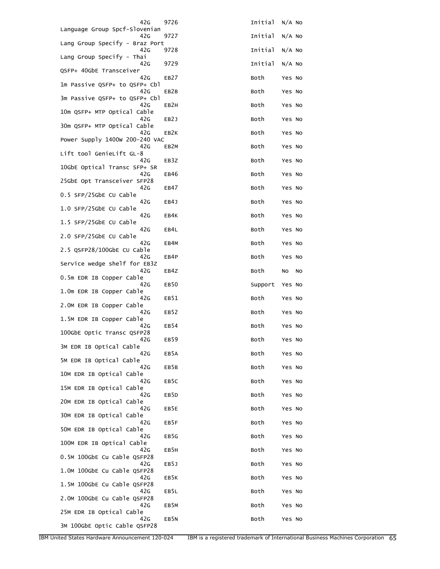| 42G                                   | 9726              | Initial | $N/A$ No |
|---------------------------------------|-------------------|---------|----------|
| Language Group Spcf-Slovenian<br>42G  | 9727              | Initial | $N/A$ No |
| Lang Group Specify - Braz Port<br>42G | 9728              | Initial | $N/A$ No |
| Lang Group Specify - Thai<br>42G      | 9729              | Initial | $N/A$ No |
| QSFP+ 40GbE Transceiver<br>42G        | EB <sub>27</sub>  | Both    | Yes No   |
| 1m Passive QSFP+ to QSFP+ Cbl         |                   |         |          |
| 42G<br>3m Passive QSFP+ to QSFP+ Cbl  | EB2B              | Both    | Yes No   |
| 42G<br>10m QSFP+ MTP Optical Cable    | EB2H              | Both    | Yes No   |
| 42G<br>30m QSFP+ MTP Optical Cable    | EB2J              | Both    | Yes No   |
| 42G<br>Power Supply 1400w 200-240 VAC | EB <sub>2</sub> K | Both    | Yes No   |
| 42G<br>Lift tool GenieLift GL-8       | EB <sub>2</sub> M | Both    | Yes No   |
| 42G<br>10GbE Optical Transc SFP+ SR   | EB3Z              | Both    | Yes No   |
| 42G<br>25GbE Opt Transceiver SFP28    | EB46              | Both    | Yes No   |
| 42G<br>0.5 SFP/25GbE CU Cable         | EB47              | Both    | Yes No   |
| 42G                                   | EB4J              | Both    | Yes No   |
| 1.0 SFP/25GbE CU Cable<br>42G         | EB4K              | Both    | Yes No   |
| 1.5 SFP/25GbE CU Cable<br>42G         | EB4L              | Both    | Yes No   |
| 2.0 SFP/25GbE CU Cable<br>42G         | EB4M              | Both    | Yes No   |
| 2.5 QSFP28/100GbE CU Cable<br>42G     | EB4P              | Both    | Yes No   |
| Service wedge shelf for EB3Z<br>42G   | EB4Z              | Both    | No<br>No |
| 0.5m EDR IB Copper Cable<br>42G       | EB <sub>50</sub>  | Support | Yes No   |
| 1.0m EDR IB Copper Cable<br>42G       | EB51              | Both    | Yes No   |
| 2.0M EDR IB Copper Cable<br>42G       | EB <sub>52</sub>  | Both    | Yes No   |
| 1.5M EDR IB Copper Cable<br>42G       | EB54              | Both    | Yes No   |
| 100GbE Optic Transc QSFP28<br>42G     | EB59              | Both    | Yes No   |
| 3M EDR IB Optical Cable<br>42G        | EB5A              | Both    | Yes No   |
| 5M EDR IB Optical Cable<br>42G        |                   |         |          |
|                                       |                   |         |          |
| 10M EDR IB Optical Cable              | EB5B              | Both    | Yes No   |
| 42G<br>15M EDR IB Optical Cable       | EB5C              | Both    | Yes No   |
| 42G<br>20M EDR IB Optical Cable       | EB5D              | Both    | Yes No   |
| 42G<br>30M EDR IB Optical Cable       | EB5E              | Both    | Yes No   |
| 42G<br>50M EDR IB Optical Cable       | EB5F              | Both    | Yes No   |
| 42G<br>100M EDR IB Optical Cable      | EB5G              | Both    | Yes No   |
| 42G<br>0.5M 100GbE Cu Cable QSFP28    | EB5H              | Both    | Yes No   |
| 42G<br>1.0M 100GbE Cu Cable QSFP28    | EB5J              | Both    | Yes No   |
| 42G<br>1.5M 100GbE Cu Cable QSFP28    | EB5K              | Both    | Yes No   |
| 42G<br>2.0M 100GbE Cu Cable QSFP28    | EB5L              | Both    | Yes No   |
| 42G<br>25M EDR IB Optical Cable       | EB5M              | Both    | Yes No   |

IBM United States Hardware Announcement 120-024 IBM is a registered trademark of International Business Machines Corporation 65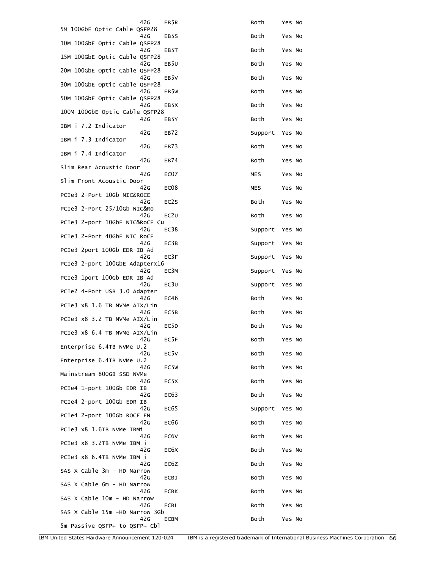| 42G<br>5M 100GbE Optic Cable QSFP28         | EB5R              | Both       | Yes No |
|---------------------------------------------|-------------------|------------|--------|
| 42G                                         | EB5S              | Both       | Yes No |
| 10M 100GbE Optic Cable QSFP28<br>42G        | EB5T              | Both       | Yes No |
| 15M 100GbE Optic Cable QSFP28<br>42G        | EB <sub>5U</sub>  | Both       | Yes No |
| 20M 100GbE Optic Cable QSFP28<br>42G        | EB5V              | Both       | Yes No |
| 30M 100GbE Optic Cable QSFP28<br>42G        | EB5W              | Both       | Yes No |
| 50M 100GbE Optic Cable QSFP28<br>42G        | EB5X              | Both       | Yes No |
| 100M 100GbE Optic Cable QSFP28<br>42G       | EB5Y              | Both       | Yes No |
| IBM i 7.2 Indicator<br>42G                  | EB72              | Support    | Yes No |
| IBM i 7.3 Indicator<br>42G                  | EB73              | Both       | Yes No |
| IBM i 7.4 Indicator                         |                   |            |        |
| 42G<br>Slim Rear Acoustic Door              | <b>EB74</b>       | Both       | Yes No |
| 42G<br>Slim Front Acoustic Door             | EC <sub>07</sub>  | MES        | Yes No |
| 42G<br>PCIe3 2-Port 10Gb NIC&ROCE           | EC <sub>08</sub>  | <b>MES</b> | Yes No |
| 42G<br>PCIe3 2-Port 25/10Gb NIC&Ro          | EC2S              | Both       | Yes No |
| 42G<br>PCIe3 2-port 10GbE NIC&RoCE Cu       | EC2U              | Both       | Yes No |
| 42G<br>PCIe3 2-Port 40GbE NIC RoCE          | EC38              | Support    | Yes No |
| 42G                                         | EC3B              | Support    | Yes No |
| PCIe3 2port 100Gb EDR IB Ad<br>42G          | EC3F              | Support    | Yes No |
| PCIe3 2-port 100GbE Adapterx16<br>42G       | EC3M              | Support    | Yes No |
| PCIe3 1port 100Gb EDR IB Ad<br>42G          | EC3U              | Support    | Yes No |
| PCIe2 4-Port USB 3.0 Adapter<br>42G         | EC46              | Both       | Yes No |
| PCIe3 $\times$ 8 1.6 TB NVMe AIX/Lin<br>42G | EC5B              | Both       | Yes No |
| PCIe3 x8 3.2 TB NVMe AIX/Lin<br>42G         | EC <sub>5</sub> D | Both       | Yes No |
| PCIe3 x8 6.4 TB NVMe AIX/Lin<br>42G         | EC5F              | Both       | Yes No |
| Enterprise 6.4TB NVMe U.2<br>42G            | EC5V              | Both       | Yes No |
| Enterprise 6.4TB NVMe U.2<br>42G            | EC5W              | Both       | Yes No |
| Mainstream 800GB SSD NVMe                   |                   |            |        |
| 42G<br>PCIe4 1-port 100Gb EDR IB            | EC <sub>5</sub> X | Both       | Yes No |
| 42G<br>PCIe4 2-port 100Gb EDR IB            | EC63              | Both       | Yes No |
| 42G<br>PCIe4 2-port 100Gb ROCE EN           | EC65              | Support    | Yes No |
| 42G<br>PCIe3 x8 1.6TB NVMe IBMi             | EC66              | Both       | Yes No |
| 42G<br>PCIe3 x8 3.2TB NVMe IBM i            | EC <sub>6</sub> V | Both       | Yes No |
| 42G<br>PCIe3 x8 6.4TB NVMe IBM i            | EC6X              | Both       | Yes No |
| 42G<br>SAS X Cable 3m - HD Narrow           | EC6Z              | Both       | Yes No |
| 42G                                         | <b>ECBJ</b>       | Both       | Yes No |
| SAS X Cable 6m - HD Narrow<br>42G           | ECBK              | Both       | Yes No |
| SAS X Cable 10m - HD Narrow<br>42G          | ECBL              | Both       | Yes No |
| SAS X Cable 15m -HD Narrow 3Gb<br>42G       | ECBM              | Both       | Yes No |
| 5m Passive QSFP+ to QSFP+ Cbl               |                   |            |        |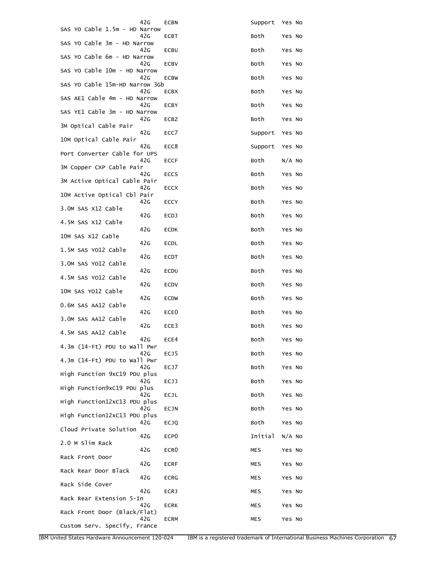| 42G                                   | <b>ECBN</b>       | Support    | Yes No   |
|---------------------------------------|-------------------|------------|----------|
| SAS YO Cable 1.5m - HD Narrow<br>42G  | ECBT              | Both       | Yes No   |
| SAS YO Cable 3m - HD Narrow<br>42G    | ECBU              | Both       | Yes No   |
| SAS YO Cable 6m - HD Narrow<br>42G    | <b>ECBV</b>       | Both       | Yes No   |
| SAS YO Cable 10m - HD Narrow          |                   |            |          |
| 42G<br>SAS YO Cable 15m-HD Narrow 3Gb | <b>ECBW</b>       | Both       | Yes No   |
| 42G<br>SAS AE1 Cable 4m - HD Narrow   | ECBX              | Both       | Yes No   |
| 42G<br>SAS YE1 Cable 3m - HD Narrow   | ECBY              | Both       | Yes No   |
| 42G<br>3M Optical Cable Pair          | ECBZ              | Both       | Yes No   |
| 42G<br>10M Optical Cable Pair         | ECC7              | Support    | Yes No   |
| 42G                                   | ECC8              | Support    | Yes No   |
| Port Converter Cable for UPS<br>42G   | <b>ECCF</b>       | Both       | $N/A$ No |
| 3M Copper CXP Cable Pair<br>42G       | <b>ECCS</b>       | Both       | Yes No   |
| 3M Active Optical Cable Pair<br>42G   | <b>ECCX</b>       | Both       | Yes No   |
| 10M Active Optical Cbl Pair<br>42G    | ECCY              | Both       | Yes No   |
| 3.0M SAS X12 Cable<br>42G             | <b>ECDJ</b>       | Both       | Yes No   |
| 4.5M SAS X12 Cable<br>42G             | <b>ECDK</b>       | Both       | Yes No   |
| 10M SAS X12 Cable                     |                   |            |          |
| 42G<br>1.5M SAS YO12 Cable            | ECDL              | Both       | Yes No   |
| 42G<br>3.OM SAS YO12 Cable            | ECDT              | Both       | Yes No   |
| 42G<br>4.5M SAS YO12 Cable            | ECDU              | Both       | Yes No   |
| 42G<br>10M SAS YO12 Cable             | <b>ECDV</b>       | Both       | Yes No   |
| 42G<br>0.6M SAS AA12 Cable            | <b>ECDW</b>       | Both       | Yes No   |
| 42G<br>3.0M SAS AA12 Cable            | ECE <sub>0</sub>  | Both       | Yes No   |
| 42G                                   | ECE3              | Both       | Yes No   |
| 4.5M SAS AA12 Cable<br>42G            | ECE4              | Both       | Yes No   |
| 4.3m (14-Ft) PDU to Wall Pwr<br>42G   | EC <sub>J</sub> 5 | Both       | Yes No   |
| 4.3m (14-Ft) PDU to Wall Pwr<br>42G   | ECJ7              | Both       | Yes No   |
| High Function 9xC19 PDU plus<br>42G   | ECJJ              | Both       | Yes No   |
| High Function9xC19 PDU plus<br>42G    | ECJL              | Both       | Yes No   |
| High Function12xC13 PDU plus          |                   |            |          |
| 42G<br>High Function12xC13 PDU plus   | ECJN              | Both       | Yes No   |
| 42G<br>Cloud Private Solution         | <b>ECJQ</b>       | Both       | Yes No   |
| 42G<br>2.0 M Slim Rack                | ECP <sub>0</sub>  | Initial    | $N/A$ No |
| 42G<br>Rack Front Door                | ECR <sub>0</sub>  | <b>MES</b> | Yes No   |
| 42G<br>Rack Rear Door Black           | <b>ECRF</b>       | MES        | Yes No   |
| 42G<br>Rack Side Cover                | <b>ECRG</b>       | MES        | Yes No   |
| 42G                                   | <b>ECRJ</b>       | MES        | Yes No   |
| Rack Rear Extension 5-In<br>42G       | <b>ECRK</b>       | MES        | Yes No   |
| Rack Front Door (Black/Flat)<br>42G   | <b>ECRM</b>       | MES        | Yes No   |
| Custom Serv. Specify, France          |                   |            |          |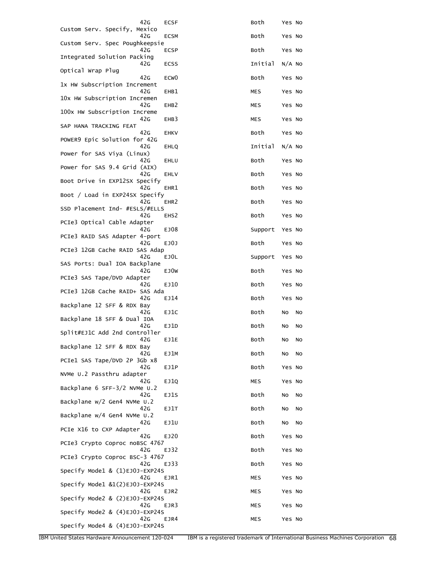| 42G                                   | <b>ECSF</b>      | Both       | Yes No   |
|---------------------------------------|------------------|------------|----------|
| Custom Serv. Specify, Mexico<br>42G   | <b>ECSM</b>      | Both       | Yes No   |
| Custom Serv. Spec Poughkeepsie<br>42G | ECSP             | Both       | Yes No   |
| Integrated Solution Packing<br>42G    | ECSS             | Initial    | $N/A$ No |
| Optical Wrap Plug                     |                  |            |          |
| 42G<br>1x HW Subscription Increment   | ECW <sub>0</sub> | Both       | Yes No   |
| 42G<br>10x HW Subscription Incremen   | EHB1             | <b>MES</b> | Yes No   |
| 42G<br>100x HW Subscription Increme   | EHB <sub>2</sub> | MES        | Yes No   |
| 42G<br>SAP HANA TRACKING FEAT         | EHB3             | <b>MES</b> | Yes No   |
| 42G<br>POWER9 Epic Solution for 42G   | <b>EHKV</b>      | Both       | Yes No   |
| 42G<br>Power for SAS Viya (Linux)     | EHLQ             | Initial    | $N/A$ No |
| 42G<br>Power for SAS 9.4 Grid (AIX)   | EHLU             | Both       | Yes No   |
| 42G                                   | EHLV             | Both       | Yes No   |
| Boot Drive in EXP12SX Specify<br>42G  | EHR1             | Both       | Yes No   |
| Boot / Load in EXP24SX Specify<br>42G | EHR <sub>2</sub> | Both       | Yes No   |
| SSD Placement Ind- #ESLS/#ELLS<br>42G | EHS <sub>2</sub> | Both       | Yes No   |
| PCIe3 Optical Cable Adapter<br>42G    | EJ08             | Support    | Yes No   |
| PCIe3 RAID SAS Adapter 4-port<br>42G  | EJ0J             | Both       | Yes No   |
| PCIe3 12GB Cache RAID SAS Adap<br>42G |                  |            |          |
| SAS Ports: Dual IOA Backplane         | EJ0L             | Support    | Yes No   |
| 42G<br>PCIe3 SAS Tape/DVD Adapter     | EJ0W             | Both       | Yes No   |
| 42G<br>PCIe3 12GB Cache RAID+ SAS Ada | EJ10             | Both       | Yes No   |
| 42G<br>Backplane 12 SFF & RDX Bay     | EJ14             | Both       | Yes No   |
| 42G<br>Backplane 18 SFF & Dual IOA    | EJ1C             | Both       | No<br>No |
| 42G<br>Split#EJ1C Add 2nd Controller  | EJ1D             | Both       | No<br>No |
| 42G<br>Backplane 12 SFF & RDX Bay     | EJ1E             | Both       | No<br>No |
| 42G                                   | EJ1M             | Both       | No<br>No |
| PCIe1 SAS Tape/DVD 2P 3Gb x8<br>42G   | EJ1P             | Both       | Yes No   |
| NVMe U.2 Passthru adapter<br>42G      | EJ1Q             | MES        | Yes No   |
| Backplane 6 SFF-3/2 NVMe U.2<br>42G   | EJ1S             | Both       | No<br>No |
| Backplane w/2 Gen4 NVMe U.2<br>42G    | EJ1T             | Both       | No<br>No |
| Backplane w/4 Gen4 NVMe U.2<br>42G    | EJ1U             | Both       | No<br>No |
| PCIe X16 to CXP Adapter<br>42G        |                  |            |          |
| PCIe3 Crypto Coproc noBSC 4767        | EJ20             | Both       | Yes No   |
| 42G<br>PCIe3 Crypto Coproc BSC-3 4767 | EJ32             | Both       | Yes No   |
| 42G<br>Specify Mode1 & (1)EJ0J-EXP24S | EJ33             | Both       | Yes No   |
| 42G<br>Specify Mode1 &1(2)EJ0J-EXP24S | EJR1             | MES        | Yes No   |
| 42G<br>Specify Mode2 & (2)EJ0J-EXP24S | EJR2             | MES        | Yes No   |
| 42G<br>Specify Mode2 & (4)EJ0J-EXP24S | EJR3             | MES        | Yes No   |
| 42G<br>Specify Mode4 & (4)EJ0J-EXP24S | EJR4             | MES        | Yes No   |
|                                       |                  |            |          |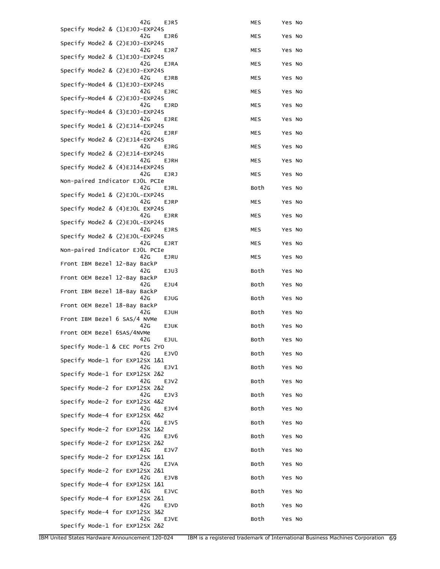| 42G<br>EJR5                                                      | MES        | Yes No |
|------------------------------------------------------------------|------------|--------|
| Specify Mode2 & (1)EJ0J-EXP24S<br>42 <sub>G</sub><br>EJR6        | MES        | Yes No |
| Specify Mode2 & (2)EJ0J-EXP24S<br>42G<br>EJR7                    | <b>MES</b> | Yes No |
| Specify Mode2 & (1)EJ0J-EXP24S<br>42 <sub>G</sub><br><b>EJRA</b> | MES        | Yes No |
| Specify Mode2 & (2)EJ0J-EXP24S<br>42G                            | <b>MES</b> |        |
| EJRB<br>Specify-Mode4 & (1)EJ0J-EXP24S                           |            | Yes No |
| 42G<br><b>EJRC</b><br>Specify-Mode4 & (2)EJ0J-EXP24S             | <b>MES</b> | Yes No |
| 42G<br><b>EJRD</b><br>Specify-Mode4 & (3)EJ0J-EXP24S             | MES        | Yes No |
| 42G<br>EJRE<br>Specify Mode1 & (2)EJ14-EXP24S                    | <b>MES</b> | Yes No |
| 42 <sub>G</sub><br>EJRF<br>Specify Mode2 & (2)EJ14-EXP24S        | MES        | Yes No |
| 42G<br>EJRG<br>Specify Mode2 & (2)EJ14-EXP24S                    | <b>MES</b> | Yes No |
| 42G<br>EJRH<br>Specify Mode2 & (4)EJ14+EXP24S                    | <b>MES</b> | Yes No |
| 42G<br>EJRJ<br>Non-paired Indicator EJOL PCIe                    | <b>MES</b> | Yes No |
| 42G<br>EJRL<br>Specify Mode1 & (2)EJOL-EXP24S                    | Both       | Yes No |
| 42G<br>EJRP<br>Specify Mode2 & (4)EJOL EXP24S                    | <b>MES</b> | Yes No |
| 42G<br>EJRR<br>Specify Mode2 & (2)EJOL-EXP24S                    | MES        | Yes No |
| 42G<br><b>EJRS</b>                                               | <b>MES</b> | Yes No |
| Specify Mode2 & (2)EJOL-EXP24S<br>42G<br><b>EJRT</b>             | MES        | Yes No |
| Non-paired Indicator EJOL PCIe<br>42G<br>EJRU                    | <b>MES</b> | Yes No |
| Front IBM Bezel 12-Bay BackP<br>42G<br>EJU3                      | Both       | Yes No |
| Front OEM Bezel 12-Bay BackP<br>42G<br>EJU4                      | Both       | Yes No |
| Front IBM Bezel 18-Bay BackP<br>42G<br><b>EJUG</b>               | Both       | Yes No |
| Front OEM Bezel 18-Bay BackP<br>42G<br><b>EJUH</b>               | Both       | Yes No |
| Front IBM Bezel 6 SAS/4 NVMe<br>42G<br><b>EJUK</b>               | Both       | Yes No |
| Front OEM Bezel 6SAS/4NVMe<br>42G<br>EJUL                        | Both       | Yes No |
| Specify Mode-1 & CEC Ports 2YO<br>42G<br>EJV0                    | Both       | Yes No |
| Specify Mode-1 for EXP12SX 1&1<br>42G<br>EJV1                    | Both       | Yes No |
| Specify Mode-1 for EXP12SX 2&2<br>42G<br>EJV2                    | Both       | Yes No |
| Specify Mode-2 for EXP12SX 2&2<br>42G<br>EJV3                    | Both       |        |
| Specify Mode-2 for EXP12SX 4&2                                   |            | Yes No |
| 42G<br>EJV4<br>Specify Mode-4 for EXP12SX 4&2                    | Both       | Yes No |
| 42G<br>EJV5<br>Specify Mode-2 for EXP12SX 1&2                    | Both       | Yes No |
| 42G<br>EJV6<br>Specify Mode-2 for EXP12SX 2&2                    | Both       | Yes No |
| 42G<br>EJV7<br>Specify Mode-2 for EXP12SX 1&1                    | Both       | Yes No |
| 42G<br>EJVA<br>Specify Mode-2 for EXP12SX 2&1                    | Both       | Yes No |
| 42G<br>EJVB<br>Specify Mode-4 for EXP12SX 1&1                    | Both       | Yes No |
| 42G<br>EJVC<br>Specify Mode-4 for EXP12SX 2&1                    | Both       | Yes No |
| 42 <sub>G</sub><br><b>EJVD</b><br>Specify Mode-4 for EXP12SX 3&2 | Both       | Yes No |
| 42G<br>EJVE<br>Specify Mode-1 for EXP12SX 2&2                    | Both       | Yes No |
|                                                                  |            |        |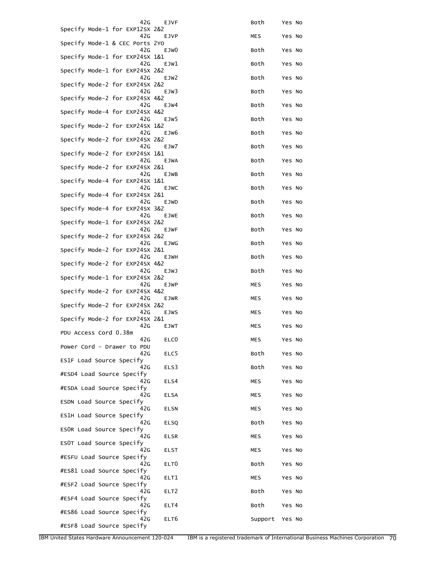| 42G                                               | EJVF             | Both           | Yes No |
|---------------------------------------------------|------------------|----------------|--------|
| Specify Mode-1 for EXP12SX 2&2<br>42 <sub>G</sub> | EJVP             | MES            | Yes No |
| Specify Mode-1 & CEC Ports 2YO<br>42G             |                  |                |        |
| Specify Mode-1 for EXP24SX 1&1                    | EJW0             | Both           | Yes No |
| 42G<br>Specify Mode-1 for EXP24SX 2&2             | EJW1             | Both           | Yes No |
| 42G<br>Specify Mode-2 for EXP24SX 2&2             | EJW <sub>2</sub> | Both           | Yes No |
| 42G<br>Specify Mode-2 for EXP24SX 4&2             | EJW3             | Both           | Yes No |
| 42G<br>Specify Mode-4 for EXP24SX 4&2             | EJW4             | Both           | Yes No |
| 42G<br>Specify Mode-2 for EXP24SX 1&2             | EJW5             | Both           | Yes No |
| 42G<br>Specify Mode-2 for EXP24SX 2&2             | EJW6             | Both           | Yes No |
| 42G<br>Specify Mode-2 for EXP24SX 1&1             | EJW7             | Both           | Yes No |
| 42G<br>Specify Mode-2 for EXP24SX 2&1             | EJWA             | Both           | Yes No |
| 42G<br>Specify Mode-4 for EXP24SX 1&1             | EJWB             | Both           | Yes No |
| 42G<br>Specify Mode-4 for EXP24SX 2&1             | EJWC             | Both           | Yes No |
| 42G<br>Specify Mode-4 for EXP24SX 3&2             | EJWD             | Both           | Yes No |
| 42G<br>Specify Mode-1 for EXP24SX 2&2             | EJWE             | Both           | Yes No |
| 42G<br>Specify Mode-2 for EXP24SX 2&2             | EJWF             | Both           | Yes No |
| 42G<br>Specify Mode-2 for EXP24SX 2&1             | EJWG             | Both           | Yes No |
| 42G<br>Specify Mode-2 for EXP24SX 4&2             | EJWH             | Both           | Yes No |
| 42 <sub>G</sub><br>Specify Mode-1 for EXP24SX 2&2 | EJWJ             | Both           | Yes No |
| 42G<br>Specify Mode-2 for EXP24SX 4&2             | EJWP             | MES            | Yes No |
| 42G<br>Specify Mode-2 for EXP24SX 2&2             | EJWR             | MES            | Yes No |
| 42G<br>Specify Mode-2 for EXP24SX 2&1             | <b>EJWS</b>      | MES            | Yes No |
| 42G                                               | <b>EJWT</b>      | MES            | Yes No |
| PDU Access Cord 0.38m<br>42G                      | ELC <sub>0</sub> | MES            | Yes No |
| Power Cord - Drawer to PDU<br>42G                 | ELC5             | Both           | Yes No |
| ES1F Load Source Specify                          |                  |                |        |
| 42G<br>#ESD4 Load Source Specify                  | ELS3             | Both           | Yes No |
| 42G<br>#ESDA Load Source Specify                  | ELS4             | <b>MES</b>     | Yes No |
| 42G<br>ESDN Load Source Specify                   | <b>ELSA</b>      | <b>MES</b>     | Yes No |
| 42G<br>ES1H Load Source Specify                   | <b>ELSN</b>      | <b>MES</b>     | Yes No |
| 42G<br>ESOR Load Source Specify                   | <b>ELSQ</b>      | Both           | Yes No |
| 42G<br>ESOT Load Source Specify                   | <b>ELSR</b>      | <b>MES</b>     | Yes No |
| 42G<br>#ESFU Load Source Specify                  | <b>ELST</b>      | <b>MES</b>     | Yes No |
| 42G<br>#ES81 Load Source Specify                  | ELT <sub>0</sub> | Both           | Yes No |
| 42G<br>#ESF2 Load Source Specify                  | ELT1             | MES            | Yes No |
| 42G<br>#ESF4 Load Source Specify                  | ELT <sub>2</sub> | Both           | Yes No |
| 42G<br>#ES86 Load Source Specify                  | ELT4             | Both           | Yes No |
| 42G                                               | ELT6             | Support Yes No |        |
| #ESF8 Load Source Specify                         |                  |                |        |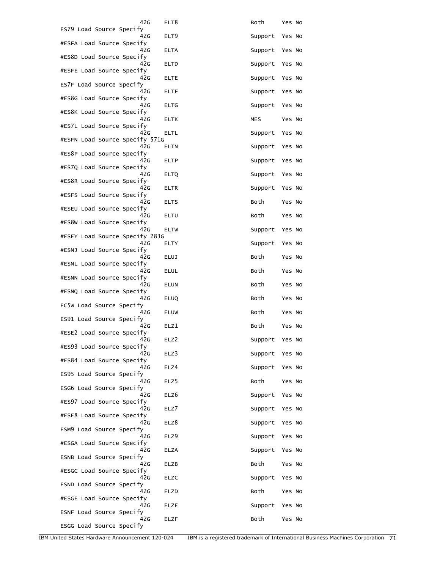| 42G                                   | ELT8             | Both    | Yes No |
|---------------------------------------|------------------|---------|--------|
| ES79 Load Source Specify<br>42G       | ELT <sub>9</sub> | Support | Yes No |
| #ESFA Load Source Specify<br>42G      | <b>ELTA</b>      | Support | Yes No |
| #ES8D Load Source Specify<br>42G      | ELTD             | Support | Yes No |
| #ESFE Load Source Specify<br>42G      | <b>ELTE</b>      | Support | Yes No |
| ES7F Load Source Specify<br>42G       | ELTF             | Support | Yes No |
| #ES8G Load Source Specify<br>42G      | <b>ELTG</b>      | Support | Yes No |
| #ES8K Load Source Specify<br>42G      | <b>ELTK</b>      | MES     | Yes No |
| #ES7L Load Source Specify             |                  |         |        |
| 42G<br>#ESFN Load Source Specify 571G | ELTL             | Support | Yes No |
| 42G<br>#ES8P Load Source Specify      | ELTN             | Support | Yes No |
| 42G<br>#ES7Q Load Source Specify      | <b>ELTP</b>      | Support | Yes No |
| 42G<br>#ES8R Load Source Specify      | <b>ELTQ</b>      | Support | Yes No |
| 42G<br>#ESFS Load Source Specify      | <b>ELTR</b>      | Support | Yes No |
| 42G<br>#ESEU Load Source Specify      | <b>ELTS</b>      | Both    | Yes No |
| 42G<br>#ES8W Load Source Specify      | ELTU             | Both    | Yes No |
| 42G<br>#ESEY Load Source Specify 283G | ELTW             | Support | Yes No |
| 42G                                   | ELTY             | Support | Yes No |
| #ESNJ Load Source Specify<br>42G      | <b>ELUJ</b>      | Both    | Yes No |
| #ESNL Load Source Specify<br>42G      | <b>ELUL</b>      | Both    | Yes No |
| #ESNN Load Source Specify<br>42G      | ELUN             | Both    | Yes No |
| #ESNQ Load Source Specify<br>42G      | ELUQ             | Both    | Yes No |
| EC5W Load Source Specify<br>42G       | <b>ELUW</b>      | Both    | Yes No |
| ES91 Load Source Specify<br>42G       | ELZ1             | Both    | Yes No |
| #ESE2 Load Source Specify<br>42G      | ELZ2             | Support | Yes No |
| #ES93 Load Source Specify<br>42G      | ELZ3             | Support | Yes No |
| #ES84 Load Source Specify<br>42G      | ELZ4             | Support | Yes No |
| ES95 Load Source Specify<br>42G       | ELZ5             | Both    | Yes No |
| ESG6 Load Source Specify<br>42G       | ELZ6             | Support | Yes No |
| #ES97 Load Source Specify             |                  |         |        |
| 42G<br>#ESE8 Load Source Specify      | ELZ7             | Support | Yes No |
| 42G<br>ESM9 Load Source Specify       | ELZ8             | Support | Yes No |
| 42G<br>#ESGA Load Source Specify      | ELZ9             | Support | Yes No |
| 42G<br>ESNB Load Source Specify       | <b>ELZA</b>      | Support | Yes No |
| 42G<br>#ESGC Load Source Specify      | ELZB             | Both    | Yes No |
| 42G<br>ESND Load Source Specify       | ELZC             | Support | Yes No |
| 42G<br>#ESGE Load Source Specify      | ELZD             | Both    | Yes No |
| 42G<br>ESNF Load Source Specify       | <b>ELZE</b>      | Support | Yes No |
| 42G<br>ESGG Load Source Specify       | ELZF             | Both    | Yes No |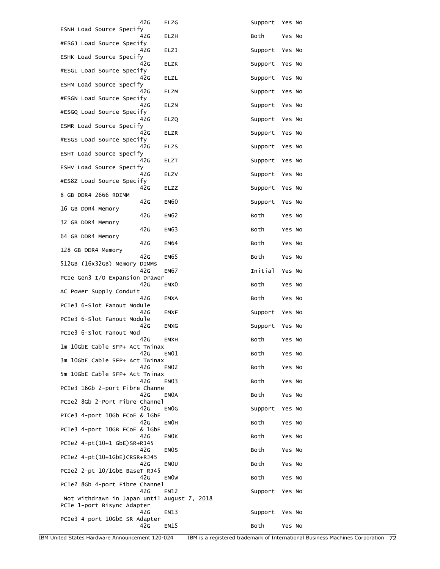|                                                                           | 42G | ELZG              | Support            | Yes No |  |
|---------------------------------------------------------------------------|-----|-------------------|--------------------|--------|--|
| ESNH Load Source Specify                                                  | 42G | ELZH              | Both               | Yes No |  |
| #ESGJ Load Source Specify                                                 | 42G | ELZJ              | Support            | Yes No |  |
| ESHK Load Source Specify                                                  | 42G | ELZK              | Support            | Yes No |  |
| #ESGL Load Source Specify                                                 | 42G | ELZL              | Support            | Yes No |  |
| ESHM Load Source Specify                                                  | 42G | <b>ELZM</b>       |                    | Yes No |  |
| #ESGN Load Source Specify                                                 | 42G | ELZN              | Support<br>Support | Yes No |  |
| #ESGQ Load Source Specify                                                 | 42G | ELZQ              | Support            | Yes No |  |
| ESMR Load Source Specify                                                  | 42G | ELZR              | Support            | Yes No |  |
| #ESGS Load Source Specify                                                 | 42G | ELZS              | Support            | Yes No |  |
| ESHT Load Source Specify                                                  | 42G | ELZT              |                    |        |  |
| ESHV Load Source Specify                                                  | 42G |                   | Support            | Yes No |  |
| #ES8Z Load Source Specify                                                 |     | ELZV              | Support            | Yes No |  |
| 8 GB DDR4 2666 RDIMM                                                      | 42G | ELZZ              | Support            | Yes No |  |
| 16 GB DDR4 Memory                                                         | 42G | <b>EM60</b>       | Support            | Yes No |  |
| 32 GB DDR4 Memory                                                         | 42G | <b>EM62</b>       | Both               | Yes No |  |
| 64 GB DDR4 Memory                                                         | 42G | <b>EM63</b>       | Both               | Yes No |  |
| 128 GB DDR4 Memory                                                        | 42G | <b>EM64</b>       | Both               | Yes No |  |
| 512GB (16x32GB) Memory DIMMs                                              | 42G | EM65              | Both               | Yes No |  |
| PCIe Gen3 I/O Expansion Drawer                                            | 42G | <b>EM67</b>       | Initial            | Yes No |  |
| AC Power Supply Conduit                                                   | 42G | EMX0              | Both               | Yes No |  |
| PCIe3 6-Slot Fanout Module                                                | 42G | <b>EMXA</b>       | Both               | Yes No |  |
| PCIe3 6-Slot Fanout Module                                                | 42G | EMXF              | Support            | Yes No |  |
| PCIe3 6-Slot Fanout Mod                                                   | 42G | <b>EMXG</b>       | Support            | Yes No |  |
| 1m 10GbE Cable SFP+ Act Twinax                                            | 42G | <b>EMXH</b>       | Both               | Yes No |  |
| 3m 10GbE Cable SFP+ Act Twinax                                            | 42G | EN01              | Both               | Yes No |  |
|                                                                           | 42G | <b>EN02</b>       | Both               | Yes No |  |
| 5m 10GbE Cable SFP+ Act Twinax                                            | 42G | EN <sub>03</sub>  | Both               | Yes No |  |
| PCIe3 16Gb 2-port Fibre Channe                                            | 42G | EN0A              | Both               | Yes No |  |
| PCIe2 8Gb 2-Port Fibre Channel                                            | 42G | EN <sub>O</sub> G | Support            | Yes No |  |
| PICe3 4-port 10Gb FCoE & 1GbE                                             | 42G | <b>ENOH</b>       | Both               | Yes No |  |
| PCIe3 4-port 10GB FCoE & 1GbE                                             | 42G | <b>ENOK</b>       | Both               | Yes No |  |
| PCIe2 4-pt(10+1 GbE)SR+RJ45                                               | 42G | EN <sub>O</sub> S | Both               | Yes No |  |
| PCIe2 4-pt(10+1GbE)CRSR+RJ45                                              | 42G | EN <sub>OU</sub>  | Both               | Yes No |  |
| PCIe2 2-pt 10/1GbE BaseT RJ45                                             | 42G | <b>ENOW</b>       | Both               | Yes No |  |
| PCIe2 8Gb 4-port Fibre Channel                                            | 42G | <b>EN12</b>       | Support            | Yes No |  |
| Not withdrawn in Japan until August 7, 2018<br>PCIe 1-port Bisync Adapter |     |                   |                    |        |  |
| PCIe3 4-port 10GbE SR Adapter                                             | 42G | EN13              | Support            | Yes No |  |
|                                                                           | 42G | EN15              | Both               | Yes No |  |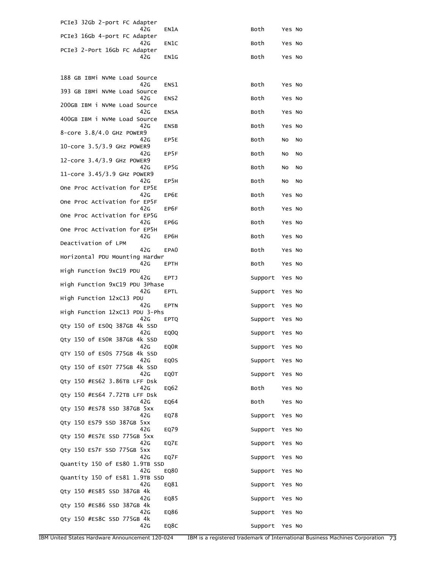| PCIe3 32Gb 2-port FC Adapter          |                  |         |        |           |
|---------------------------------------|------------------|---------|--------|-----------|
| 42G<br>PCIe3 16Gb 4-port FC Adapter   | EN1A             | Both    | Yes No |           |
| 42G<br>PCIe3 2-Port 16Gb FC Adapter   | EN1C             | Both    | Yes No |           |
| 42G                                   | EN1G             | Both    | Yes No |           |
|                                       |                  |         |        |           |
| 188 GB IBMi NVMe Load Source<br>42G   | ENS1             | Both    | Yes No |           |
| 393 GB IBM1 NVMe Load Source<br>42G   | ENS <sub>2</sub> | Both    | Yes No |           |
| 200GB IBM i NVMe Load Source<br>42G   | <b>ENSA</b>      | Both    | Yes No |           |
| 400GB IBM i NVMe Load Source<br>42G   | <b>ENSB</b>      | Both    | Yes No |           |
| $8$ -core $3.8/4.0$ GHz POWER9<br>42G | EP5E             | Both    | NO     | No        |
| 10-core 3.5/3.9 GHz POWER9<br>42G     | EP5F             | Both    | No     | No        |
| 12-core 3.4/3.9 GHz POWER9<br>42G     | EP5G             | Both    | NO     | <b>NO</b> |
| 11-core 3.45/3.9 GHz POWER9<br>42G    | EP5H             | Both    | NO     | No        |
| One Proc Activation for EP5E          |                  |         |        |           |
| 42G<br>One Proc Activation for EP5F   | EP6E             | Both    | Yes No |           |
| 42G<br>One Proc Activation for EP5G   | EP6F             | Both    | Yes No |           |
| 42G<br>One Proc Activation for EP5H   | EP6G             | Both    | Yes No |           |
| 42G<br>Deactivation of LPM            | EP6H             | Both    | Yes No |           |
| 42G<br>Horizontal PDU Mounting Hardwr | EPA0             | Both    | Yes No |           |
| 42G<br>High Function 9xC19 PDU        | <b>EPTH</b>      | Both    | Yes No |           |
| 42G<br>High Function 9xC19 PDU 3Phase | EPTJ             | Support | Yes No |           |
| 42G<br>High Function 12xC13 PDU       | EPTL             | Support | Yes No |           |
| 42G<br>High Function 12xC13 PDU 3-Phs | EPTN             | Support | Yes No |           |
| 42G                                   | <b>EPTQ</b>      | Support | Yes No |           |
| Qty 150 of ESOQ 387GB 4k SSD<br>42G   | EQ0Q             | Support | Yes No |           |
| Qty 150 of ESOR 387GB 4k SSD<br>42G   | EQ0R             | Support | Yes No |           |
| QTY 150 of ES0S 775GB 4k SSD<br>42G   | EQ0S             | Support | Yes No |           |
| Qty 150 of ESOT 775GB 4k SSD<br>42G   | EQ0T             | Support | Yes No |           |
| Qty 150 #ES62 3.86TB LFF Dsk<br>42G   | EQ62             | Both    | Yes No |           |
| Qty 150 #ES64 7.72TB LFF Dsk<br>42G   | EQ64             | Both    | Yes No |           |
| Qty 150 #ES78 SSD 387GB 5xx<br>42G    | EQ78             | Support | Yes No |           |
| Qty 150 ES79 SSD 387GB 5xx<br>42G     | EQ79             | Support | Yes No |           |
| Qty 150 #ES7E SSD 775GB 5xx<br>42G    |                  |         |        |           |
| Qty 150 ES7F SSD 775GB 5xx            | EQ7E             | Support | Yes No |           |
| 42G<br>Quantity 150 of ES80 1.9TB SSD | EQ7F             | Support | Yes No |           |
| 42G<br>Quantity 150 of ES81 1.9TB SSD | EQ80             | Support | Yes No |           |
| 42G<br>Qty 150 #ES85 SSD 387GB 4k     | EQ81             | Support | Yes No |           |
| 42G<br>Qty 150 #ES86 SSD 387GB 4k     | EQ85             | Support | Yes No |           |
| 42G<br>Qty 150 #ES8C SSD 775GB 4k     | EQ86             | Support | Yes No |           |
| 42G                                   | EQ8C             | Support | Yes No |           |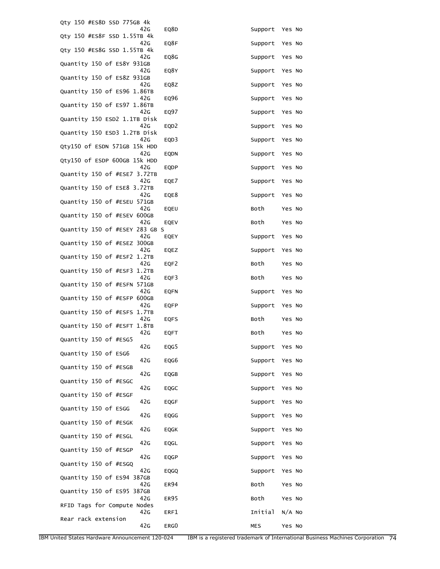| Qty 150 #ES8D SSD 775GB 4k            |                  |         |          |
|---------------------------------------|------------------|---------|----------|
| 42G<br>Qty 150 #ES8F SSD 1.55TB 4k    | EQ8D             | Support | Yes No   |
| 42G                                   | EQ8F             | Support | Yes No   |
| Qty 150 #ES8G SSD 1.55TB 4k<br>42G    | EQ8G             | Support | Yes No   |
| Quantity 150 of ES8Y 931GB<br>42G     | EQ8Y             | Support | Yes No   |
| Quantity 150 of ES8Z 931GB<br>42G     | EQ8Z             | Support | Yes No   |
| Quantity 150 of ES96 1.86TB<br>42G    | EQ96             | Support | Yes No   |
| Quantity 150 of ES97 1.86TB<br>42G    | EQ97             | Support | Yes No   |
| Quantity 150 ESD2 1.1TB Disk<br>42G   | EQD <sub>2</sub> | Support | Yes No   |
| Quantity 150 ESD3 1.2TB Disk<br>42G   | EQD3             | Support | Yes No   |
| Qty150 of ESDN 571GB 15k HDD          |                  |         |          |
| 42G<br>Qty150 of ESDP 600GB 15k HDD   | EQDN             | Support | Yes No   |
| 42G<br>Quantity 150 of #ESE7 3.72TB   | <b>EQDP</b>      | Support | Yes No   |
| 42G<br>Quantity 150 of ESE8 3.72TB    | EQE7             | Support | Yes No   |
| 42G<br>Quantity 150 of #ESEU 571GB    | EQE8             | Support | Yes No   |
| 42G<br>Quantity 150 of #ESEV 600GB    | EQEU             | Both    | Yes No   |
| 42G<br>Quantity 150 of #ESEY 283 GB S | EQEV             | Both    | Yes No   |
| 42G<br>Quantity 150 of #ESEZ 300GB    | EQEY             | Support | Yes No   |
| 42G                                   | EQEZ             | Support | Yes No   |
| Quantity 150 of #ESF2 1.2TB<br>42G    | EQF2             | Both    | Yes No   |
| Quantity 150 of #ESF3 1.2TB<br>42G    | EQF3             | Both    | Yes No   |
| Quantity 150 of #ESFN 571GB<br>42G    | <b>EQFN</b>      | Support | Yes No   |
| Quantity 150 of #ESFP 600GB<br>42G    | <b>EQFP</b>      | Support | Yes No   |
| Quantity 150 of #ESFS 1.7TB<br>42G    | <b>EQFS</b>      | Both    | Yes No   |
| Quantity 150 of #ESFT 1.8TB<br>42G    | <b>EQFT</b>      | Both    | Yes No   |
| Quantity 150 of #ESG5<br>42G          |                  |         |          |
| Quantity 150 of ESG6                  | EQG5             | Support | Yes No   |
| 42G<br>Quantity 150 of #ESGB          | EQG6             | Support | Yes No   |
| 42G<br>Quantity 150 of #ESGC          | EQGB             | Support | Yes No   |
| 42G<br>Quantity 150 of #ESGF          | <b>EQGC</b>      | Support | Yes No   |
| 42G<br>Quantity 150 of ESGG           | <b>EQGF</b>      | Support | Yes No   |
| 42G<br>Quantity 150 of #ESGK          | EQGG             | Support | Yes No   |
| 42G<br>Quantity 150 of #ESGL          | EQGK             | Support | Yes No   |
| 42G<br>Quantity 150 of #ESGP          | EQGL             | Support | Yes No   |
| 42G                                   | <b>EQGP</b>      | Support | Yes No   |
| Quantity 150 of #ESGQ<br>42G          | EQGQ             | Support | Yes No   |
| Quantity 150 of ES94 387GB<br>42G     | <b>ER94</b>      | Both    | Yes No   |
| Quantity 150 of ES95 387GB<br>42G     | ER95             | Both    | Yes No   |
| RFID Tags for Compute Nodes<br>42G    | ERF1             | Initial | $N/A$ No |
| Rear rack extension<br>42G            | ERG0             | MES     | Yes No   |
|                                       |                  |         |          |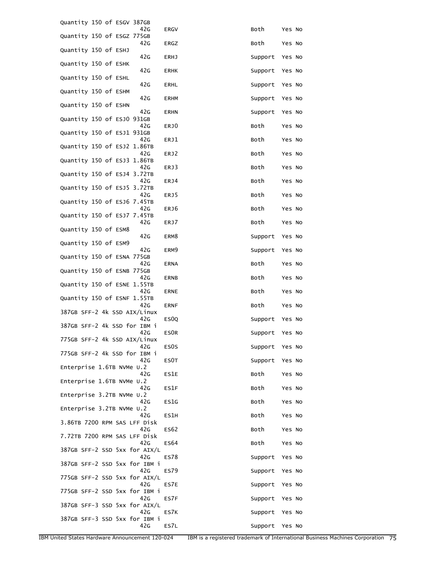| Quantity 150 of ESGV 387GB<br>42G    |                   |                |                  |
|--------------------------------------|-------------------|----------------|------------------|
| Quantity 150 of ESGZ 775GB<br>42G    | ERGV<br>ERGZ      | Both<br>Both   | Yes No<br>Yes No |
| Quantity 150 of ESHJ                 |                   |                |                  |
| 42G<br>Quantity 150 of ESHK          | <b>ERHJ</b>       | Support        | Yes No           |
| 42G<br>Quantity 150 of ESHL          | <b>ERHK</b>       | Support        | Yes No           |
| 42G<br>Quantity 150 of ESHM          | ERHL              | Support        | Yes No           |
| 42G<br>Quantity 150 of ESHN          | <b>ERHM</b>       | Support        | Yes No           |
| 42G<br>Quantity 150 of ESJ0 931GB    | <b>ERHN</b>       | Support        | Yes No           |
| 42G<br>Quantity 150 of ESJ1 931GB    | ERJ0              | Both           | Yes No           |
| 42G<br>Quantity 150 of ESJ2 1.86TB   | ERJ1              | Both           | Yes No           |
| 42G                                  | ERJ2              | Both           | Yes No           |
| Quantity 150 of ESJ3 1.86TB<br>42G   | ERJ3              | Both           | Yes No           |
| Quantity 150 of ESJ4 3.72TB<br>42G   | ERJ4              | Both           | Yes No           |
| Quantity 150 of ESJ5 3.72TB<br>42G   | ERJ5              | Both           | Yes No           |
| Quantity 150 of ESJ6 7.45TB          |                   |                |                  |
| 42G<br>Quantity 150 of ESJ7 7.45TB   | ERJ6              | Both           | Yes No           |
| 42G<br>Quantity 150 of ESM8          | ERJ7              | Both           | Yes No           |
| 42G<br>Quantity 150 of ESM9          | ERM8              | Support        | Yes No           |
| 42G<br>Quantity 150 of ESNA 775GB    | ERM9              | Support        | Yes No           |
| 42G<br>Quantity 150 of ESNB 775GB    | <b>ERNA</b>       | Both           | Yes No           |
| 42G<br>Quantity 150 of ESNE 1.55TB   | ERNB              | Both           | Yes No           |
| 42G<br>Quantity 150 of ESNF 1.55TB   | <b>ERNE</b>       | Both           | Yes No           |
| 42G<br>387GB SFF-2 4k SSD AIX/Linux  | <b>ERNF</b>       | Both           | Yes No           |
| 42G<br>387GB SFF-2 4k SSD for IBM i  | ES <sub>0</sub>   | Support        | Yes No           |
| 42G<br>775GB SFF-2 4k SSD AIX/Linux  | ES0R              | Support        | Yes No           |
| 42G                                  | ES <sub>0</sub> S | Support        | Yes No           |
| 775GB SFF-2 4k SSD for IBM i<br>42G  | ES0T              | Support        | Yes No           |
| Enterprise 1.6TB NVMe U.2<br>42G     | ES1E              | Both           | Yes No           |
| Enterprise 1.6TB NVMe U.2<br>42G     | ES1F              | Both           | Yes No           |
| Enterprise 3.2TB NVMe U.2<br>42G     | ES1G              | Both           | Yes No           |
| Enterprise 3.2TB NVMe U.2            |                   |                |                  |
| 42G<br>3.86TB 7200 RPM SAS LFF Disk  | ES1H              | Both           | Yes No           |
| 42G<br>7.72TB 7200 RPM SAS LFF Disk  | ES <sub>62</sub>  | Both           | Yes No           |
| 42G<br>387GB SFF-2 SSD 5xx for AIX/L | ES64              | Both           | Yes No           |
| 42G<br>387GB SFF-2 SSD 5xx for IBM i | ES78              | Support        | Yes No           |
| 42G<br>775GB SFF-2 SSD 5xx for AIX/L | <b>ES79</b>       | Support        | Yes No           |
| 42G                                  | ES7E              | Support        | Yes No           |
| 775GB SFF-2 SSD 5xx for IBM i<br>42G | ES7F              | Support        | Yes No           |
| 387GB SFF-3 SSD 5xx for AIX/L<br>42G | ES7K              | Support        | Yes No           |
| 387GB SFF-3 SSD 5xx for IBM i<br>42G | ES7L              | Support Yes No |                  |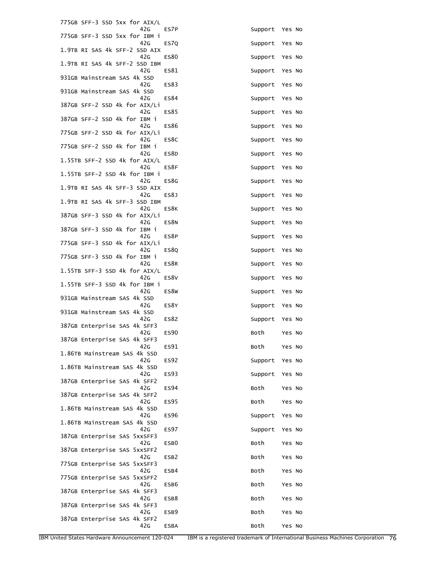| 775GB SFF-3 SSD 5xx for AIX/L        |                  |                |        |
|--------------------------------------|------------------|----------------|--------|
| 42G<br>775GB SFF-3 SSD 5xx for IBM i | ES7P             | Support Yes No |        |
| 42G<br>1.9TB RI SAS 4k SFF-2 SSD AIX | ES7Q             | Support        | Yes No |
| 42G<br>1.9TB RI SAS 4k SFF-2 SSD IBM | ES80             | Support        | Yes No |
| 42G<br>931GB Mainstream SAS 4k SSD   | ES81             | Support        | Yes No |
| 42G<br>931GB Mainstream SAS 4k SSD   | ES83             | Support        | Yes No |
| 42G<br>387GB SFF-2 SSD 4k for AIX/Li | ES84             | Support        | Yes No |
| 42G<br>387GB SFF-2 SSD 4k for IBM i  | ES85             | Support        | Yes No |
| 42G<br>775GB SFF-2 SSD 4k for AIX/Li | ES86             | Support        | Yes No |
| 42G<br>775GB SFF-2 SSD 4k for IBM i  | ES8C             | Support        | Yes No |
| 42G<br>1.55TB SFF-2 SSD 4k for AIX/L | ES8D             | Support        | Yes No |
| 42G<br>1.55TB SFF-2 SSD 4k for IBM i | ES8F             | Support        | Yes No |
| 42G<br>1.9TB RI SAS 4k SFF-3 SSD AIX | ES8G             | Support        | Yes No |
| 42G<br>1.9TB RI SAS 4k SFF-3 SSD IBM | ES8J             | Support        | Yes No |
| 42G<br>387GB SFF-3 SSD 4k for AIX/Li | ES8K             | Support        | Yes No |
| 42G<br>387GB SFF-3 SSD 4k for IBM i  | ES8N             | Support        | Yes No |
| 42G<br>775GB SFF-3 SSD 4k for AIX/Li | ES8P             | Support        | Yes No |
| 42G<br>775GB SFF-3 SSD 4k for IBM i  | ES8Q             | Support        | Yes No |
| 42G<br>1.55TB SFF-3 SSD 4k for AIX/L | ES8R             | Support        | Yes No |
| 42G<br>1.55TB SFF-3 SSD 4k for IBM i | ES8V             | Support        | Yes No |
| 42G<br>931GB Mainstream SAS 4k SSD   | ES8W             | Support        | Yes No |
| 42G<br>931GB Mainstream SAS 4k SSD   | ES8Y             | Support        | Yes No |
| 42G<br>387GB Enterprise SAS 4k SFF3  | ES8Z             | Support        | Yes No |
| 42G<br>387GB Enterprise SAS 4k SFF3  | <b>ES90</b>      | Both           | Yes No |
| 42G<br>1.86TB Mainstream SAS 4k SSD  | ES91             | Both           | Yes No |
| 42G<br>1.86TB Mainstream SAS 4k SSD  | <b>ES92</b>      | Support        | Yes No |
| 42G<br>387GB Enterprise SAS 4k SFF2  | <b>ES93</b>      | Support        | Yes No |
| 42G<br>387GB Enterprise SAS 4k SFF2  | <b>ES94</b>      | Both           | Yes No |
| 42G<br>1.86TB Mainstream SAS 4k SSD  | ES95             | Both           | Yes No |
| 42G<br>1.86TB Mainstream SAS 4k SSD  | <b>ES96</b>      | Support        | Yes No |
| 42G<br>387GB Enterprise SAS 5xxSFF3  | <b>ES97</b>      | Support        | Yes No |
| 42G<br>387GB Enterprise SAS 5xxSFF2  | ESB <sub>0</sub> | Both           | Yes No |
| 42G<br>775GB Enterprise SAS 5xxSFF3  | ESB <sub>2</sub> | Both           | Yes No |
| 42G<br>775GB Enterprise SAS 5xxSFF2  | ESB4             | Both           | Yes No |
| 42G<br>387GB Enterprise SAS 4k SFF3  | ESB6             | Both           | Yes No |
| 42G<br>387GB Enterprise SAS 4k SFF3  | ESB8             | Both           | Yes No |
| 42G<br>387GB Enterprise SAS 4k SFF2  | ESB9             | Both           | Yes No |
| 42G                                  | <b>ESBA</b>      | Both           | Yes No |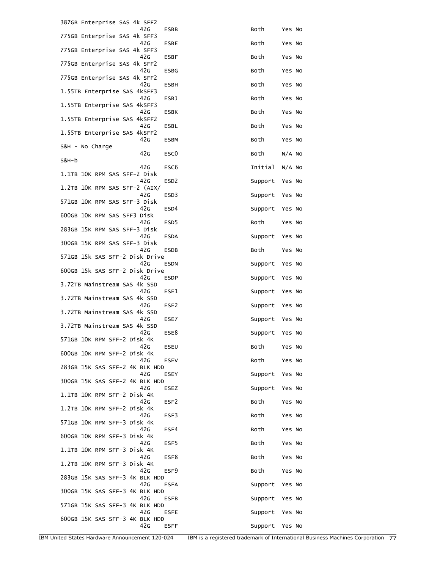| 387GB Enterprise SAS 4k SFF2          |                  |         |          |
|---------------------------------------|------------------|---------|----------|
| 42G<br>775GB Enterprise SAS 4k SFF3   | <b>ESBB</b>      | Both    | Yes No   |
| 42G<br>775GB Enterprise SAS 4k SFF3   | <b>ESBE</b>      | Both    | Yes No   |
| 42G<br>775GB Enterprise SAS 4k SFF2   | <b>ESBF</b>      | Both    | Yes No   |
| 42G<br>775GB Enterprise SAS 4k SFF2   | <b>ESBG</b>      | Both    | Yes No   |
| 42G<br>1.55TB Enterprise SAS 4kSFF3   | <b>ESBH</b>      | Both    | Yes No   |
| 42G<br>1.55TB Enterprise SAS 4kSFF3   | <b>ESBJ</b>      | Both    | Yes No   |
| 42G<br>1.55TB Enterprise SAS 4kSFF2   | <b>ESBK</b>      | Both    | Yes No   |
| 42G<br>1.55TB Enterprise SAS 4kSFF2   | ESBL             | Both    | Yes No   |
| 42G<br>S&H - No Charge                | <b>ESBM</b>      | Both    | Yes No   |
| 42G<br>S&H-b                          | ESC <sub>0</sub> | Both    | $N/A$ NO |
| 42G                                   | ESC <sub>6</sub> | Initial | $N/A$ No |
| 1.1TB 10K RPM SAS SFF-2 Disk<br>42G   | ESD <sub>2</sub> | Support | Yes No   |
| 1.2TB 10K RPM SAS SFF-2 (AIX/<br>42G  | ESD3             | Support | Yes No   |
| 571GB 10K RPM SAS SFF-3 Disk<br>42G   | ESD4             | Support | Yes No   |
| 600GB 10K RPM SAS SFF3 Disk<br>42G    | ESD <sub>5</sub> | Both    | Yes No   |
| 283GB 15K RPM SAS SFF-3 Disk<br>42G   | <b>ESDA</b>      | Support | Yes No   |
| 300GB 15K RPM SAS SFF-3 Disk<br>42G   | <b>ESDB</b>      | Both    | Yes No   |
| 571GB 15k SAS SFF-2 Disk Drive<br>42G | ESDN             | Support | Yes No   |
| 600GB 15k SAS SFF-2 Disk Drive<br>42G | <b>ESDP</b>      | Support | Yes No   |
| 3.72TB Mainstream SAS 4k SSD<br>42G   | ESE1             | Support | Yes No   |
| 3.72TB Mainstream SAS 4k SSD<br>42G   |                  |         |          |
| 3.72TB Mainstream SAS 4k SSD          | ESE2             | Support | Yes No   |
| 42G<br>3.72TB Mainstream SAS 4k SSD   | ESE7             | Support | Yes No   |
| 42G<br>571GB 10K RPM SFF-2 Disk 4K    | ESE8             | Support | Yes No   |
| 42G<br>600GB 10K RPM SFF-2 Disk 4K    | ESEU             | Both    | Yes No   |
| 42G<br>283GB 15K SAS SFF-2 4K BLK HDD | <b>ESEV</b>      | Both    | Yes No   |
| 42G<br>300GB 15K SAS SFF-2 4K BLK HDD | ESEY             | Support | Yes No   |
| 42G<br>1.1TB 10K RPM SFF-2 Disk 4K    | <b>ESEZ</b>      | Support | Yes No   |
| 42G<br>1.2TB 10K RPM SFF-2 Disk 4K    | ESF <sub>2</sub> | Both    | Yes No   |
| 42G<br>571GB 10K RPM SFF-3 Disk 4K    | ESF3             | Both    | Yes No   |
| 42G<br>600GB 10K RPM SFF-3 Disk 4K    | ESF4             | Both    | Yes No   |
| 42G<br>1.1TB 10K RPM SFF-3 Disk 4K    | ESF5             | Both    | Yes No   |
| 42G<br>1.2TB 10K RPM SFF-3 Disk 4K    | ESF8             | Both    | Yes No   |
| 42G<br>283GB 15K SAS SFF-3 4K BLK HDD | ESF9             | Both    | Yes No   |
| 42G<br>300GB 15K SAS SFF-3 4K BLK HDD | <b>ESFA</b>      | Support | Yes No   |
| 42G                                   | <b>ESFB</b>      | Support | Yes No   |
| 571GB 15K SAS SFF-3 4K BLK HDD<br>42G | ESFE             | Support | Yes No   |
| 600GB 15K SAS SFF-3 4K BLK HDD<br>42G | <b>ESFF</b>      | Support | Yes No   |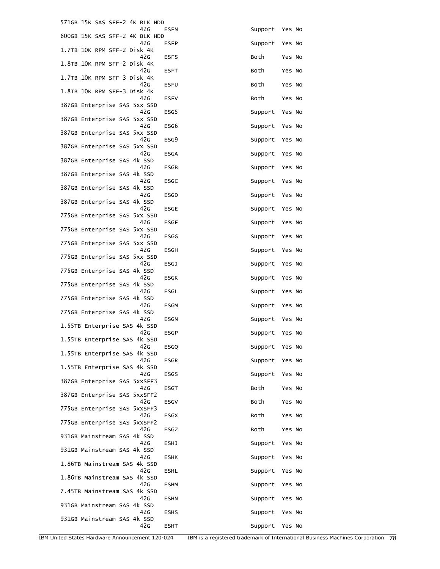| 571GB 15K SAS SFF-2 4K BLK HDD                  |             |         |        |
|-------------------------------------------------|-------------|---------|--------|
| 42G<br>600GB 15K SAS SFF-2 4K BLK HDD           | <b>ESFN</b> | Support | Yes No |
| 42G<br>1.7TB 10K RPM SFF-2 Disk 4K              | ESFP        | Support | Yes No |
| 42G<br>1.8TB 10K RPM SFF-2 Disk 4K              | <b>ESFS</b> | Both    | Yes No |
| 42G<br>1.7TB 10K RPM SFF-3 Disk 4K              | <b>ESFT</b> | Both    | Yes No |
| 42G<br>1.8TB 10K RPM SFF-3 Disk 4K              | <b>ESFU</b> | Both    | Yes No |
| 42G<br>387GB Enterprise SAS 5xx SSD             | <b>ESFV</b> | Both    | Yes No |
| 42G<br>387GB Enterprise SAS 5xx SSD             | ESG5        | Support | Yes No |
| 42 <sub>G</sub><br>387GB Enterprise SAS 5xx SSD | ESG6        | Support | Yes No |
| 42 <sub>G</sub><br>387GB Enterprise SAS 5xx SSD | ESG9        | Support | Yes No |
| 42G                                             | <b>ESGA</b> | Support | Yes No |
| 387GB Enterprise SAS 4k SSD<br>42G              | <b>ESGB</b> | Support | Yes No |
| 387GB Enterprise SAS 4k SSD<br>42G              | <b>ESGC</b> | Support | Yes No |
| 387GB Enterprise SAS 4k SSD<br>42G              | <b>ESGD</b> | Support | Yes No |
| 387GB Enterprise SAS 4k SSD<br>42G              | <b>ESGE</b> | Support | Yes No |
| 775GB Enterprise SAS 5xx SSD<br>42G             | <b>ESGF</b> | Support | Yes No |
| 775GB Enterprise SAS 5xx SSD<br>42G             | <b>ESGG</b> | Support | Yes No |
| 775GB Enterprise SAS 5xx SSD<br>42G             | ESGH        | Support | Yes No |
| 775GB Enterprise SAS 5xx SSD<br>42G             | <b>ESGJ</b> | Support | Yes No |
| 775GB Enterprise SAS 4k SSD<br>42G              | <b>ESGK</b> | Support | Yes No |
| 775GB Enterprise SAS 4k SSD<br>42G              | ESGL        | Support | Yes No |
| 775GB Enterprise SAS 4k SSD<br>42G              | <b>ESGM</b> | Support | Yes No |
| 775GB Enterprise SAS 4k SSD<br>42G              | ESGN        | Support | Yes No |
| 1.55TB Enterprise SAS 4k SSD<br>42G             | <b>ESGP</b> | Support | Yes No |
| 1.55TB Enterprise SAS 4k SSD<br>42G             | <b>ESGQ</b> | Support | Yes No |
| 1.55TB Enterprise SAS 4k SSD<br>42G             | <b>ESGR</b> | Support | Yes No |
| 1.55TB Enterprise SAS 4k SSD<br>42G             | <b>ESGS</b> | Support | Yes No |
| 387GB Enterprise SAS 5xxSFF3<br>42G             |             | Both    |        |
| 387GB Enterprise SAS 5xxSFF2                    | <b>ESGT</b> |         | Yes No |
| 42G<br>775GB Enterprise SAS 5xxSFF3             | <b>ESGV</b> | Both    | Yes No |
| 42G<br>775GB Enterprise SAS 5xxSFF2             | ESGX        | Both    | Yes No |
| 42G<br>931GB Mainstream SAS 4k SSD              | ESGZ        | Both    | Yes No |
| 42G<br>931GB Mainstream SAS 4k SSD              | ESHJ        | Support | Yes No |
| 42G<br>1.86TB Mainstream SAS 4k SSD             | <b>ESHK</b> | Support | Yes No |
| 42G<br>1.86TB Mainstream SAS 4k SSD             | <b>ESHL</b> | Support | Yes No |
| 42G<br>7.45TB Mainstream SAS 4k SSD             | <b>ESHM</b> | Support | Yes No |
| 42G<br>931GB Mainstream SAS 4k SSD              | <b>ESHN</b> | Support | Yes No |
| 42G<br>931GB Mainstream SAS 4k SSD              | <b>ESHS</b> | Support | Yes No |
| 42G                                             | <b>ESHT</b> | Support | Yes No |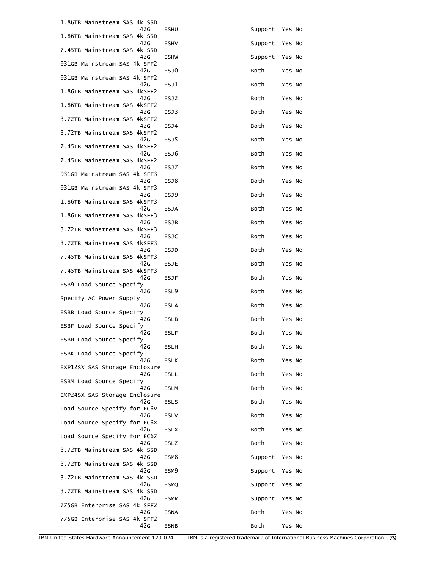| 1.86TB Mainstream SAS 4k SSD                                     |                  |         |        |
|------------------------------------------------------------------|------------------|---------|--------|
| 42G<br>1.86TB Mainstream SAS 4k SSD                              | <b>ESHU</b>      | Support | Yes No |
| 42G<br>7.45TB Mainstream SAS 4k SSD                              | <b>ESHV</b>      | Support | Yes No |
| 42G<br>931GB Mainstream SAS 4k SFF2                              | <b>ESHW</b>      | Support | Yes No |
| 42G<br>931GB Mainstream SAS 4k SFF2                              | ESJ0             | Both    | Yes No |
| 42G<br>1.86TB Mainstream SAS 4kSFF2                              | ESJ1             | Both    | Yes No |
| 42G<br>1.86TB Mainstream SAS 4kSFF2                              | ESJ2             | Both    | Yes No |
| 42G<br>3.72TB Mainstream SAS 4kSFF2                              | ESJ3             | Both    | Yes No |
| 42G<br>3.72TB Mainstream SAS 4kSFF2                              | ESJ4             | Both    | Yes No |
| 42G<br>7.45TB Mainstream SAS 4kSFF2                              | ESJ5             | Both    | Yes No |
| 42 <sub>G</sub><br>7.45TB Mainstream SAS 4kSFF2                  | ESJ6             | Both    | Yes No |
| 42G<br>931GB Mainstream SAS 4k SFF3                              | ESJ7             | Both    | Yes No |
| 42G<br>931GB Mainstream SAS 4k SFF3                              | ESJ8             | Both    | Yes No |
| 42G<br>1.86TB Mainstream SAS 4kSFF3                              | ESJ9             | Both    | Yes No |
| 42G<br>1.86TB Mainstream SAS 4kSFF3                              | <b>ESJA</b>      | Both    | Yes No |
| 42 <sub>G</sub><br>3.72TB Mainstream SAS 4kSFF3                  | <b>ESJB</b>      | Both    | Yes No |
| 42G<br>3.72TB Mainstream SAS 4kSFF3                              | <b>ESJC</b>      | Both    | Yes No |
| 42 <sub>G</sub><br>7.45TB Mainstream SAS 4kSFF3                  | ESJD             | Both    | Yes No |
| 42G<br>7.45TB Mainstream SAS 4kSFF3                              | ESJE             | Both    | Yes No |
| 42G<br>ESB9 Load Source Specify                                  | <b>ESJF</b>      | Both    | Yes No |
| 42G<br>Specify AC Power Supply                                   | ESL9             | Both    | Yes No |
| 42G<br>ESBB Load Source Specify                                  | <b>ESLA</b>      | Both    | Yes No |
| 42G<br>ESBF Load Source Specify                                  | ESLB             | Both    | Yes No |
| 42G<br>ESBH Load Source Specify                                  | <b>ESLF</b>      | Both    | Yes No |
| 42G<br>ESBK Load Source Specify                                  | ESLH             | Both    | Yes No |
| 42G                                                              | <b>ESLK</b>      | Both    | Yes No |
| EXP12SX SAS Storage Enclosure<br>42G<br>ESBM Load Source Specify | ESLL             | Both    | Yes No |
| 42G                                                              | <b>ESLM</b>      | Both    | Yes No |
| EXP24SX SAS Storage Enclosure<br>42G                             | <b>ESLS</b>      | Both    | Yes No |
| Load Source Specify for EC6V<br>42G                              | <b>ESLV</b>      | Both    | Yes No |
| Load Source Specify for EC6X<br>42G                              | <b>ESLX</b>      | Both    | Yes No |
| Load Source Specify for EC6Z<br>42G                              | ESLZ             | Both    | Yes No |
| 3.72TB Mainstream SAS 4k SSD<br>42G                              | ESM8             | Support | Yes No |
| 3.72TB Mainstream SAS 4k SSD<br>42G                              | ESM <sub>9</sub> | Support | Yes No |
| 3.72TB Mainstream SAS 4k SSD<br>42G                              | <b>ESMQ</b>      | Support | Yes No |
| 3.72TB Mainstream SAS 4k SSD<br>42G                              | <b>ESMR</b>      | Support | Yes No |
| 775GB Enterprise SAS 4k SFF2<br>42G                              | <b>ESNA</b>      | Both    | Yes No |
| 775GB Enterprise SAS 4k SFF2<br>42G                              | <b>ESNB</b>      | Both    | Yes No |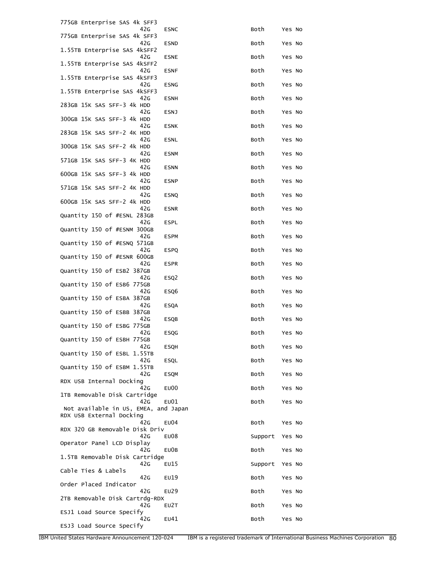| 775GB Enterprise SAS 4k SFF3                                     |                  |         |        |  |
|------------------------------------------------------------------|------------------|---------|--------|--|
| 42G<br>775GB Enterprise SAS 4k SFF3                              | <b>ESNC</b>      | Both    | Yes No |  |
| 42G<br>1.55TB Enterprise SAS 4kSFF2                              | <b>ESND</b>      | Both    | Yes No |  |
| 42G<br>1.55TB Enterprise SAS 4kSFF2                              | <b>ESNE</b>      | Both    | Yes No |  |
| 42G<br>1.55TB Enterprise SAS 4kSFF3                              | <b>ESNF</b>      | Both    | Yes No |  |
| 42G<br>1.55TB Enterprise SAS 4kSFF3                              | <b>ESNG</b>      | Both    | Yes No |  |
| 42G<br>283GB 15K SAS SFF-3 4k HDD                                | <b>ESNH</b>      | Both    | Yes No |  |
| 42G                                                              | ESNJ             | Both    | Yes No |  |
| 300GB 15K SAS SFF-3 4k HDD<br>42G                                | <b>ESNK</b>      | Both    | Yes No |  |
| 283GB 15K SAS SFF-2 4K HDD<br>42G                                | <b>ESNL</b>      | Both    | Yes No |  |
| 300GB 15K SAS SFF-2 4k HDD<br>42G                                | <b>ESNM</b>      | Both    | Yes No |  |
| 571GB 15K SAS SFF-3 4K HDD<br>42G                                | <b>ESNN</b>      | Both    | Yes No |  |
| 600GB 15K SAS SFF-3 4k HDD<br>42G                                |                  |         |        |  |
| 571GB 15K SAS SFF-2 4K HDD                                       | <b>ESNP</b>      | Both    | Yes No |  |
| 42G<br>600GB 15K SAS SFF-2 4k HDD                                | <b>ESNQ</b>      | Both    | Yes No |  |
| 42G<br>Quantity 150 of #ESNL 283GB                               | <b>ESNR</b>      | Both    | Yes No |  |
| 42G<br>Quantity 150 of #ESNM 300GB                               | ESPL             | Both    | Yes No |  |
| 42G                                                              | <b>ESPM</b>      | Both    | Yes No |  |
| Quantity 150 of #ESNQ 571GB<br>42 <sub>G</sub>                   | <b>ESPQ</b>      | Both    | Yes No |  |
| Quantity 150 of #ESNR 600GB<br>42G                               | <b>ESPR</b>      | Both    | Yes No |  |
| Quantity 150 of ESB2 387GB<br>42G                                | ESQ <sub>2</sub> | Both    | Yes No |  |
| Quantity 150 of ESB6 775GB<br>42G                                | ESQ6             | Both    | Yes No |  |
| Quantity 150 of ESBA 387GB                                       |                  |         |        |  |
| 42G<br>Quantity 150 of ESBB 387GB                                | <b>ESQA</b>      | Both    | Yes No |  |
| 42G<br>Quantity 150 of ESBG 775GB                                | ESQB             | Both    | Yes No |  |
| 42G<br>Quantity 150 of ESBH 775GB                                | ESQG             | Both    | Yes No |  |
| 42G<br>Quantity 150 of ESBL 1.55TB                               | ESQH             | Both    | Yes No |  |
| 42G<br>Quantity 150 of ESBM 1.55TB                               | ESQL             | Both    | Yes No |  |
| 42G<br>RDX USB Internal Docking                                  | <b>ESQM</b>      | Both    | Yes No |  |
| 42G                                                              | EU00             | Both    | Yes No |  |
| 1TB Removable Disk Cartridge<br>42G                              | EU01             | Both    | Yes No |  |
| Not available in US, EMEA, and Japan<br>RDX USB External Docking |                  |         |        |  |
| 42G<br>RDX 320 GB Removable Disk Driv                            | EU04             | Both    | Yes No |  |
| 42G<br>Operator Panel LCD Display                                | EU08             | Support | Yes No |  |
| 42G<br>1.5TB Removable Disk Cartridge                            | EU0B             | Both    | Yes No |  |
| 42G                                                              | EU15             | Support | Yes No |  |
| Cable Ties & Labels<br>42G                                       | EU19             | Both    | Yes No |  |
| Order Placed Indicator<br>42G                                    | EU29             | Both    | Yes No |  |
| 2TB Removable Disk Cartrdg-RDX<br>42G                            | EU2T             | Both    | Yes No |  |
| ESJ1 Load Source Specify<br>42G                                  | EU41             | Both    | Yes No |  |
| ESJ3 Load Source Specify                                         |                  |         |        |  |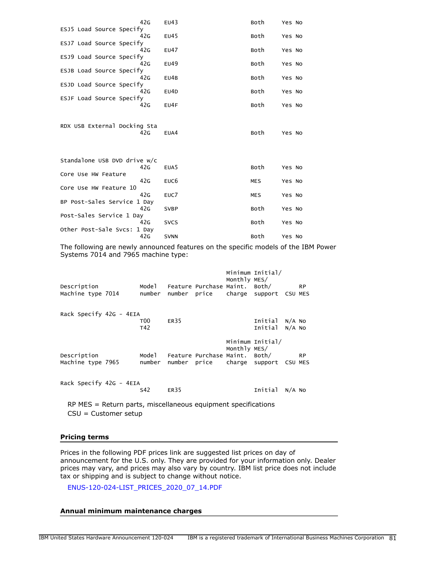|                              | 42G | EU43             | Both       | Yes No |  |
|------------------------------|-----|------------------|------------|--------|--|
| ESJ5 Load Source Specify     | 42G | EU45             | Both       | Yes No |  |
| ESJ7 Load Source Specify     |     |                  |            |        |  |
|                              | 42G | EU47             | Both       | Yes No |  |
| ESJ9 Load Source Specify     | 42G | EU49             | Both       | Yes No |  |
| ESJB Load Source Specify     |     |                  |            |        |  |
|                              | 42G | EU4B             | Both       | Yes No |  |
| ESJD Load Source Specify     | 42G |                  | Both       |        |  |
| ESJF Load Source Specify     |     | EU4D             |            | Yes No |  |
|                              | 42G | EU4F             | Both       | Yes No |  |
|                              |     |                  |            |        |  |
| RDX USB External Docking Sta |     |                  |            |        |  |
|                              | 42G | EUA4             | Both       | Yes No |  |
|                              |     |                  |            |        |  |
|                              |     |                  |            |        |  |
| Standalone USB DVD drive w/c | 42G | EUA <sub>5</sub> | Both       | Yes No |  |
| Core Use HW Feature          |     |                  |            |        |  |
|                              | 42G | EUC <sub>6</sub> | <b>MES</b> | Yes No |  |
| Core Use HW Feature 10       | 42G | EUC7             |            |        |  |
| BP Post-Sales Service 1 Day  |     |                  | <b>MES</b> | Yes No |  |
|                              | 42G | <b>SVBP</b>      | Both       | Yes No |  |
| Post-Sales Service 1 Day     |     |                  |            |        |  |
| Other Post-Sale Svcs: 1 Day  | 42G | <b>SVCS</b>      | Both       | Yes No |  |
|                              | 42G | <b>SVNN</b>      | Both       | Yes No |  |
|                              |     |                  |            |        |  |

The following are newly announced features on the specific models of the IBM Power Systems 7014 and 7965 machine type:

| Description<br>Machine type 7014 | Mode 1<br>number |      | Feature Purchase Maint. Both/<br>number price | Monthly MES/ | Minimum Initial/<br>charge support CSU MES |        | <b>RP</b> |
|----------------------------------|------------------|------|-----------------------------------------------|--------------|--------------------------------------------|--------|-----------|
| Rack Specify 42G - 4EIA          | T00<br>T42       | ER35 |                                               |              | Initial<br>Initial N/A No                  | N/A NO |           |
| Description<br>Machine type 7965 | Model<br>number  |      | Feature Purchase Maint. Both/<br>number price | Monthly MES/ | Minimum Initial/<br>charge support CSU MES |        | <b>RP</b> |
| Rack Specify 42G - 4EIA          | S42              | ER35 |                                               |              | Initial                                    | N/A NO |           |

RP MES = Return parts, miscellaneous equipment specifications CSU = Customer setup

## **Pricing terms**

Prices in the following PDF prices link are suggested list prices on day of announcement for the U.S. only. They are provided for your information only. Dealer prices may vary, and prices may also vary by country. IBM list price does not include tax or shipping and is subject to change without notice.

[ENUS-120-024-LIST\\_PRICES\\_2020\\_07\\_14.PDF](#page-0-0)

# **Annual minimum maintenance charges**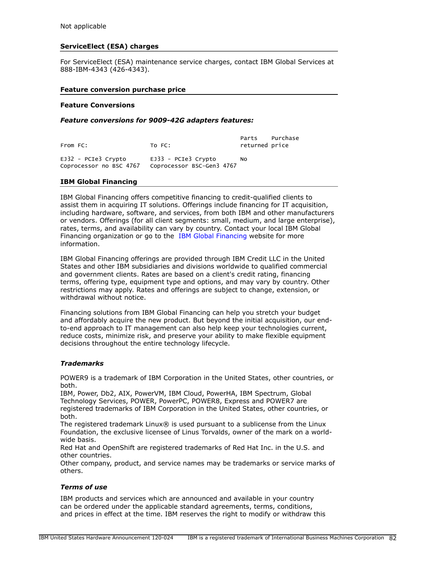# **ServiceElect (ESA) charges**

For ServiceElect (ESA) maintenance service charges, contact IBM Global Services at 888-IBM-4343 (426-4343).

### **Feature conversion purchase price**

#### **Feature Conversions**

#### *Feature conversions for 9009-42G adapters features:*

| From FC:                                         | TO FC:                                           | Parts Purchase<br>returned price |  |
|--------------------------------------------------|--------------------------------------------------|----------------------------------|--|
| $EJ32 - PCIe3$ Crypto<br>Coprocessor no BSC 4767 | EJ33 - PCIe3 Crvpto<br>Coprocessor BSC-Gen3 4767 | N0.                              |  |

### **IBM Global Financing**

IBM Global Financing offers competitive financing to credit-qualified clients to assist them in acquiring IT solutions. Offerings include financing for IT acquisition, including hardware, software, and services, from both IBM and other manufacturers or vendors. Offerings (for all client segments: small, medium, and large enterprise), rates, terms, and availability can vary by country. Contact your local IBM Global Financing organization or go to the [IBM Global Financing](http://www.ibm.com/financing) website for more information.

IBM Global Financing offerings are provided through IBM Credit LLC in the United States and other IBM subsidiaries and divisions worldwide to qualified commercial and government clients. Rates are based on a client's credit rating, financing terms, offering type, equipment type and options, and may vary by country. Other restrictions may apply. Rates and offerings are subject to change, extension, or withdrawal without notice.

Financing solutions from IBM Global Financing can help you stretch your budget and affordably acquire the new product. But beyond the initial acquisition, our endto-end approach to IT management can also help keep your technologies current, reduce costs, minimize risk, and preserve your ability to make flexible equipment decisions throughout the entire technology lifecycle.

### *Trademarks*

POWER9 is a trademark of IBM Corporation in the United States, other countries, or both.

IBM, Power, Db2, AIX, PowerVM, IBM Cloud, PowerHA, IBM Spectrum, Global Technology Services, POWER, PowerPC, POWER8, Express and POWER7 are registered trademarks of IBM Corporation in the United States, other countries, or both.

The registered trademark Linux® is used pursuant to a sublicense from the Linux Foundation, the exclusive licensee of Linus Torvalds, owner of the mark on a worldwide basis.

Red Hat and OpenShift are registered trademarks of Red Hat Inc. in the U.S. and other countries.

Other company, product, and service names may be trademarks or service marks of others.

### *Terms of use*

IBM products and services which are announced and available in your country can be ordered under the applicable standard agreements, terms, conditions, and prices in effect at the time. IBM reserves the right to modify or withdraw this